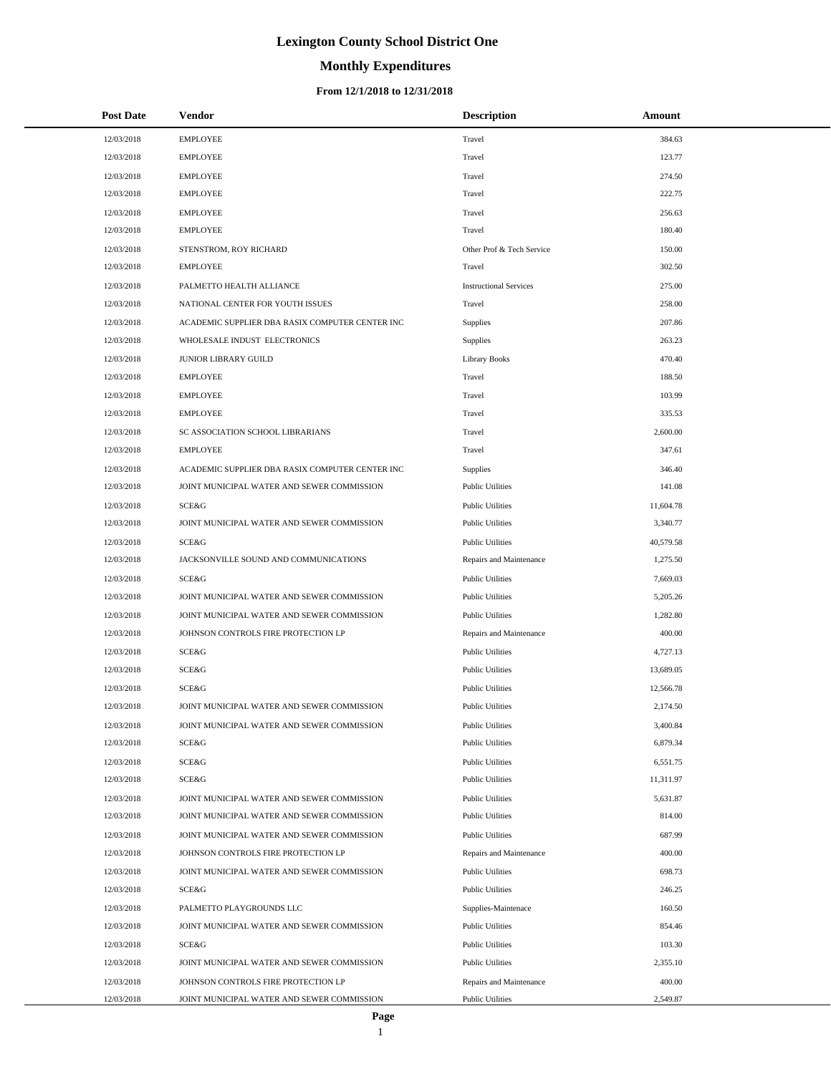# **Monthly Expenditures**

| <b>Post Date</b> | Vendor                                          | <b>Description</b>            | Amount    |
|------------------|-------------------------------------------------|-------------------------------|-----------|
| 12/03/2018       | <b>EMPLOYEE</b>                                 | Travel                        | 384.63    |
| 12/03/2018       | <b>EMPLOYEE</b>                                 | Travel                        | 123.77    |
| 12/03/2018       | <b>EMPLOYEE</b>                                 | Travel                        | 274.50    |
| 12/03/2018       | <b>EMPLOYEE</b>                                 | Travel                        | 222.75    |
| 12/03/2018       | <b>EMPLOYEE</b>                                 | Travel                        | 256.63    |
| 12/03/2018       | <b>EMPLOYEE</b>                                 | Travel                        | 180.40    |
| 12/03/2018       | STENSTROM, ROY RICHARD                          | Other Prof & Tech Service     | 150.00    |
| 12/03/2018       | <b>EMPLOYEE</b>                                 | Travel                        | 302.50    |
| 12/03/2018       | PALMETTO HEALTH ALLIANCE                        | <b>Instructional Services</b> | 275.00    |
| 12/03/2018       | NATIONAL CENTER FOR YOUTH ISSUES                | Travel                        | 258.00    |
| 12/03/2018       | ACADEMIC SUPPLIER DBA RASIX COMPUTER CENTER INC | Supplies                      | 207.86    |
| 12/03/2018       | WHOLESALE INDUST ELECTRONICS                    | Supplies                      | 263.23    |
| 12/03/2018       | JUNIOR LIBRARY GUILD                            | <b>Library Books</b>          | 470.40    |
| 12/03/2018       | <b>EMPLOYEE</b>                                 | Travel                        | 188.50    |
| 12/03/2018       | <b>EMPLOYEE</b>                                 | Travel                        | 103.99    |
| 12/03/2018       | <b>EMPLOYEE</b>                                 | Travel                        | 335.53    |
| 12/03/2018       | SC ASSOCIATION SCHOOL LIBRARIANS                | Travel                        | 2,600.00  |
| 12/03/2018       | <b>EMPLOYEE</b>                                 | Travel                        | 347.61    |
| 12/03/2018       | ACADEMIC SUPPLIER DBA RASIX COMPUTER CENTER INC | Supplies                      | 346.40    |
| 12/03/2018       | JOINT MUNICIPAL WATER AND SEWER COMMISSION      | <b>Public Utilities</b>       | 141.08    |
| 12/03/2018       | SCE&G                                           | <b>Public Utilities</b>       | 11,604.78 |
| 12/03/2018       | JOINT MUNICIPAL WATER AND SEWER COMMISSION      | <b>Public Utilities</b>       | 3,340.77  |
| 12/03/2018       | SCE&G                                           | <b>Public Utilities</b>       | 40,579.58 |
| 12/03/2018       | JACKSONVILLE SOUND AND COMMUNICATIONS           | Repairs and Maintenance       | 1,275.50  |
| 12/03/2018       | SCE&G                                           | <b>Public Utilities</b>       | 7,669.03  |
| 12/03/2018       | JOINT MUNICIPAL WATER AND SEWER COMMISSION      | <b>Public Utilities</b>       | 5,205.26  |
| 12/03/2018       | JOINT MUNICIPAL WATER AND SEWER COMMISSION      | <b>Public Utilities</b>       | 1,282.80  |
| 12/03/2018       | JOHNSON CONTROLS FIRE PROTECTION LP             | Repairs and Maintenance       | 400.00    |
| 12/03/2018       | SCE&G                                           | <b>Public Utilities</b>       | 4,727.13  |
| 12/03/2018       | SCE&G                                           | <b>Public Utilities</b>       | 13,689.05 |
| 12/03/2018       | SCE&G                                           | <b>Public Utilities</b>       | 12,566.78 |
| 12/03/2018       | JOINT MUNICIPAL WATER AND SEWER COMMISSION      | <b>Public Utilities</b>       | 2,174.50  |
| 12/03/2018       | JOINT MUNICIPAL WATER AND SEWER COMMISSION      | <b>Public Utilities</b>       | 3,400.84  |
| 12/03/2018       | SCE&G                                           | <b>Public Utilities</b>       | 6,879.34  |
| 12/03/2018       | SCE&G                                           | <b>Public Utilities</b>       | 6,551.75  |
| 12/03/2018       | SCE&G                                           | <b>Public Utilities</b>       | 11,311.97 |
| 12/03/2018       | JOINT MUNICIPAL WATER AND SEWER COMMISSION      | <b>Public Utilities</b>       | 5,631.87  |
| 12/03/2018       | JOINT MUNICIPAL WATER AND SEWER COMMISSION      | <b>Public Utilities</b>       | 814.00    |
| 12/03/2018       | JOINT MUNICIPAL WATER AND SEWER COMMISSION      | <b>Public Utilities</b>       | 687.99    |
| 12/03/2018       | JOHNSON CONTROLS FIRE PROTECTION LP             | Repairs and Maintenance       | 400.00    |
| 12/03/2018       | JOINT MUNICIPAL WATER AND SEWER COMMISSION      | <b>Public Utilities</b>       | 698.73    |
| 12/03/2018       | SCE&G                                           | <b>Public Utilities</b>       | 246.25    |
| 12/03/2018       | PALMETTO PLAYGROUNDS LLC                        | Supplies-Maintenace           | 160.50    |
| 12/03/2018       | JOINT MUNICIPAL WATER AND SEWER COMMISSION      | <b>Public Utilities</b>       | 854.46    |
| 12/03/2018       | SCE&G                                           | <b>Public Utilities</b>       | 103.30    |
| 12/03/2018       | JOINT MUNICIPAL WATER AND SEWER COMMISSION      | <b>Public Utilities</b>       | 2,355.10  |
| 12/03/2018       | JOHNSON CONTROLS FIRE PROTECTION LP             | Repairs and Maintenance       | 400.00    |
| 12/03/2018       | JOINT MUNICIPAL WATER AND SEWER COMMISSION      | <b>Public Utilities</b>       | 2,549.87  |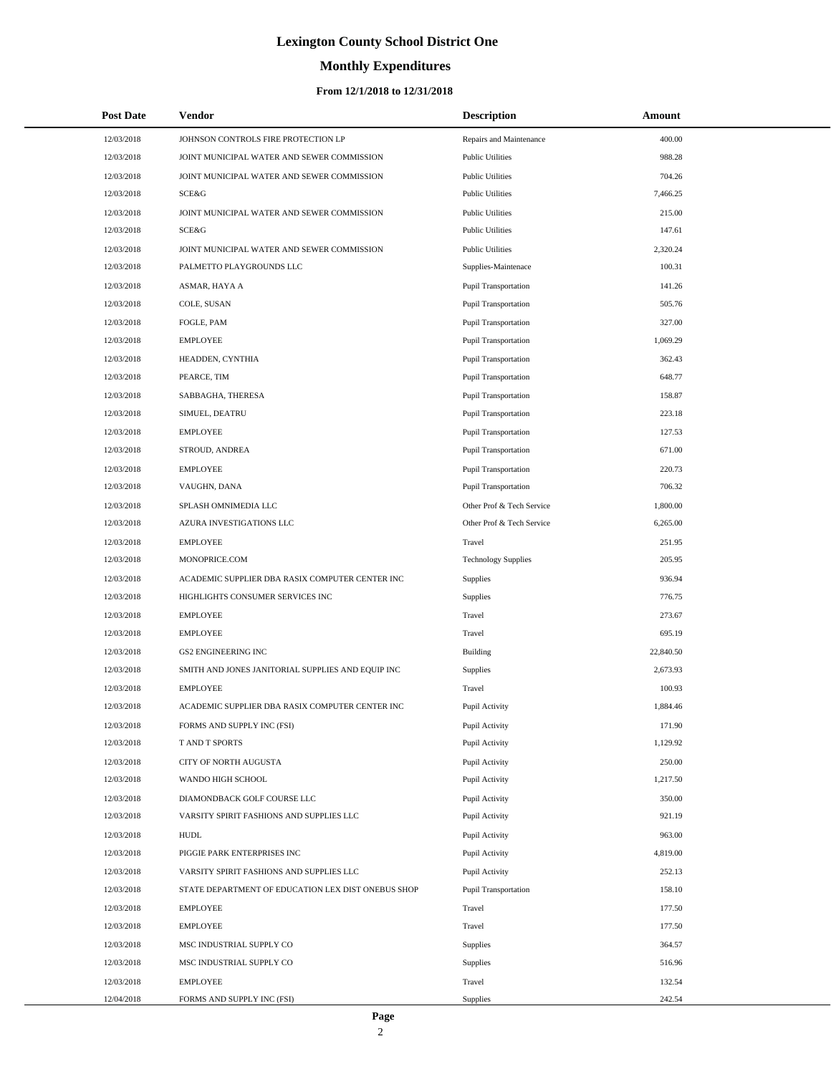# **Monthly Expenditures**

### **From 12/1/2018 to 12/31/2018**

| <b>Post Date</b> | <b>Vendor</b>                                      | <b>Description</b>          | Amount    |
|------------------|----------------------------------------------------|-----------------------------|-----------|
| 12/03/2018       | JOHNSON CONTROLS FIRE PROTECTION LP                | Repairs and Maintenance     | 400.00    |
| 12/03/2018       | JOINT MUNICIPAL WATER AND SEWER COMMISSION         | <b>Public Utilities</b>     | 988.28    |
| 12/03/2018       | JOINT MUNICIPAL WATER AND SEWER COMMISSION         | <b>Public Utilities</b>     | 704.26    |
| 12/03/2018       | <b>SCE&amp;G</b>                                   | <b>Public Utilities</b>     | 7,466.25  |
| 12/03/2018       | JOINT MUNICIPAL WATER AND SEWER COMMISSION         | <b>Public Utilities</b>     | 215.00    |
| 12/03/2018       | <b>SCE&amp;G</b>                                   | <b>Public Utilities</b>     | 147.61    |
| 12/03/2018       | JOINT MUNICIPAL WATER AND SEWER COMMISSION         | <b>Public Utilities</b>     | 2,320.24  |
| 12/03/2018       | PALMETTO PLAYGROUNDS LLC                           | Supplies-Maintenace         | 100.31    |
| 12/03/2018       | ASMAR, HAYA A                                      | <b>Pupil Transportation</b> | 141.26    |
| 12/03/2018       | COLE, SUSAN                                        | <b>Pupil Transportation</b> | 505.76    |
| 12/03/2018       | FOGLE, PAM                                         | <b>Pupil Transportation</b> | 327.00    |
| 12/03/2018       | <b>EMPLOYEE</b>                                    | <b>Pupil Transportation</b> | 1,069.29  |
| 12/03/2018       | HEADDEN, CYNTHIA                                   | Pupil Transportation        | 362.43    |
| 12/03/2018       | PEARCE, TIM                                        | <b>Pupil Transportation</b> | 648.77    |
| 12/03/2018       | SABBAGHA, THERESA                                  | Pupil Transportation        | 158.87    |
| 12/03/2018       | SIMUEL, DEATRU                                     | <b>Pupil Transportation</b> | 223.18    |
| 12/03/2018       | <b>EMPLOYEE</b>                                    | Pupil Transportation        | 127.53    |
| 12/03/2018       | STROUD, ANDREA                                     | <b>Pupil Transportation</b> | 671.00    |
| 12/03/2018       | <b>EMPLOYEE</b>                                    | Pupil Transportation        | 220.73    |
| 12/03/2018       | VAUGHN, DANA                                       | <b>Pupil Transportation</b> | 706.32    |
| 12/03/2018       | SPLASH OMNIMEDIA LLC                               | Other Prof & Tech Service   | 1,800.00  |
| 12/03/2018       | AZURA INVESTIGATIONS LLC                           | Other Prof & Tech Service   | 6,265.00  |
| 12/03/2018       | <b>EMPLOYEE</b>                                    | Travel                      | 251.95    |
| 12/03/2018       | MONOPRICE.COM                                      | <b>Technology Supplies</b>  | 205.95    |
| 12/03/2018       | ACADEMIC SUPPLIER DBA RASIX COMPUTER CENTER INC    | Supplies                    | 936.94    |
| 12/03/2018       | HIGHLIGHTS CONSUMER SERVICES INC                   | Supplies                    | 776.75    |
| 12/03/2018       | <b>EMPLOYEE</b>                                    | Travel                      | 273.67    |
| 12/03/2018       | <b>EMPLOYEE</b>                                    | Travel                      | 695.19    |
| 12/03/2018       | <b>GS2 ENGINEERING INC</b>                         | Building                    | 22,840.50 |
| 12/03/2018       | SMITH AND JONES JANITORIAL SUPPLIES AND EQUIP INC  | Supplies                    | 2,673.93  |
| 12/03/2018       | <b>EMPLOYEE</b>                                    | Travel                      | 100.93    |
| 12/03/2018       | ACADEMIC SUPPLIER DBA RASIX COMPUTER CENTER INC    | Pupil Activity              | 1,884.46  |
| 12/03/2018       | FORMS AND SUPPLY INC (FSI)                         | Pupil Activity              | 171.90    |
| 12/03/2018       | T AND T SPORTS                                     | Pupil Activity              | 1,129.92  |
| 12/03/2018       | CITY OF NORTH AUGUSTA                              | Pupil Activity              | 250.00    |
| 12/03/2018       | WANDO HIGH SCHOOL                                  | Pupil Activity              | 1,217.50  |
| 12/03/2018       | DIAMONDBACK GOLF COURSE LLC                        | Pupil Activity              | 350.00    |
| 12/03/2018       | VARSITY SPIRIT FASHIONS AND SUPPLIES LLC           | Pupil Activity              | 921.19    |
| 12/03/2018       | <b>HUDL</b>                                        | Pupil Activity              | 963.00    |
| 12/03/2018       | PIGGIE PARK ENTERPRISES INC                        | Pupil Activity              | 4,819.00  |
| 12/03/2018       | VARSITY SPIRIT FASHIONS AND SUPPLIES LLC           | Pupil Activity              | 252.13    |
| 12/03/2018       | STATE DEPARTMENT OF EDUCATION LEX DIST ONEBUS SHOP | Pupil Transportation        | 158.10    |
| 12/03/2018       | <b>EMPLOYEE</b>                                    | Travel                      | 177.50    |
| 12/03/2018       | <b>EMPLOYEE</b>                                    | Travel                      | 177.50    |
| 12/03/2018       | MSC INDUSTRIAL SUPPLY CO                           | Supplies                    | 364.57    |
| 12/03/2018       | MSC INDUSTRIAL SUPPLY CO                           | Supplies                    | 516.96    |
| 12/03/2018       | <b>EMPLOYEE</b>                                    | Travel                      | 132.54    |
| 12/04/2018       | FORMS AND SUPPLY INC (FSI)                         | Supplies                    | 242.54    |

 $\overline{a}$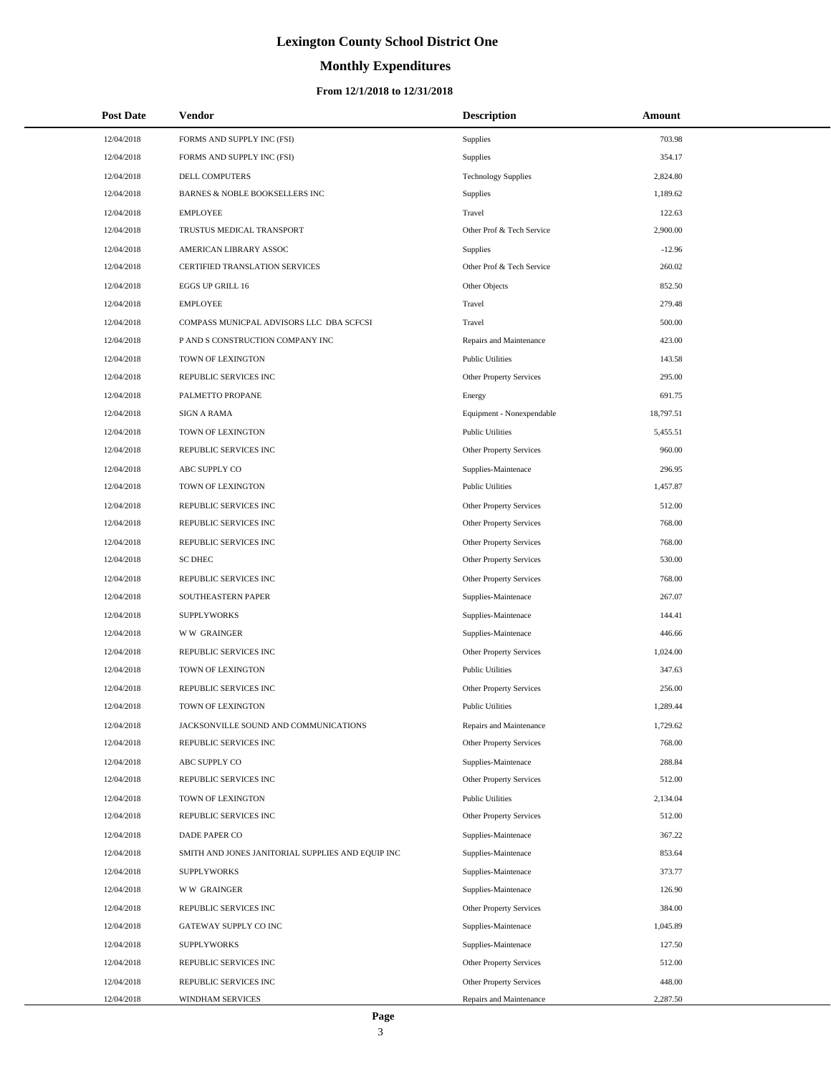# **Monthly Expenditures**

| <b>Post Date</b> | <b>Vendor</b>                                     | <b>Description</b>         | Amount    |
|------------------|---------------------------------------------------|----------------------------|-----------|
| 12/04/2018       | FORMS AND SUPPLY INC (FSI)                        | Supplies                   | 703.98    |
| 12/04/2018       | FORMS AND SUPPLY INC (FSI)                        | Supplies                   | 354.17    |
| 12/04/2018       | DELL COMPUTERS                                    | <b>Technology Supplies</b> | 2,824.80  |
| 12/04/2018       | BARNES & NOBLE BOOKSELLERS INC                    | Supplies                   | 1,189.62  |
| 12/04/2018       | <b>EMPLOYEE</b>                                   | Travel                     | 122.63    |
| 12/04/2018       | TRUSTUS MEDICAL TRANSPORT                         | Other Prof & Tech Service  | 2,900.00  |
| 12/04/2018       | AMERICAN LIBRARY ASSOC                            | Supplies                   | $-12.96$  |
| 12/04/2018       | CERTIFIED TRANSLATION SERVICES                    | Other Prof & Tech Service  | 260.02    |
| 12/04/2018       | EGGS UP GRILL 16                                  | Other Objects              | 852.50    |
| 12/04/2018       | <b>EMPLOYEE</b>                                   | Travel                     | 279.48    |
| 12/04/2018       | COMPASS MUNICPAL ADVISORS LLC DBA SCFCSI          | Travel                     | 500.00    |
| 12/04/2018       | P AND S CONSTRUCTION COMPANY INC                  | Repairs and Maintenance    | 423.00    |
| 12/04/2018       | TOWN OF LEXINGTON                                 | <b>Public Utilities</b>    | 143.58    |
| 12/04/2018       | REPUBLIC SERVICES INC                             | Other Property Services    | 295.00    |
| 12/04/2018       | PALMETTO PROPANE                                  | Energy                     | 691.75    |
| 12/04/2018       | <b>SIGN A RAMA</b>                                | Equipment - Nonexpendable  | 18,797.51 |
| 12/04/2018       | TOWN OF LEXINGTON                                 | <b>Public Utilities</b>    | 5,455.51  |
| 12/04/2018       | REPUBLIC SERVICES INC                             | Other Property Services    | 960.00    |
| 12/04/2018       | ABC SUPPLY CO                                     | Supplies-Maintenace        | 296.95    |
| 12/04/2018       | TOWN OF LEXINGTON                                 | <b>Public Utilities</b>    | 1,457.87  |
| 12/04/2018       | REPUBLIC SERVICES INC                             | Other Property Services    | 512.00    |
| 12/04/2018       | REPUBLIC SERVICES INC                             | Other Property Services    | 768.00    |
| 12/04/2018       | REPUBLIC SERVICES INC                             | Other Property Services    | 768.00    |
| 12/04/2018       | <b>SC DHEC</b>                                    | Other Property Services    | 530.00    |
| 12/04/2018       | REPUBLIC SERVICES INC                             | Other Property Services    | 768.00    |
| 12/04/2018       | SOUTHEASTERN PAPER                                | Supplies-Maintenace        | 267.07    |
| 12/04/2018       | <b>SUPPLYWORKS</b>                                | Supplies-Maintenace        | 144.41    |
| 12/04/2018       | <b>WW GRAINGER</b>                                | Supplies-Maintenace        | 446.66    |
| 12/04/2018       | REPUBLIC SERVICES INC                             | Other Property Services    | 1,024.00  |
| 12/04/2018       | TOWN OF LEXINGTON                                 | <b>Public Utilities</b>    | 347.63    |
| 12/04/2018       | REPUBLIC SERVICES INC                             | Other Property Services    | 256.00    |
| 12/04/2018       | TOWN OF LEXINGTON                                 | <b>Public Utilities</b>    | 1,289.44  |
| 12/04/2018       | JACKSONVILLE SOUND AND COMMUNICATIONS             | Repairs and Maintenance    | 1,729.62  |
| 12/04/2018       | REPUBLIC SERVICES INC                             | Other Property Services    | 768.00    |
| 12/04/2018       | ABC SUPPLY CO                                     | Supplies-Maintenace        | 288.84    |
| 12/04/2018       | REPUBLIC SERVICES INC                             | Other Property Services    | 512.00    |
| 12/04/2018       | TOWN OF LEXINGTON                                 | <b>Public Utilities</b>    | 2,134.04  |
| 12/04/2018       | REPUBLIC SERVICES INC                             | Other Property Services    | 512.00    |
| 12/04/2018       | DADE PAPER CO                                     | Supplies-Maintenace        | 367.22    |
| 12/04/2018       | SMITH AND JONES JANITORIAL SUPPLIES AND EQUIP INC | Supplies-Maintenace        | 853.64    |
| 12/04/2018       | <b>SUPPLYWORKS</b>                                | Supplies-Maintenace        | 373.77    |
| 12/04/2018       | <b>WW GRAINGER</b>                                | Supplies-Maintenace        | 126.90    |
| 12/04/2018       | REPUBLIC SERVICES INC                             | Other Property Services    | 384.00    |
| 12/04/2018       | GATEWAY SUPPLY CO INC                             | Supplies-Maintenace        | 1,045.89  |
| 12/04/2018       | <b>SUPPLYWORKS</b>                                | Supplies-Maintenace        | 127.50    |
| 12/04/2018       | REPUBLIC SERVICES INC                             | Other Property Services    | 512.00    |
| 12/04/2018       | REPUBLIC SERVICES INC                             | Other Property Services    | 448.00    |
| 12/04/2018       | WINDHAM SERVICES                                  | Repairs and Maintenance    | 2,287.50  |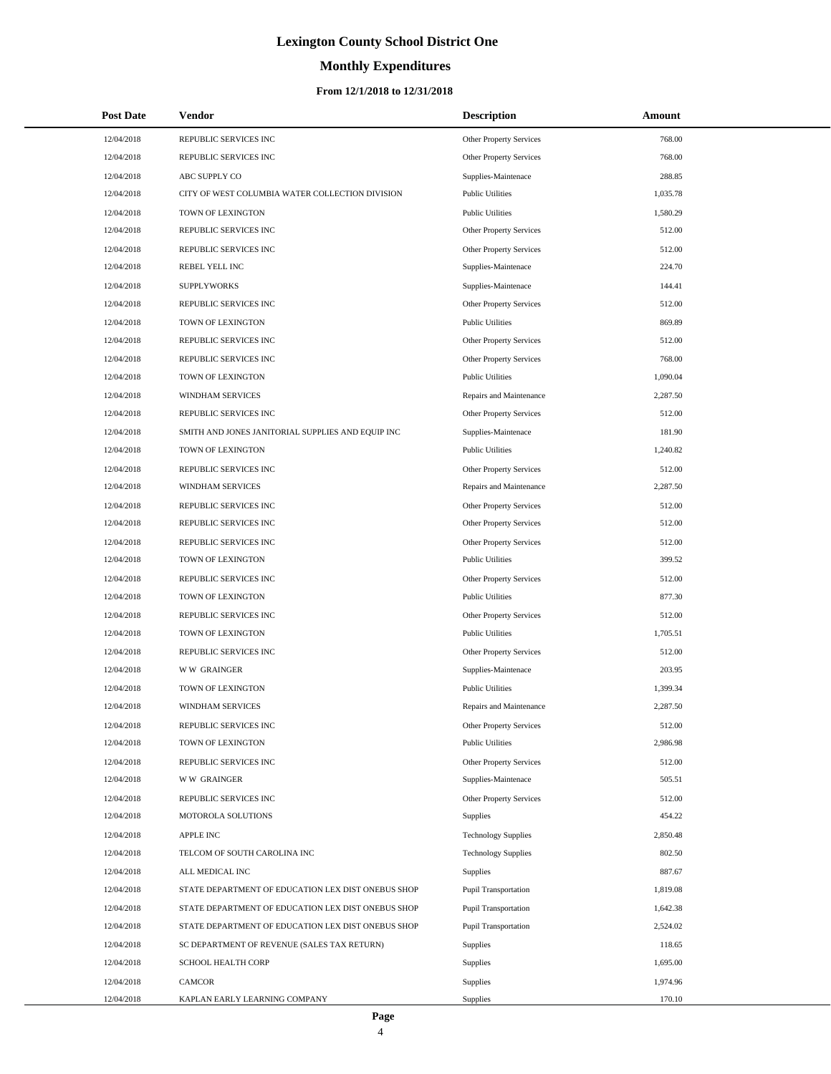## **Monthly Expenditures**

### **From 12/1/2018 to 12/31/2018**

| <b>Post Date</b> | Vendor                                             | <b>Description</b>             | Amount   |
|------------------|----------------------------------------------------|--------------------------------|----------|
| 12/04/2018       | REPUBLIC SERVICES INC                              | Other Property Services        | 768.00   |
| 12/04/2018       | REPUBLIC SERVICES INC                              | Other Property Services        | 768.00   |
| 12/04/2018       | ABC SUPPLY CO                                      | Supplies-Maintenace            | 288.85   |
| 12/04/2018       | CITY OF WEST COLUMBIA WATER COLLECTION DIVISION    | <b>Public Utilities</b>        | 1,035.78 |
| 12/04/2018       | TOWN OF LEXINGTON                                  | <b>Public Utilities</b>        | 1,580.29 |
| 12/04/2018       | REPUBLIC SERVICES INC                              | Other Property Services        | 512.00   |
| 12/04/2018       | REPUBLIC SERVICES INC                              | Other Property Services        | 512.00   |
| 12/04/2018       | REBEL YELL INC                                     | Supplies-Maintenace            | 224.70   |
| 12/04/2018       | <b>SUPPLYWORKS</b>                                 | Supplies-Maintenace            | 144.41   |
| 12/04/2018       | REPUBLIC SERVICES INC                              | Other Property Services        | 512.00   |
| 12/04/2018       | TOWN OF LEXINGTON                                  | <b>Public Utilities</b>        | 869.89   |
| 12/04/2018       | REPUBLIC SERVICES INC                              | Other Property Services        | 512.00   |
| 12/04/2018       | REPUBLIC SERVICES INC                              | Other Property Services        | 768.00   |
| 12/04/2018       | TOWN OF LEXINGTON                                  | <b>Public Utilities</b>        | 1,090.04 |
| 12/04/2018       | WINDHAM SERVICES                                   | Repairs and Maintenance        | 2,287.50 |
| 12/04/2018       | REPUBLIC SERVICES INC                              | Other Property Services        | 512.00   |
| 12/04/2018       | SMITH AND JONES JANITORIAL SUPPLIES AND EQUIP INC  | Supplies-Maintenace            | 181.90   |
| 12/04/2018       | TOWN OF LEXINGTON                                  | <b>Public Utilities</b>        | 1,240.82 |
| 12/04/2018       | REPUBLIC SERVICES INC                              | <b>Other Property Services</b> | 512.00   |
| 12/04/2018       | WINDHAM SERVICES                                   | Repairs and Maintenance        | 2,287.50 |
| 12/04/2018       | REPUBLIC SERVICES INC                              | Other Property Services        | 512.00   |
| 12/04/2018       | REPUBLIC SERVICES INC                              | Other Property Services        | 512.00   |
| 12/04/2018       | REPUBLIC SERVICES INC                              | Other Property Services        | 512.00   |
| 12/04/2018       | TOWN OF LEXINGTON                                  | <b>Public Utilities</b>        | 399.52   |
| 12/04/2018       | REPUBLIC SERVICES INC                              | Other Property Services        | 512.00   |
| 12/04/2018       | TOWN OF LEXINGTON                                  | <b>Public Utilities</b>        | 877.30   |
| 12/04/2018       | REPUBLIC SERVICES INC                              | Other Property Services        | 512.00   |
| 12/04/2018       | TOWN OF LEXINGTON                                  | <b>Public Utilities</b>        | 1,705.51 |
| 12/04/2018       | REPUBLIC SERVICES INC                              | Other Property Services        | 512.00   |
| 12/04/2018       | <b>WW GRAINGER</b>                                 | Supplies-Maintenace            | 203.95   |
| 12/04/2018       | TOWN OF LEXINGTON                                  | <b>Public Utilities</b>        | 1,399.34 |
| 12/04/2018       | WINDHAM SERVICES                                   | Repairs and Maintenance        | 2,287.50 |
| 12/04/2018       | REPUBLIC SERVICES INC                              | Other Property Services        | 512.00   |
| 12/04/2018       | TOWN OF LEXINGTON                                  | <b>Public Utilities</b>        | 2,986.98 |
| 12/04/2018       | REPUBLIC SERVICES INC                              | Other Property Services        | 512.00   |
| 12/04/2018       | <b>WW GRAINGER</b>                                 | Supplies-Maintenace            | 505.51   |
| 12/04/2018       | REPUBLIC SERVICES INC                              | Other Property Services        | 512.00   |
| 12/04/2018       | MOTOROLA SOLUTIONS                                 | Supplies                       | 454.22   |
| 12/04/2018       | <b>APPLE INC</b>                                   | <b>Technology Supplies</b>     | 2,850.48 |
| 12/04/2018       | TELCOM OF SOUTH CAROLINA INC                       | <b>Technology Supplies</b>     | 802.50   |
| 12/04/2018       | ALL MEDICAL INC                                    | Supplies                       | 887.67   |
| 12/04/2018       | STATE DEPARTMENT OF EDUCATION LEX DIST ONEBUS SHOP | <b>Pupil Transportation</b>    | 1,819.08 |
| 12/04/2018       | STATE DEPARTMENT OF EDUCATION LEX DIST ONEBUS SHOP | Pupil Transportation           | 1,642.38 |
| 12/04/2018       | STATE DEPARTMENT OF EDUCATION LEX DIST ONEBUS SHOP | <b>Pupil Transportation</b>    | 2,524.02 |
| 12/04/2018       | SC DEPARTMENT OF REVENUE (SALES TAX RETURN)        | Supplies                       | 118.65   |
| 12/04/2018       | SCHOOL HEALTH CORP                                 | Supplies                       | 1,695.00 |
| 12/04/2018       | CAMCOR                                             | Supplies                       | 1,974.96 |
| 12/04/2018       | KAPLAN EARLY LEARNING COMPANY                      | Supplies                       | 170.10   |

L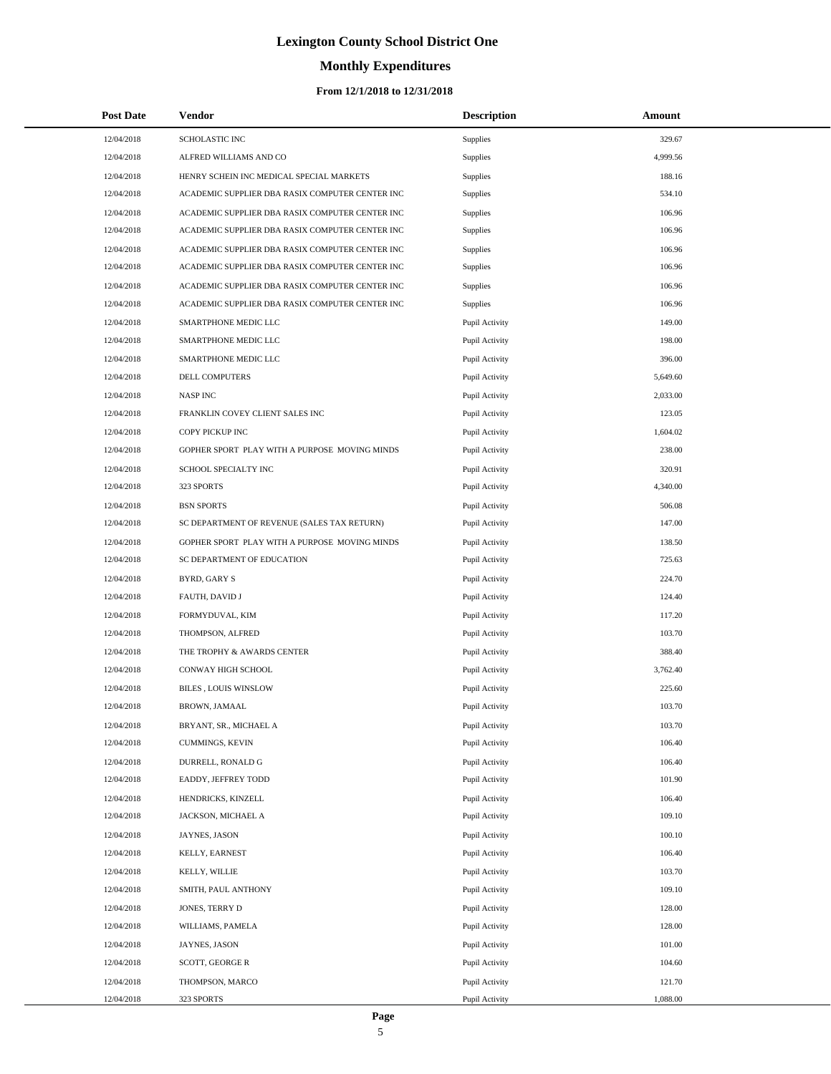# **Monthly Expenditures**

| <b>Post Date</b> | Vendor                                          | <b>Description</b> | Amount   |
|------------------|-------------------------------------------------|--------------------|----------|
| 12/04/2018       | SCHOLASTIC INC                                  | Supplies           | 329.67   |
| 12/04/2018       | ALFRED WILLIAMS AND CO                          | Supplies           | 4,999.56 |
| 12/04/2018       | HENRY SCHEIN INC MEDICAL SPECIAL MARKETS        | Supplies           | 188.16   |
| 12/04/2018       | ACADEMIC SUPPLIER DBA RASIX COMPUTER CENTER INC | Supplies           | 534.10   |
| 12/04/2018       | ACADEMIC SUPPLIER DBA RASIX COMPUTER CENTER INC | Supplies           | 106.96   |
| 12/04/2018       | ACADEMIC SUPPLIER DBA RASIX COMPUTER CENTER INC | <b>Supplies</b>    | 106.96   |
| 12/04/2018       | ACADEMIC SUPPLIER DBA RASIX COMPUTER CENTER INC | Supplies           | 106.96   |
| 12/04/2018       | ACADEMIC SUPPLIER DBA RASIX COMPUTER CENTER INC | Supplies           | 106.96   |
| 12/04/2018       | ACADEMIC SUPPLIER DBA RASIX COMPUTER CENTER INC | Supplies           | 106.96   |
| 12/04/2018       | ACADEMIC SUPPLIER DBA RASIX COMPUTER CENTER INC | <b>Supplies</b>    | 106.96   |
| 12/04/2018       | SMARTPHONE MEDIC LLC                            | Pupil Activity     | 149.00   |
| 12/04/2018       | SMARTPHONE MEDIC LLC                            | Pupil Activity     | 198.00   |
| 12/04/2018       | SMARTPHONE MEDIC LLC                            | Pupil Activity     | 396.00   |
| 12/04/2018       | DELL COMPUTERS                                  | Pupil Activity     | 5,649.60 |
| 12/04/2018       | <b>NASP INC</b>                                 | Pupil Activity     | 2,033.00 |
| 12/04/2018       | FRANKLIN COVEY CLIENT SALES INC                 | Pupil Activity     | 123.05   |
| 12/04/2018       | COPY PICKUP INC                                 | Pupil Activity     | 1,604.02 |
| 12/04/2018       | GOPHER SPORT PLAY WITH A PURPOSE MOVING MINDS   | Pupil Activity     | 238.00   |
| 12/04/2018       | SCHOOL SPECIALTY INC                            | Pupil Activity     | 320.91   |
| 12/04/2018       | 323 SPORTS                                      | Pupil Activity     | 4,340.00 |
| 12/04/2018       | <b>BSN SPORTS</b>                               | Pupil Activity     | 506.08   |
| 12/04/2018       | SC DEPARTMENT OF REVENUE (SALES TAX RETURN)     | Pupil Activity     | 147.00   |
| 12/04/2018       | GOPHER SPORT PLAY WITH A PURPOSE MOVING MINDS   | Pupil Activity     | 138.50   |
| 12/04/2018       | SC DEPARTMENT OF EDUCATION                      | Pupil Activity     | 725.63   |
| 12/04/2018       | BYRD, GARY S                                    | Pupil Activity     | 224.70   |
| 12/04/2018       | FAUTH, DAVID J                                  | Pupil Activity     | 124.40   |
| 12/04/2018       | FORMYDUVAL, KIM                                 | Pupil Activity     | 117.20   |
| 12/04/2018       | THOMPSON, ALFRED                                | Pupil Activity     | 103.70   |
| 12/04/2018       | THE TROPHY & AWARDS CENTER                      | Pupil Activity     | 388.40   |
| 12/04/2018       | CONWAY HIGH SCHOOL                              | Pupil Activity     | 3,762.40 |
| 12/04/2018       | BILES , LOUIS WINSLOW                           | Pupil Activity     | 225.60   |
| 12/04/2018       | BROWN, JAMAAL                                   | Pupil Activity     | 103.70   |
| 12/04/2018       | BRYANT, SR., MICHAEL A                          | Pupil Activity     | 103.70   |
| 12/04/2018       | CUMMINGS, KEVIN                                 | Pupil Activity     | 106.40   |
| 12/04/2018       | DURRELL, RONALD G                               | Pupil Activity     | 106.40   |
| 12/04/2018       | EADDY, JEFFREY TODD                             | Pupil Activity     | 101.90   |
| 12/04/2018       | HENDRICKS, KINZELL                              | Pupil Activity     | 106.40   |
| 12/04/2018       | JACKSON, MICHAEL A                              | Pupil Activity     | 109.10   |
| 12/04/2018       | JAYNES, JASON                                   | Pupil Activity     | 100.10   |
| 12/04/2018       | KELLY, EARNEST                                  | Pupil Activity     | 106.40   |
| 12/04/2018       | KELLY, WILLIE                                   | Pupil Activity     | 103.70   |
| 12/04/2018       | SMITH, PAUL ANTHONY                             | Pupil Activity     | 109.10   |
| 12/04/2018       | JONES, TERRY D                                  | Pupil Activity     | 128.00   |
| 12/04/2018       | WILLIAMS, PAMELA                                | Pupil Activity     | 128.00   |
| 12/04/2018       | JAYNES, JASON                                   | Pupil Activity     | 101.00   |
| 12/04/2018       | SCOTT, GEORGE R                                 | Pupil Activity     | 104.60   |
| 12/04/2018       | THOMPSON, MARCO                                 | Pupil Activity     | 121.70   |
| 12/04/2018       | 323 SPORTS                                      | Pupil Activity     | 1,088.00 |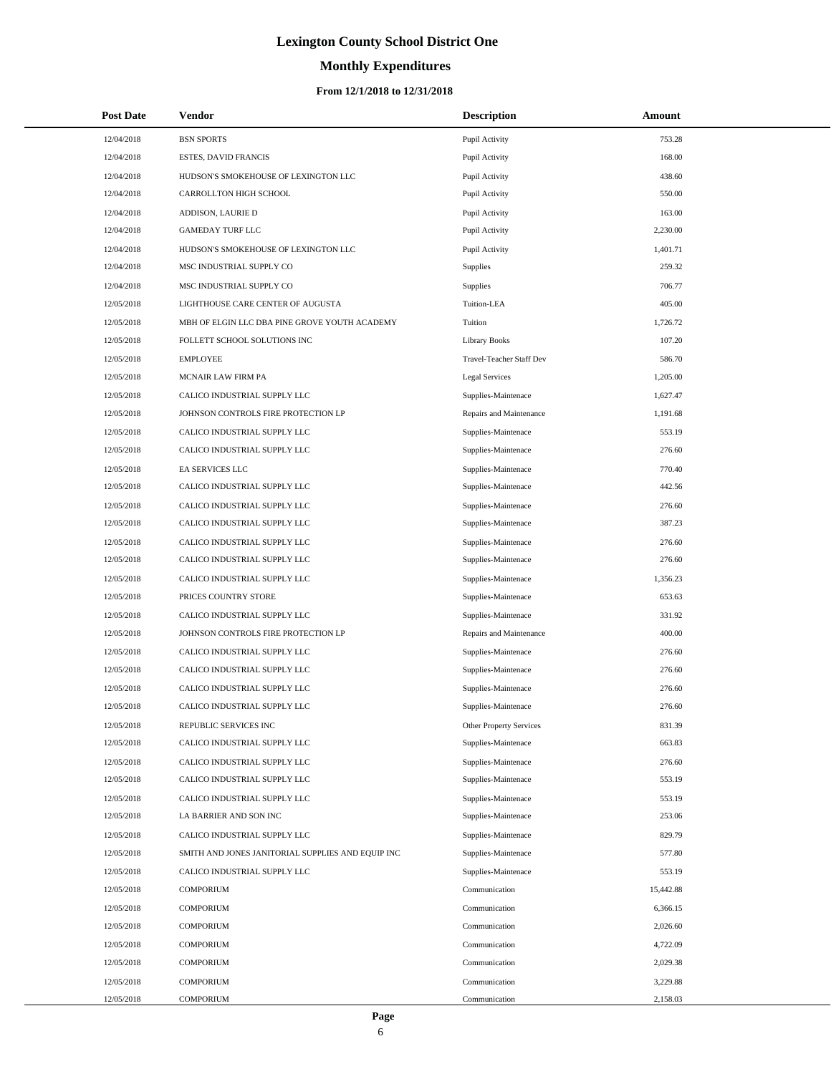# **Monthly Expenditures**

### **From 12/1/2018 to 12/31/2018**

| <b>Post Date</b> | Vendor                                            | <b>Description</b>       | Amount    |
|------------------|---------------------------------------------------|--------------------------|-----------|
| 12/04/2018       | <b>BSN SPORTS</b>                                 | Pupil Activity           | 753.28    |
| 12/04/2018       | <b>ESTES, DAVID FRANCIS</b>                       | Pupil Activity           | 168.00    |
| 12/04/2018       | HUDSON'S SMOKEHOUSE OF LEXINGTON LLC              | Pupil Activity           | 438.60    |
| 12/04/2018       | CARROLLTON HIGH SCHOOL                            | Pupil Activity           | 550.00    |
| 12/04/2018       | ADDISON, LAURIE D                                 | Pupil Activity           | 163.00    |
| 12/04/2018       | <b>GAMEDAY TURF LLC</b>                           | Pupil Activity           | 2,230.00  |
| 12/04/2018       | HUDSON'S SMOKEHOUSE OF LEXINGTON LLC              | Pupil Activity           | 1,401.71  |
| 12/04/2018       | MSC INDUSTRIAL SUPPLY CO                          | <b>Supplies</b>          | 259.32    |
| 12/04/2018       | MSC INDUSTRIAL SUPPLY CO                          | Supplies                 | 706.77    |
| 12/05/2018       | LIGHTHOUSE CARE CENTER OF AUGUSTA                 | Tuition-LEA              | 405.00    |
| 12/05/2018       | MBH OF ELGIN LLC DBA PINE GROVE YOUTH ACADEMY     | Tuition                  | 1,726.72  |
| 12/05/2018       | FOLLETT SCHOOL SOLUTIONS INC                      | <b>Library Books</b>     | 107.20    |
| 12/05/2018       | <b>EMPLOYEE</b>                                   | Travel-Teacher Staff Dev | 586.70    |
| 12/05/2018       | MCNAIR LAW FIRM PA                                | Legal Services           | 1,205.00  |
| 12/05/2018       | CALICO INDUSTRIAL SUPPLY LLC                      | Supplies-Maintenace      | 1,627.47  |
| 12/05/2018       | JOHNSON CONTROLS FIRE PROTECTION LP               | Repairs and Maintenance  | 1,191.68  |
| 12/05/2018       | CALICO INDUSTRIAL SUPPLY LLC                      | Supplies-Maintenace      | 553.19    |
| 12/05/2018       | CALICO INDUSTRIAL SUPPLY LLC                      | Supplies-Maintenace      | 276.60    |
| 12/05/2018       | EA SERVICES LLC                                   | Supplies-Maintenace      | 770.40    |
| 12/05/2018       | CALICO INDUSTRIAL SUPPLY LLC                      | Supplies-Maintenace      | 442.56    |
| 12/05/2018       | CALICO INDUSTRIAL SUPPLY LLC                      | Supplies-Maintenace      | 276.60    |
| 12/05/2018       | CALICO INDUSTRIAL SUPPLY LLC                      | Supplies-Maintenace      | 387.23    |
| 12/05/2018       | CALICO INDUSTRIAL SUPPLY LLC                      | Supplies-Maintenace      | 276.60    |
| 12/05/2018       | CALICO INDUSTRIAL SUPPLY LLC                      | Supplies-Maintenace      | 276.60    |
| 12/05/2018       | CALICO INDUSTRIAL SUPPLY LLC                      | Supplies-Maintenace      | 1,356.23  |
| 12/05/2018       | PRICES COUNTRY STORE                              | Supplies-Maintenace      | 653.63    |
| 12/05/2018       | CALICO INDUSTRIAL SUPPLY LLC                      | Supplies-Maintenace      | 331.92    |
| 12/05/2018       | JOHNSON CONTROLS FIRE PROTECTION LP               | Repairs and Maintenance  | 400.00    |
| 12/05/2018       | CALICO INDUSTRIAL SUPPLY LLC                      | Supplies-Maintenace      | 276.60    |
| 12/05/2018       | CALICO INDUSTRIAL SUPPLY LLC                      | Supplies-Maintenace      | 276.60    |
| 12/05/2018       | CALICO INDUSTRIAL SUPPLY LLC                      | Supplies-Maintenace      | 276.60    |
| 12/05/2018       | CALICO INDUSTRIAL SUPPLY LLC                      | Supplies-Maintenace      | 276.60    |
| 12/05/2018       | REPUBLIC SERVICES INC                             | Other Property Services  | 831.39    |
| 12/05/2018       | CALICO INDUSTRIAL SUPPLY LLC                      | Supplies-Maintenace      | 663.83    |
| 12/05/2018       | CALICO INDUSTRIAL SUPPLY LLC                      | Supplies-Maintenace      | 276.60    |
| 12/05/2018       | CALICO INDUSTRIAL SUPPLY LLC                      | Supplies-Maintenace      | 553.19    |
| 12/05/2018       | CALICO INDUSTRIAL SUPPLY LLC                      | Supplies-Maintenace      | 553.19    |
| 12/05/2018       | LA BARRIER AND SON INC                            | Supplies-Maintenace      | 253.06    |
| 12/05/2018       | CALICO INDUSTRIAL SUPPLY LLC                      | Supplies-Maintenace      | 829.79    |
| 12/05/2018       | SMITH AND JONES JANITORIAL SUPPLIES AND EQUIP INC | Supplies-Maintenace      | 577.80    |
| 12/05/2018       | CALICO INDUSTRIAL SUPPLY LLC                      | Supplies-Maintenace      | 553.19    |
| 12/05/2018       | <b>COMPORIUM</b>                                  | Communication            | 15,442.88 |
| 12/05/2018       | <b>COMPORIUM</b>                                  | Communication            | 6,366.15  |
| 12/05/2018       | <b>COMPORIUM</b>                                  | Communication            | 2,026.60  |
| 12/05/2018       | <b>COMPORIUM</b>                                  | Communication            | 4,722.09  |
| 12/05/2018       | <b>COMPORIUM</b>                                  | Communication            | 2,029.38  |
| 12/05/2018       | <b>COMPORIUM</b>                                  | Communication            | 3,229.88  |
| 12/05/2018       | <b>COMPORIUM</b>                                  | Communication            | 2,158.03  |

 $\overline{a}$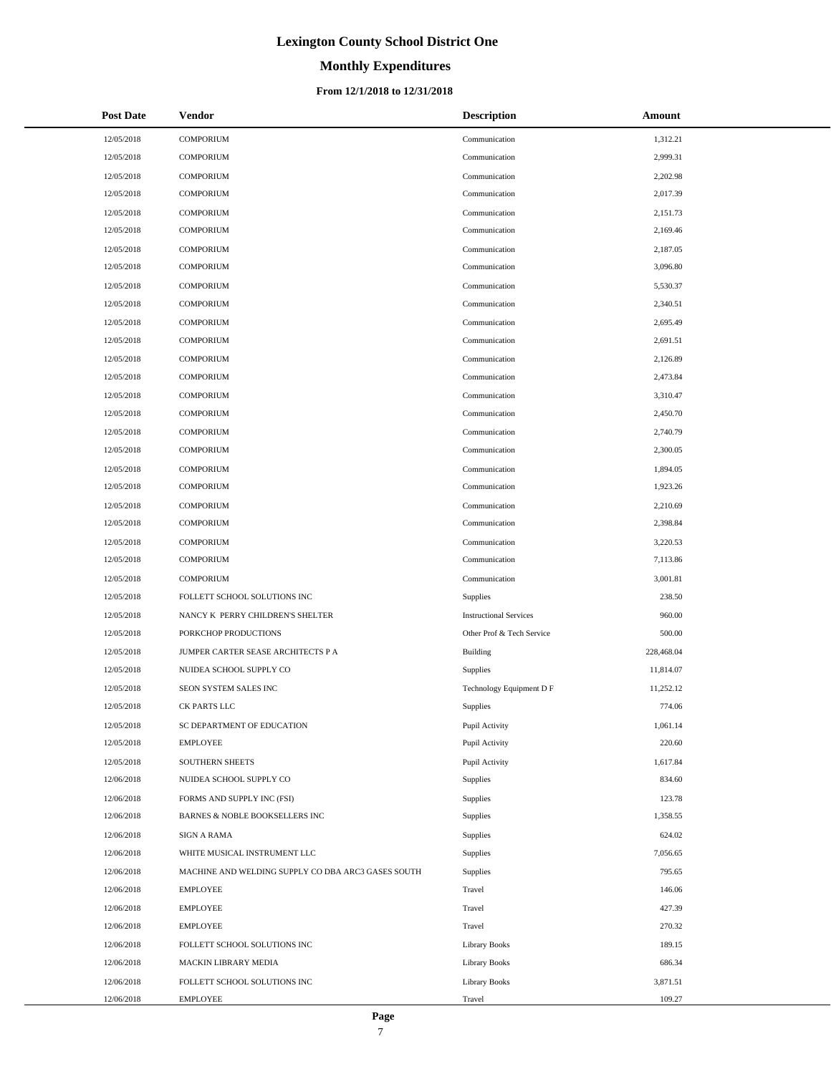# **Monthly Expenditures**

### **From 12/1/2018 to 12/31/2018**

| <b>Post Date</b> | Vendor                                             | <b>Description</b>            | Amount     |
|------------------|----------------------------------------------------|-------------------------------|------------|
| 12/05/2018       | <b>COMPORIUM</b>                                   | Communication                 | 1,312.21   |
| 12/05/2018       | <b>COMPORIUM</b>                                   | Communication                 | 2,999.31   |
| 12/05/2018       | <b>COMPORIUM</b>                                   | Communication                 | 2,202.98   |
| 12/05/2018       | <b>COMPORIUM</b>                                   | Communication                 | 2,017.39   |
| 12/05/2018       | <b>COMPORIUM</b>                                   | Communication                 | 2,151.73   |
| 12/05/2018       | <b>COMPORIUM</b>                                   | Communication                 | 2,169.46   |
| 12/05/2018       | <b>COMPORIUM</b>                                   | Communication                 | 2,187.05   |
| 12/05/2018       | <b>COMPORIUM</b>                                   | Communication                 | 3,096.80   |
| 12/05/2018       | <b>COMPORIUM</b>                                   | Communication                 | 5,530.37   |
| 12/05/2018       | <b>COMPORIUM</b>                                   | Communication                 | 2,340.51   |
| 12/05/2018       | <b>COMPORIUM</b>                                   | Communication                 | 2,695.49   |
| 12/05/2018       | <b>COMPORIUM</b>                                   | Communication                 | 2,691.51   |
| 12/05/2018       | <b>COMPORIUM</b>                                   | Communication                 | 2,126.89   |
| 12/05/2018       | <b>COMPORIUM</b>                                   | Communication                 | 2,473.84   |
| 12/05/2018       | <b>COMPORIUM</b>                                   | Communication                 | 3,310.47   |
| 12/05/2018       | <b>COMPORIUM</b>                                   | Communication                 | 2,450.70   |
| 12/05/2018       | <b>COMPORIUM</b>                                   | Communication                 | 2,740.79   |
| 12/05/2018       | <b>COMPORIUM</b>                                   | Communication                 | 2,300.05   |
| 12/05/2018       | <b>COMPORIUM</b>                                   | Communication                 | 1,894.05   |
| 12/05/2018       | <b>COMPORIUM</b>                                   | Communication                 | 1,923.26   |
| 12/05/2018       | <b>COMPORIUM</b>                                   | Communication                 | 2,210.69   |
| 12/05/2018       | <b>COMPORIUM</b>                                   | Communication                 | 2,398.84   |
| 12/05/2018       | <b>COMPORIUM</b>                                   | Communication                 | 3,220.53   |
| 12/05/2018       | <b>COMPORIUM</b>                                   | Communication                 | 7,113.86   |
| 12/05/2018       | <b>COMPORIUM</b>                                   | Communication                 | 3,001.81   |
| 12/05/2018       | FOLLETT SCHOOL SOLUTIONS INC                       | Supplies                      | 238.50     |
| 12/05/2018       | NANCY K PERRY CHILDREN'S SHELTER                   | <b>Instructional Services</b> | 960.00     |
| 12/05/2018       | PORKCHOP PRODUCTIONS                               | Other Prof & Tech Service     | 500.00     |
| 12/05/2018       | JUMPER CARTER SEASE ARCHITECTS P A                 | <b>Building</b>               | 228,468.04 |
| 12/05/2018       | NUIDEA SCHOOL SUPPLY CO                            | Supplies                      | 11,814.07  |
| 12/05/2018       | SEON SYSTEM SALES INC                              | Technology Equipment D F      | 11,252.12  |
| 12/05/2018       | CK PARTS LLC                                       | Supplies                      | 774.06     |
| 12/05/2018       | SC DEPARTMENT OF EDUCATION                         | Pupil Activity                | 1,061.14   |
| 12/05/2018       | <b>EMPLOYEE</b>                                    | Pupil Activity                | 220.60     |
| 12/05/2018       | SOUTHERN SHEETS                                    | Pupil Activity                | 1,617.84   |
| 12/06/2018       | NUIDEA SCHOOL SUPPLY CO                            | Supplies                      | 834.60     |
| 12/06/2018       | FORMS AND SUPPLY INC (FSI)                         | Supplies                      | 123.78     |
| 12/06/2018       | BARNES & NOBLE BOOKSELLERS INC                     | Supplies                      | 1,358.55   |
| 12/06/2018       | SIGN A RAMA                                        | Supplies                      | 624.02     |
| 12/06/2018       | WHITE MUSICAL INSTRUMENT LLC                       | Supplies                      | 7,056.65   |
| 12/06/2018       | MACHINE AND WELDING SUPPLY CO DBA ARC3 GASES SOUTH | Supplies                      | 795.65     |
| 12/06/2018       | <b>EMPLOYEE</b>                                    | Travel                        | 146.06     |
| 12/06/2018       | <b>EMPLOYEE</b>                                    | Travel                        | 427.39     |
| 12/06/2018       | <b>EMPLOYEE</b>                                    | Travel                        | 270.32     |
| 12/06/2018       | FOLLETT SCHOOL SOLUTIONS INC                       | <b>Library Books</b>          | 189.15     |
| 12/06/2018       | MACKIN LIBRARY MEDIA                               | Library Books                 | 686.34     |
| 12/06/2018       | FOLLETT SCHOOL SOLUTIONS INC                       | <b>Library Books</b>          | 3,871.51   |
| 12/06/2018       | EMPLOYEE                                           | Travel                        | 109.27     |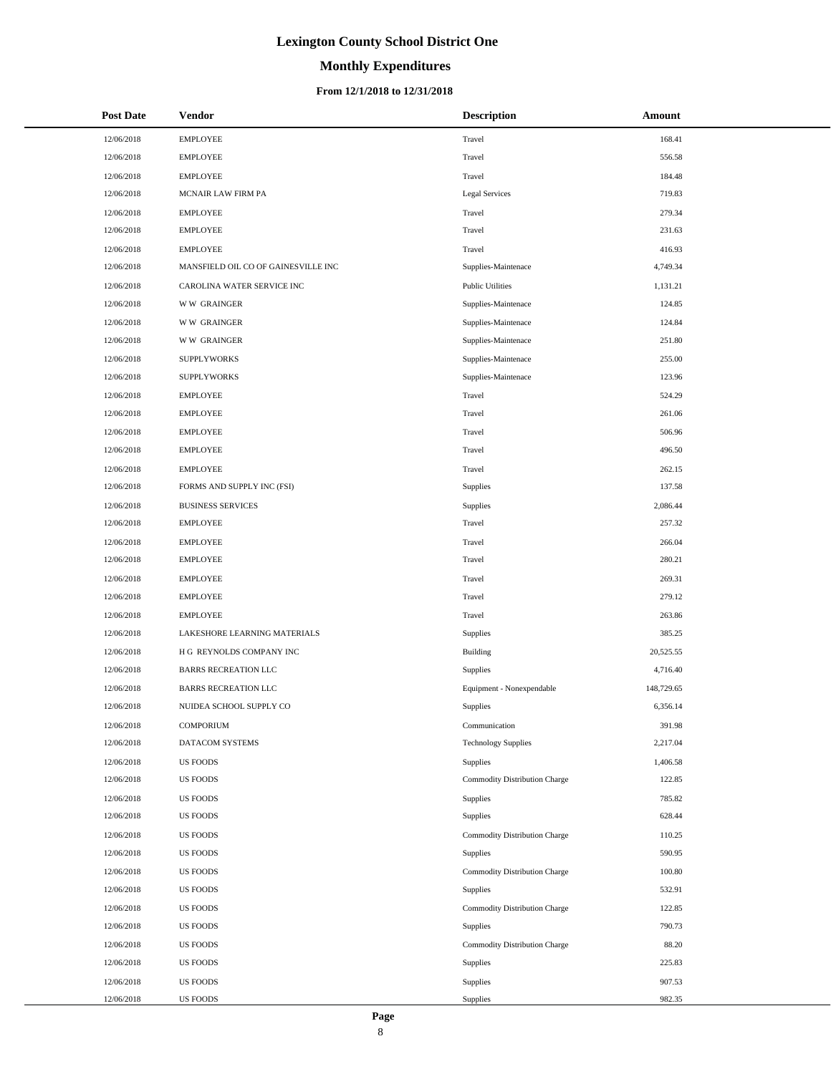# **Monthly Expenditures**

| <b>Post Date</b> | Vendor                              | <b>Description</b>            | Amount     |
|------------------|-------------------------------------|-------------------------------|------------|
| 12/06/2018       | <b>EMPLOYEE</b>                     | Travel                        | 168.41     |
| 12/06/2018       | <b>EMPLOYEE</b>                     | Travel                        | 556.58     |
| 12/06/2018       | <b>EMPLOYEE</b>                     | Travel                        | 184.48     |
| 12/06/2018       | MCNAIR LAW FIRM PA                  | <b>Legal Services</b>         | 719.83     |
| 12/06/2018       | <b>EMPLOYEE</b>                     | Travel                        | 279.34     |
| 12/06/2018       | <b>EMPLOYEE</b>                     | Travel                        | 231.63     |
| 12/06/2018       | <b>EMPLOYEE</b>                     | Travel                        | 416.93     |
| 12/06/2018       | MANSFIELD OIL CO OF GAINESVILLE INC | Supplies-Maintenace           | 4,749.34   |
| 12/06/2018       | CAROLINA WATER SERVICE INC          | <b>Public Utilities</b>       | 1,131.21   |
| 12/06/2018       | <b>WW GRAINGER</b>                  | Supplies-Maintenace           | 124.85     |
| 12/06/2018       | <b>WW GRAINGER</b>                  | Supplies-Maintenace           | 124.84     |
| 12/06/2018       | <b>WW GRAINGER</b>                  | Supplies-Maintenace           | 251.80     |
| 12/06/2018       | <b>SUPPLYWORKS</b>                  | Supplies-Maintenace           | 255.00     |
| 12/06/2018       | <b>SUPPLYWORKS</b>                  | Supplies-Maintenace           | 123.96     |
| 12/06/2018       | <b>EMPLOYEE</b>                     | Travel                        | 524.29     |
| 12/06/2018       | <b>EMPLOYEE</b>                     | Travel                        | 261.06     |
| 12/06/2018       | <b>EMPLOYEE</b>                     | Travel                        | 506.96     |
| 12/06/2018       | <b>EMPLOYEE</b>                     | Travel                        | 496.50     |
| 12/06/2018       | <b>EMPLOYEE</b>                     | Travel                        | 262.15     |
| 12/06/2018       | FORMS AND SUPPLY INC (FSI)          | Supplies                      | 137.58     |
| 12/06/2018       | <b>BUSINESS SERVICES</b>            | Supplies                      | 2,086.44   |
| 12/06/2018       | <b>EMPLOYEE</b>                     | Travel                        | 257.32     |
| 12/06/2018       | <b>EMPLOYEE</b>                     | Travel                        | 266.04     |
| 12/06/2018       | <b>EMPLOYEE</b>                     | Travel                        | 280.21     |
| 12/06/2018       | <b>EMPLOYEE</b>                     | Travel                        | 269.31     |
| 12/06/2018       | <b>EMPLOYEE</b>                     | Travel                        | 279.12     |
| 12/06/2018       | <b>EMPLOYEE</b>                     | Travel                        | 263.86     |
| 12/06/2018       | LAKESHORE LEARNING MATERIALS        | Supplies                      | 385.25     |
| 12/06/2018       | H G REYNOLDS COMPANY INC            | Building                      | 20,525.55  |
| 12/06/2018       | <b>BARRS RECREATION LLC</b>         | Supplies                      | 4,716.40   |
| 12/06/2018       | <b>BARRS RECREATION LLC</b>         | Equipment - Nonexpendable     | 148,729.65 |
| 12/06/2018       | NUIDEA SCHOOL SUPPLY CO             | Supplies                      | 6,356.14   |
| 12/06/2018       | <b>COMPORIUM</b>                    | Communication                 | 391.98     |
| 12/06/2018       | DATACOM SYSTEMS                     | <b>Technology Supplies</b>    | 2,217.04   |
| 12/06/2018       | <b>US FOODS</b>                     | <b>Supplies</b>               | 1,406.58   |
| 12/06/2018       | <b>US FOODS</b>                     | Commodity Distribution Charge | 122.85     |
| 12/06/2018       | <b>US FOODS</b>                     | Supplies                      | 785.82     |
| 12/06/2018       | <b>US FOODS</b>                     | Supplies                      | 628.44     |
| 12/06/2018       | <b>US FOODS</b>                     | Commodity Distribution Charge | 110.25     |
| 12/06/2018       | <b>US FOODS</b>                     | Supplies                      | 590.95     |
| 12/06/2018       | <b>US FOODS</b>                     | Commodity Distribution Charge | 100.80     |
| 12/06/2018       | <b>US FOODS</b>                     | Supplies                      | 532.91     |
| 12/06/2018       | <b>US FOODS</b>                     | Commodity Distribution Charge | 122.85     |
| 12/06/2018       | <b>US FOODS</b>                     | Supplies                      | 790.73     |
| 12/06/2018       | <b>US FOODS</b>                     | Commodity Distribution Charge | 88.20      |
| 12/06/2018       | <b>US FOODS</b>                     | Supplies                      | 225.83     |
| 12/06/2018       | <b>US FOODS</b>                     | Supplies                      | 907.53     |
| 12/06/2018       | <b>US FOODS</b>                     | Supplies                      | 982.35     |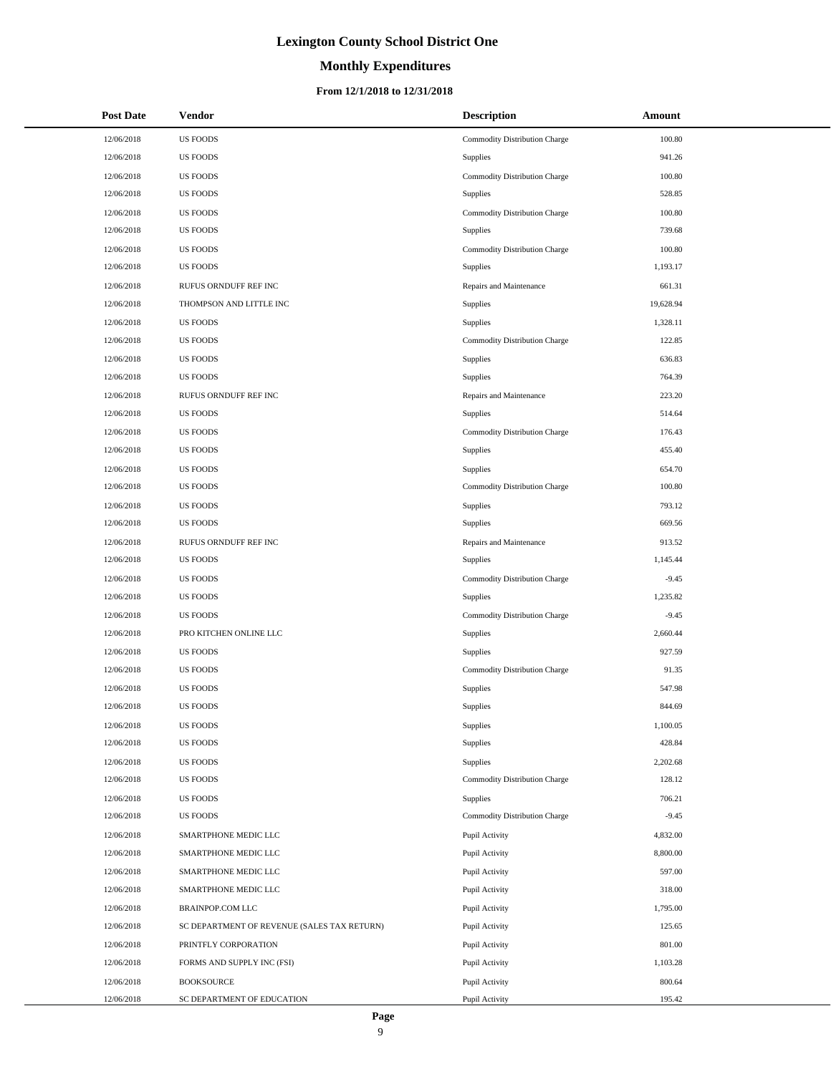## **Monthly Expenditures**

| <b>Post Date</b> | Vendor                                      | <b>Description</b>            | Amount    |
|------------------|---------------------------------------------|-------------------------------|-----------|
| 12/06/2018       | <b>US FOODS</b>                             | Commodity Distribution Charge | 100.80    |
| 12/06/2018       | <b>US FOODS</b>                             | Supplies                      | 941.26    |
| 12/06/2018       | <b>US FOODS</b>                             | Commodity Distribution Charge | 100.80    |
| 12/06/2018       | <b>US FOODS</b>                             | Supplies                      | 528.85    |
| 12/06/2018       | <b>US FOODS</b>                             | Commodity Distribution Charge | 100.80    |
| 12/06/2018       | <b>US FOODS</b>                             | <b>Supplies</b>               | 739.68    |
| 12/06/2018       | <b>US FOODS</b>                             | Commodity Distribution Charge | 100.80    |
| 12/06/2018       | <b>US FOODS</b>                             | Supplies                      | 1,193.17  |
| 12/06/2018       | RUFUS ORNDUFF REF INC                       | Repairs and Maintenance       | 661.31    |
| 12/06/2018       | THOMPSON AND LITTLE INC                     | Supplies                      | 19,628.94 |
| 12/06/2018       | <b>US FOODS</b>                             | Supplies                      | 1,328.11  |
| 12/06/2018       | <b>US FOODS</b>                             | Commodity Distribution Charge | 122.85    |
| 12/06/2018       | <b>US FOODS</b>                             | Supplies                      | 636.83    |
| 12/06/2018       | <b>US FOODS</b>                             | Supplies                      | 764.39    |
| 12/06/2018       | RUFUS ORNDUFF REF INC                       | Repairs and Maintenance       | 223.20    |
| 12/06/2018       | <b>US FOODS</b>                             | Supplies                      | 514.64    |
| 12/06/2018       | <b>US FOODS</b>                             | Commodity Distribution Charge | 176.43    |
| 12/06/2018       | <b>US FOODS</b>                             | Supplies                      | 455.40    |
| 12/06/2018       | <b>US FOODS</b>                             | Supplies                      | 654.70    |
| 12/06/2018       | <b>US FOODS</b>                             | Commodity Distribution Charge | 100.80    |
| 12/06/2018       | <b>US FOODS</b>                             | Supplies                      | 793.12    |
| 12/06/2018       | <b>US FOODS</b>                             | Supplies                      | 669.56    |
| 12/06/2018       | RUFUS ORNDUFF REF INC                       | Repairs and Maintenance       | 913.52    |
| 12/06/2018       | <b>US FOODS</b>                             | Supplies                      | 1,145.44  |
| 12/06/2018       | <b>US FOODS</b>                             | Commodity Distribution Charge | $-9.45$   |
| 12/06/2018       | <b>US FOODS</b>                             | Supplies                      | 1,235.82  |
| 12/06/2018       | <b>US FOODS</b>                             | Commodity Distribution Charge | $-9.45$   |
| 12/06/2018       | PRO KITCHEN ONLINE LLC                      | Supplies                      | 2,660.44  |
| 12/06/2018       | <b>US FOODS</b>                             | Supplies                      | 927.59    |
| 12/06/2018       | <b>US FOODS</b>                             | Commodity Distribution Charge | 91.35     |
| 12/06/2018       | <b>US FOODS</b>                             | Supplies                      | 547.98    |
| 12/06/2018       | <b>US FOODS</b>                             | Supplies                      | 844.69    |
| 12/06/2018       | <b>US FOODS</b>                             | Supplies                      | 1,100.05  |
| 12/06/2018       | <b>US FOODS</b>                             | Supplies                      | 428.84    |
| 12/06/2018       | <b>US FOODS</b>                             | Supplies                      | 2,202.68  |
| 12/06/2018       | <b>US FOODS</b>                             | Commodity Distribution Charge | 128.12    |
| 12/06/2018       | <b>US FOODS</b>                             | Supplies                      | 706.21    |
| 12/06/2018       | <b>US FOODS</b>                             | Commodity Distribution Charge | $-9.45$   |
| 12/06/2018       | SMARTPHONE MEDIC LLC                        | Pupil Activity                | 4,832.00  |
| 12/06/2018       | SMARTPHONE MEDIC LLC                        | Pupil Activity                | 8,800.00  |
| 12/06/2018       | SMARTPHONE MEDIC LLC                        | Pupil Activity                | 597.00    |
| 12/06/2018       | SMARTPHONE MEDIC LLC                        | Pupil Activity                | 318.00    |
| 12/06/2018       | BRAINPOP.COM LLC                            | Pupil Activity                | 1,795.00  |
| 12/06/2018       | SC DEPARTMENT OF REVENUE (SALES TAX RETURN) | Pupil Activity                | 125.65    |
| 12/06/2018       | PRINTFLY CORPORATION                        | Pupil Activity                | 801.00    |
| 12/06/2018       | FORMS AND SUPPLY INC (FSI)                  | Pupil Activity                | 1,103.28  |
| 12/06/2018       | <b>BOOKSOURCE</b>                           | Pupil Activity                | 800.64    |
| 12/06/2018       | SC DEPARTMENT OF EDUCATION                  | Pupil Activity                | 195.42    |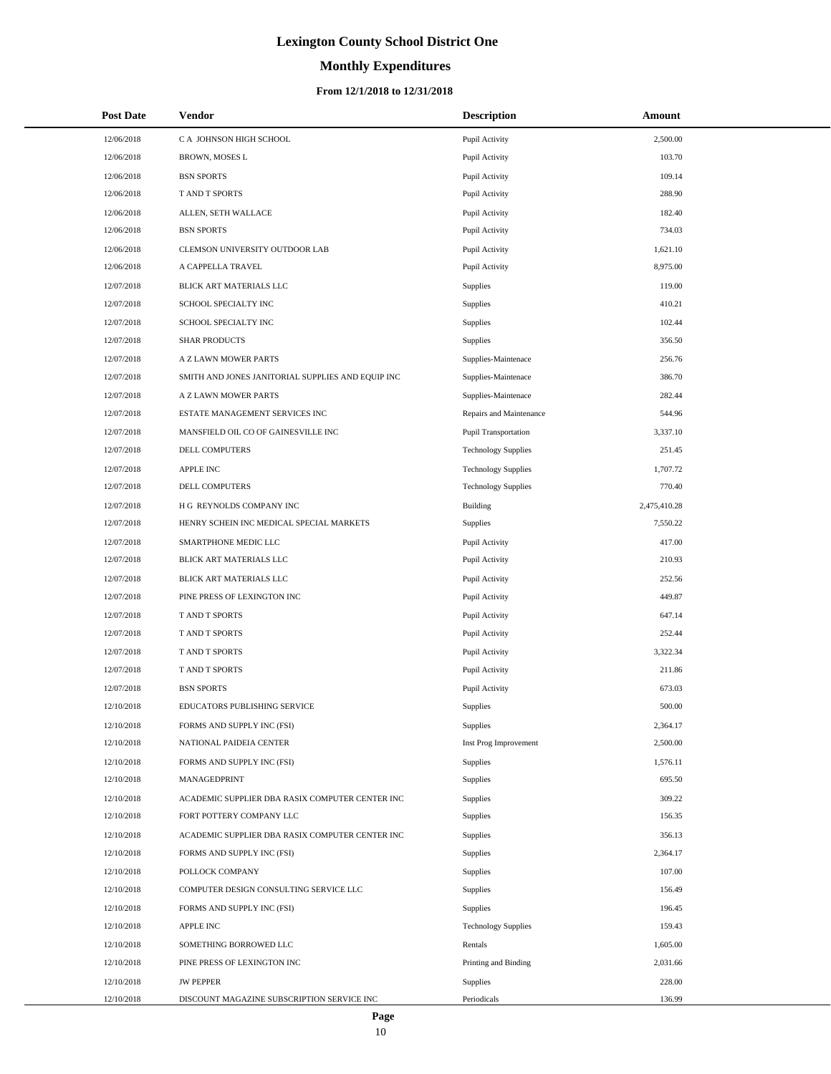# **Monthly Expenditures**

### **From 12/1/2018 to 12/31/2018**

| <b>Post Date</b> | <b>Vendor</b>                                     | <b>Description</b>         | Amount       |
|------------------|---------------------------------------------------|----------------------------|--------------|
| 12/06/2018       | C A JOHNSON HIGH SCHOOL                           | Pupil Activity             | 2,500.00     |
| 12/06/2018       | BROWN, MOSES L                                    | Pupil Activity             | 103.70       |
| 12/06/2018       | <b>BSN SPORTS</b>                                 | Pupil Activity             | 109.14       |
| 12/06/2018       | T AND T SPORTS                                    | Pupil Activity             | 288.90       |
| 12/06/2018       | ALLEN, SETH WALLACE                               | Pupil Activity             | 182.40       |
| 12/06/2018       | <b>BSN SPORTS</b>                                 | Pupil Activity             | 734.03       |
| 12/06/2018       | CLEMSON UNIVERSITY OUTDOOR LAB                    | Pupil Activity             | 1,621.10     |
| 12/06/2018       | A CAPPELLA TRAVEL                                 | Pupil Activity             | 8,975.00     |
| 12/07/2018       | BLICK ART MATERIALS LLC                           | <b>Supplies</b>            | 119.00       |
| 12/07/2018       | SCHOOL SPECIALTY INC                              | <b>Supplies</b>            | 410.21       |
| 12/07/2018       | SCHOOL SPECIALTY INC                              | <b>Supplies</b>            | 102.44       |
| 12/07/2018       | <b>SHAR PRODUCTS</b>                              | <b>Supplies</b>            | 356.50       |
| 12/07/2018       | A Z LAWN MOWER PARTS                              | Supplies-Maintenace        | 256.76       |
| 12/07/2018       | SMITH AND JONES JANITORIAL SUPPLIES AND EQUIP INC | Supplies-Maintenace        | 386.70       |
| 12/07/2018       | A Z LAWN MOWER PARTS                              | Supplies-Maintenace        | 282.44       |
| 12/07/2018       | ESTATE MANAGEMENT SERVICES INC                    | Repairs and Maintenance    | 544.96       |
| 12/07/2018       | MANSFIELD OIL CO OF GAINESVILLE INC               | Pupil Transportation       | 3,337.10     |
| 12/07/2018       | DELL COMPUTERS                                    | <b>Technology Supplies</b> | 251.45       |
| 12/07/2018       | APPLE INC                                         | <b>Technology Supplies</b> | 1,707.72     |
| 12/07/2018       | DELL COMPUTERS                                    | <b>Technology Supplies</b> | 770.40       |
| 12/07/2018       | H G REYNOLDS COMPANY INC                          | Building                   | 2,475,410.28 |
| 12/07/2018       | HENRY SCHEIN INC MEDICAL SPECIAL MARKETS          | <b>Supplies</b>            | 7,550.22     |
| 12/07/2018       | SMARTPHONE MEDIC LLC                              | Pupil Activity             | 417.00       |
| 12/07/2018       | BLICK ART MATERIALS LLC                           | Pupil Activity             | 210.93       |
| 12/07/2018       | BLICK ART MATERIALS LLC                           | Pupil Activity             | 252.56       |
| 12/07/2018       | PINE PRESS OF LEXINGTON INC                       | Pupil Activity             | 449.87       |
| 12/07/2018       | T AND T SPORTS                                    | Pupil Activity             | 647.14       |
| 12/07/2018       | T AND T SPORTS                                    | Pupil Activity             | 252.44       |
| 12/07/2018       | T AND T SPORTS                                    | Pupil Activity             | 3,322.34     |
| 12/07/2018       | T AND T SPORTS                                    | Pupil Activity             | 211.86       |
| 12/07/2018       | <b>BSN SPORTS</b>                                 | Pupil Activity             | 673.03       |
| 12/10/2018       | EDUCATORS PUBLISHING SERVICE                      | Supplies                   | 500.00       |
| 12/10/2018       | FORMS AND SUPPLY INC (FSI)                        | <b>Supplies</b>            | 2,364.17     |
| 12/10/2018       | NATIONAL PAIDEIA CENTER                           | Inst Prog Improvement      | 2,500.00     |
| 12/10/2018       | FORMS AND SUPPLY INC (FSI)                        | <b>Supplies</b>            | 1,576.11     |
| 12/10/2018       | MANAGEDPRINT                                      | <b>Supplies</b>            | 695.50       |
| 12/10/2018       | ACADEMIC SUPPLIER DBA RASIX COMPUTER CENTER INC   | <b>Supplies</b>            | 309.22       |
| 12/10/2018       | FORT POTTERY COMPANY LLC                          | <b>Supplies</b>            | 156.35       |
| 12/10/2018       | ACADEMIC SUPPLIER DBA RASIX COMPUTER CENTER INC   | <b>Supplies</b>            | 356.13       |
| 12/10/2018       | FORMS AND SUPPLY INC (FSI)                        | <b>Supplies</b>            | 2,364.17     |
| 12/10/2018       | POLLOCK COMPANY                                   | Supplies                   | 107.00       |
| 12/10/2018       | COMPUTER DESIGN CONSULTING SERVICE LLC            | <b>Supplies</b>            | 156.49       |
| 12/10/2018       | FORMS AND SUPPLY INC (FSI)                        | Supplies                   | 196.45       |
| 12/10/2018       | <b>APPLE INC</b>                                  | <b>Technology Supplies</b> | 159.43       |
| 12/10/2018       | SOMETHING BORROWED LLC                            | Rentals                    | 1,605.00     |
| 12/10/2018       | PINE PRESS OF LEXINGTON INC                       | Printing and Binding       | 2,031.66     |
| 12/10/2018       | <b>JW PEPPER</b>                                  | <b>Supplies</b>            | 228.00       |
| 12/10/2018       | DISCOUNT MAGAZINE SUBSCRIPTION SERVICE INC        | Periodicals                | 136.99       |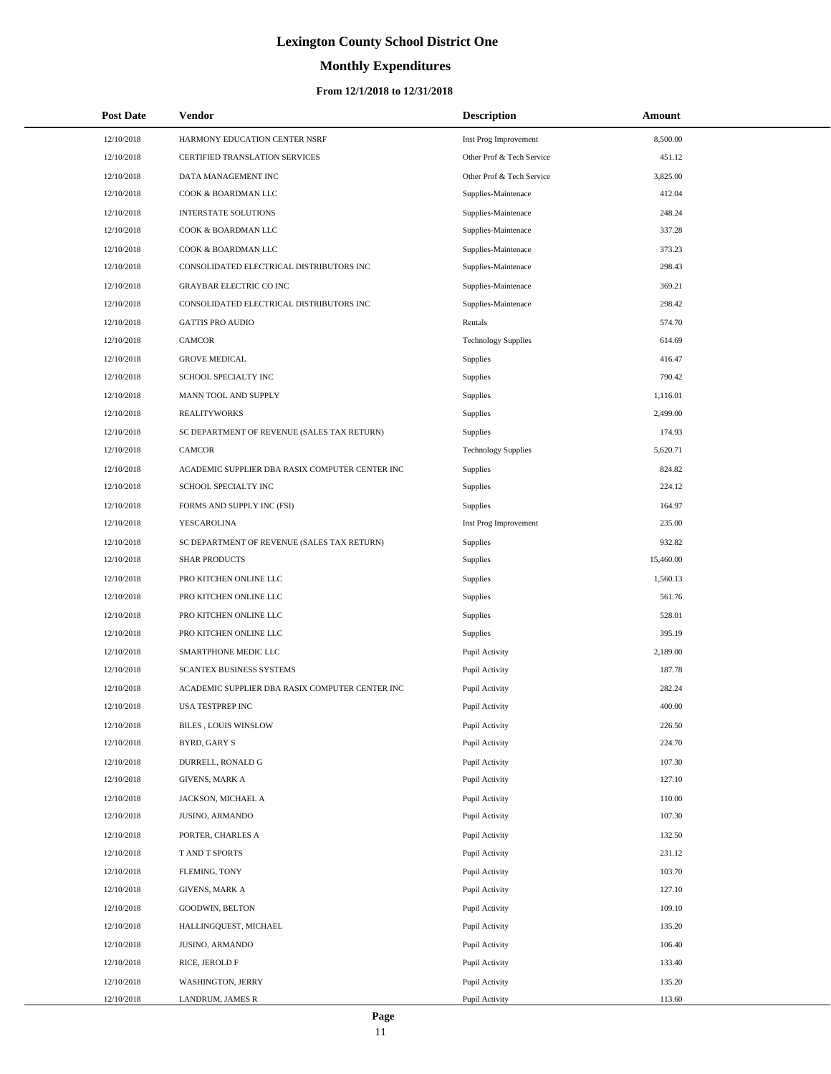# **Monthly Expenditures**

## **From 12/1/2018 to 12/31/2018**

| <b>Post Date</b> | <b>Vendor</b>                                   | <b>Description</b>         | Amount    |
|------------------|-------------------------------------------------|----------------------------|-----------|
| 12/10/2018       | HARMONY EDUCATION CENTER NSRF                   | Inst Prog Improvement      | 8,500.00  |
| 12/10/2018       | <b>CERTIFIED TRANSLATION SERVICES</b>           | Other Prof & Tech Service  | 451.12    |
| 12/10/2018       | DATA MANAGEMENT INC                             | Other Prof & Tech Service  | 3,825.00  |
| 12/10/2018       | COOK & BOARDMAN LLC                             | Supplies-Maintenace        | 412.04    |
| 12/10/2018       | <b>INTERSTATE SOLUTIONS</b>                     | Supplies-Maintenace        | 248.24    |
| 12/10/2018       | COOK & BOARDMAN LLC                             | Supplies-Maintenace        | 337.28    |
| 12/10/2018       | COOK & BOARDMAN LLC                             | Supplies-Maintenace        | 373.23    |
| 12/10/2018       | CONSOLIDATED ELECTRICAL DISTRIBUTORS INC        | Supplies-Maintenace        | 298.43    |
| 12/10/2018       | <b>GRAYBAR ELECTRIC CO INC</b>                  | Supplies-Maintenace        | 369.21    |
| 12/10/2018       | CONSOLIDATED ELECTRICAL DISTRIBUTORS INC        | Supplies-Maintenace        | 298.42    |
| 12/10/2018       | <b>GATTIS PRO AUDIO</b>                         | Rentals                    | 574.70    |
| 12/10/2018       | <b>CAMCOR</b>                                   | <b>Technology Supplies</b> | 614.69    |
| 12/10/2018       | <b>GROVE MEDICAL</b>                            | Supplies                   | 416.47    |
| 12/10/2018       | SCHOOL SPECIALTY INC                            | Supplies                   | 790.42    |
| 12/10/2018       | MANN TOOL AND SUPPLY                            | Supplies                   | 1,116.01  |
| 12/10/2018       | <b>REALITYWORKS</b>                             | Supplies                   | 2,499.00  |
| 12/10/2018       | SC DEPARTMENT OF REVENUE (SALES TAX RETURN)     | Supplies                   | 174.93    |
| 12/10/2018       | <b>CAMCOR</b>                                   | <b>Technology Supplies</b> | 5,620.71  |
| 12/10/2018       | ACADEMIC SUPPLIER DBA RASIX COMPUTER CENTER INC | Supplies                   | 824.82    |
| 12/10/2018       | SCHOOL SPECIALTY INC                            | Supplies                   | 224.12    |
| 12/10/2018       | FORMS AND SUPPLY INC (FSI)                      | Supplies                   | 164.97    |
| 12/10/2018       | YESCAROLINA                                     | Inst Prog Improvement      | 235.00    |
| 12/10/2018       | SC DEPARTMENT OF REVENUE (SALES TAX RETURN)     | Supplies                   | 932.82    |
| 12/10/2018       | <b>SHAR PRODUCTS</b>                            | Supplies                   | 15,460.00 |
| 12/10/2018       | PRO KITCHEN ONLINE LLC                          | Supplies                   | 1,560.13  |
| 12/10/2018       | PRO KITCHEN ONLINE LLC                          | Supplies                   | 561.76    |
| 12/10/2018       | PRO KITCHEN ONLINE LLC                          | Supplies                   | 528.01    |
| 12/10/2018       | PRO KITCHEN ONLINE LLC                          | Supplies                   | 395.19    |
| 12/10/2018       | SMARTPHONE MEDIC LLC                            | Pupil Activity             | 2,189.00  |
| 12/10/2018       | <b>SCANTEX BUSINESS SYSTEMS</b>                 | Pupil Activity             | 187.78    |
| 12/10/2018       | ACADEMIC SUPPLIER DBA RASIX COMPUTER CENTER INC | Pupil Activity             | 282.24    |
| 12/10/2018       | USA TESTPREP INC                                | Pupil Activity             | 400.00    |
| 12/10/2018       | BILES, LOUIS WINSLOW                            | Pupil Activity             | 226.50    |
| 12/10/2018       | BYRD, GARY S                                    | Pupil Activity             | 224.70    |
| 12/10/2018       | DURRELL, RONALD G                               | Pupil Activity             | 107.30    |
| 12/10/2018       | <b>GIVENS, MARK A</b>                           | Pupil Activity             | 127.10    |
| 12/10/2018       | JACKSON, MICHAEL A                              | Pupil Activity             | 110.00    |
| 12/10/2018       | JUSINO, ARMANDO                                 | Pupil Activity             | 107.30    |
| 12/10/2018       | PORTER, CHARLES A                               | Pupil Activity             | 132.50    |
| 12/10/2018       | T AND T SPORTS                                  | Pupil Activity             | 231.12    |
| 12/10/2018       | FLEMING, TONY                                   | Pupil Activity             | 103.70    |
| 12/10/2018       | <b>GIVENS, MARK A</b>                           | Pupil Activity             | 127.10    |
| 12/10/2018       | <b>GOODWIN, BELTON</b>                          | Pupil Activity             | 109.10    |
| 12/10/2018       | HALLINGQUEST, MICHAEL                           | Pupil Activity             | 135.20    |
| 12/10/2018       | JUSINO, ARMANDO                                 | Pupil Activity             | 106.40    |
| 12/10/2018       | RICE, JEROLD F                                  | Pupil Activity             | 133.40    |
| 12/10/2018       | WASHINGTON, JERRY                               | Pupil Activity             | 135.20    |
| 12/10/2018       | LANDRUM, JAMES R                                | Pupil Activity             | 113.60    |

L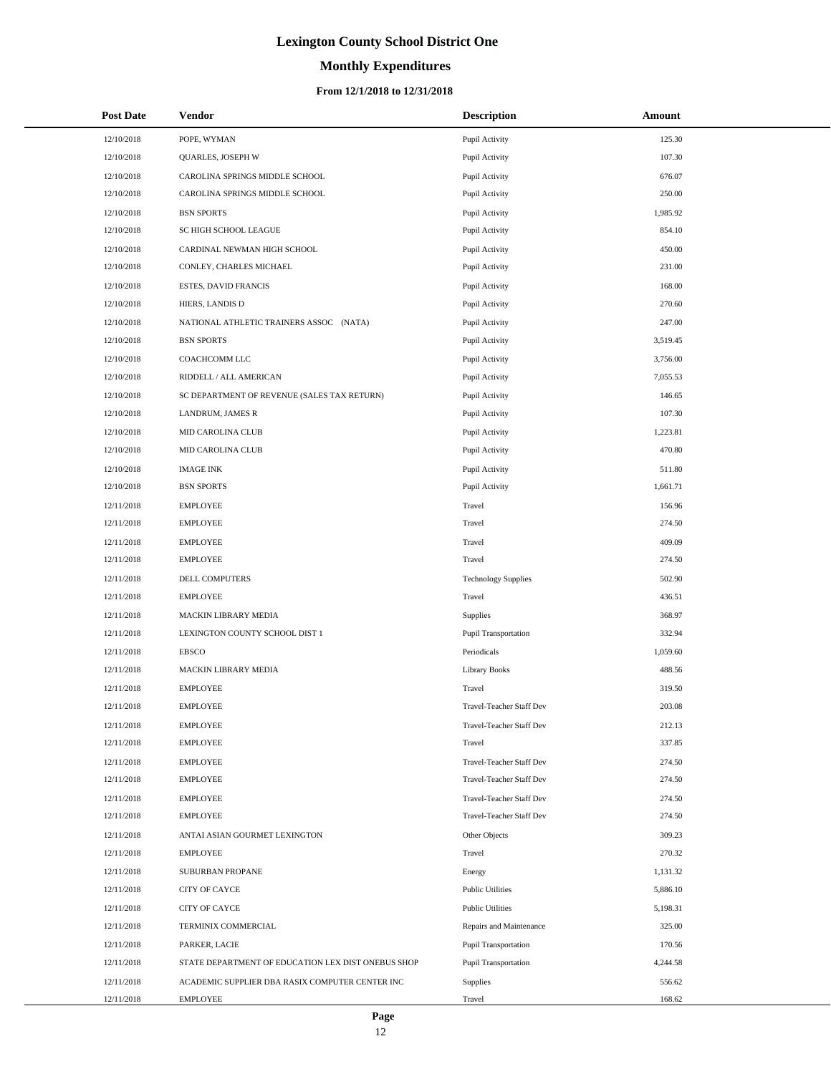# **Monthly Expenditures**

| <b>Post Date</b> | <b>Vendor</b>                                      | <b>Description</b>          | <b>Amount</b> |
|------------------|----------------------------------------------------|-----------------------------|---------------|
| 12/10/2018       | POPE, WYMAN                                        | Pupil Activity              | 125.30        |
| 12/10/2018       | QUARLES, JOSEPH W                                  | Pupil Activity              | 107.30        |
| 12/10/2018       | CAROLINA SPRINGS MIDDLE SCHOOL                     | Pupil Activity              | 676.07        |
| 12/10/2018       | CAROLINA SPRINGS MIDDLE SCHOOL                     | Pupil Activity              | 250.00        |
| 12/10/2018       | <b>BSN SPORTS</b>                                  | Pupil Activity              | 1,985.92      |
| 12/10/2018       | SC HIGH SCHOOL LEAGUE                              | Pupil Activity              | 854.10        |
| 12/10/2018       | CARDINAL NEWMAN HIGH SCHOOL                        | Pupil Activity              | 450.00        |
| 12/10/2018       | CONLEY, CHARLES MICHAEL                            | Pupil Activity              | 231.00        |
| 12/10/2018       | ESTES, DAVID FRANCIS                               | Pupil Activity              | 168.00        |
| 12/10/2018       | HIERS, LANDIS D                                    | Pupil Activity              | 270.60        |
| 12/10/2018       | NATIONAL ATHLETIC TRAINERS ASSOC (NATA)            | Pupil Activity              | 247.00        |
| 12/10/2018       | <b>BSN SPORTS</b>                                  | Pupil Activity              | 3,519.45      |
| 12/10/2018       | COACHCOMM LLC                                      | Pupil Activity              | 3,756.00      |
| 12/10/2018       | RIDDELL / ALL AMERICAN                             | Pupil Activity              | 7,055.53      |
| 12/10/2018       | SC DEPARTMENT OF REVENUE (SALES TAX RETURN)        | Pupil Activity              | 146.65        |
| 12/10/2018       | LANDRUM, JAMES R                                   | Pupil Activity              | 107.30        |
| 12/10/2018       | MID CAROLINA CLUB                                  | Pupil Activity              | 1,223.81      |
| 12/10/2018       | <b>MID CAROLINA CLUB</b>                           | Pupil Activity              | 470.80        |
| 12/10/2018       | <b>IMAGE INK</b>                                   | Pupil Activity              | 511.80        |
| 12/10/2018       | <b>BSN SPORTS</b>                                  | Pupil Activity              | 1,661.71      |
| 12/11/2018       | <b>EMPLOYEE</b>                                    | Travel                      | 156.96        |
| 12/11/2018       | <b>EMPLOYEE</b>                                    | Travel                      | 274.50        |
| 12/11/2018       | <b>EMPLOYEE</b>                                    | Travel                      | 409.09        |
| 12/11/2018       | <b>EMPLOYEE</b>                                    | Travel                      | 274.50        |
| 12/11/2018       | DELL COMPUTERS                                     | <b>Technology Supplies</b>  | 502.90        |
| 12/11/2018       | <b>EMPLOYEE</b>                                    | Travel                      | 436.51        |
| 12/11/2018       | MACKIN LIBRARY MEDIA                               | Supplies                    | 368.97        |
| 12/11/2018       | LEXINGTON COUNTY SCHOOL DIST 1                     | <b>Pupil Transportation</b> | 332.94        |
| 12/11/2018       | <b>EBSCO</b>                                       | Periodicals                 | 1,059.60      |
| 12/11/2018       | MACKIN LIBRARY MEDIA                               | Library Books               | 488.56        |
| 12/11/2018       | <b>EMPLOYEE</b>                                    | Travel                      | 319.50        |
| 12/11/2018       | <b>EMPLOYEE</b>                                    | Travel-Teacher Staff Dev    | 203.08        |
| 12/11/2018       | <b>EMPLOYEE</b>                                    | Travel-Teacher Staff Dev    | 212.13        |
| 12/11/2018       | <b>EMPLOYEE</b>                                    | Travel                      | 337.85        |
| 12/11/2018       | <b>EMPLOYEE</b>                                    | Travel-Teacher Staff Dev    | 274.50        |
| 12/11/2018       | <b>EMPLOYEE</b>                                    | Travel-Teacher Staff Dev    | 274.50        |
| 12/11/2018       | <b>EMPLOYEE</b>                                    | Travel-Teacher Staff Dev    | 274.50        |
| 12/11/2018       | <b>EMPLOYEE</b>                                    | Travel-Teacher Staff Dev    | 274.50        |
| 12/11/2018       | ANTAI ASIAN GOURMET LEXINGTON                      | Other Objects               | 309.23        |
| 12/11/2018       | <b>EMPLOYEE</b>                                    | Travel                      | 270.32        |
| 12/11/2018       | SUBURBAN PROPANE                                   | Energy                      | 1,131.32      |
| 12/11/2018       | CITY OF CAYCE                                      | <b>Public Utilities</b>     | 5,886.10      |
| 12/11/2018       | CITY OF CAYCE                                      | <b>Public Utilities</b>     | 5,198.31      |
| 12/11/2018       | TERMINIX COMMERCIAL                                | Repairs and Maintenance     | 325.00        |
| 12/11/2018       | PARKER, LACIE                                      | Pupil Transportation        | 170.56        |
| 12/11/2018       | STATE DEPARTMENT OF EDUCATION LEX DIST ONEBUS SHOP | <b>Pupil Transportation</b> | 4,244.58      |
| 12/11/2018       | ACADEMIC SUPPLIER DBA RASIX COMPUTER CENTER INC    | Supplies                    | 556.62        |
| 12/11/2018       | EMPLOYEE                                           | Travel                      | 168.62        |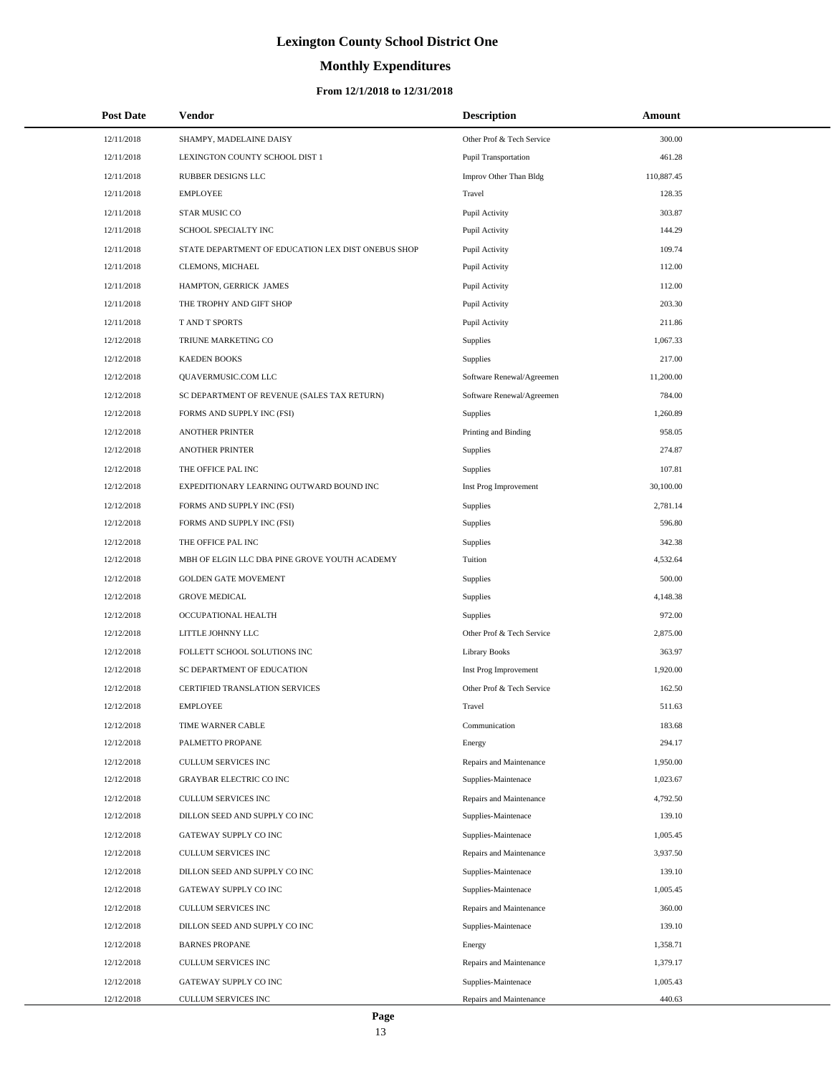# **Monthly Expenditures**

| <b>Post Date</b> | Vendor                                             | <b>Description</b>        | Amount     |
|------------------|----------------------------------------------------|---------------------------|------------|
| 12/11/2018       | SHAMPY, MADELAINE DAISY                            | Other Prof & Tech Service | 300.00     |
| 12/11/2018       | LEXINGTON COUNTY SCHOOL DIST 1                     | Pupil Transportation      | 461.28     |
| 12/11/2018       | RUBBER DESIGNS LLC                                 | Improv Other Than Bldg    | 110,887.45 |
| 12/11/2018       | <b>EMPLOYEE</b>                                    | Travel                    | 128.35     |
| 12/11/2018       | STAR MUSIC CO                                      | Pupil Activity            | 303.87     |
| 12/11/2018       | SCHOOL SPECIALTY INC                               | Pupil Activity            | 144.29     |
| 12/11/2018       | STATE DEPARTMENT OF EDUCATION LEX DIST ONEBUS SHOP | Pupil Activity            | 109.74     |
| 12/11/2018       | CLEMONS, MICHAEL                                   | Pupil Activity            | 112.00     |
| 12/11/2018       | HAMPTON, GERRICK JAMES                             | Pupil Activity            | 112.00     |
| 12/11/2018       | THE TROPHY AND GIFT SHOP                           | Pupil Activity            | 203.30     |
| 12/11/2018       | <b>TAND T SPORTS</b>                               | Pupil Activity            | 211.86     |
| 12/12/2018       | TRIUNE MARKETING CO                                | <b>Supplies</b>           | 1,067.33   |
| 12/12/2018       | <b>KAEDEN BOOKS</b>                                | Supplies                  | 217.00     |
| 12/12/2018       | QUAVERMUSIC.COM LLC                                | Software Renewal/Agreemen | 11,200.00  |
| 12/12/2018       | SC DEPARTMENT OF REVENUE (SALES TAX RETURN)        | Software Renewal/Agreemen | 784.00     |
| 12/12/2018       | FORMS AND SUPPLY INC (FSI)                         | Supplies                  | 1,260.89   |
| 12/12/2018       | <b>ANOTHER PRINTER</b>                             | Printing and Binding      | 958.05     |
| 12/12/2018       | <b>ANOTHER PRINTER</b>                             | Supplies                  | 274.87     |
| 12/12/2018       | THE OFFICE PAL INC                                 | Supplies                  | 107.81     |
| 12/12/2018       | EXPEDITIONARY LEARNING OUTWARD BOUND INC           | Inst Prog Improvement     | 30,100.00  |
| 12/12/2018       | FORMS AND SUPPLY INC (FSI)                         | Supplies                  | 2,781.14   |
| 12/12/2018       | FORMS AND SUPPLY INC (FSI)                         | Supplies                  | 596.80     |
| 12/12/2018       | THE OFFICE PAL INC                                 | Supplies                  | 342.38     |
| 12/12/2018       | MBH OF ELGIN LLC DBA PINE GROVE YOUTH ACADEMY      | Tuition                   | 4,532.64   |
| 12/12/2018       | <b>GOLDEN GATE MOVEMENT</b>                        | Supplies                  | 500.00     |
| 12/12/2018       | <b>GROVE MEDICAL</b>                               | Supplies                  | 4,148.38   |
| 12/12/2018       | OCCUPATIONAL HEALTH                                | Supplies                  | 972.00     |
| 12/12/2018       | LITTLE JOHNNY LLC                                  | Other Prof & Tech Service | 2,875.00   |
| 12/12/2018       | FOLLETT SCHOOL SOLUTIONS INC                       | <b>Library Books</b>      | 363.97     |
| 12/12/2018       | SC DEPARTMENT OF EDUCATION                         | Inst Prog Improvement     | 1,920.00   |
| 12/12/2018       | <b>CERTIFIED TRANSLATION SERVICES</b>              | Other Prof & Tech Service | 162.50     |
| 12/12/2018       | <b>EMPLOYEE</b>                                    | Travel                    | 511.63     |
| 12/12/2018       | TIME WARNER CABLE                                  | Communication             | 183.68     |
| 12/12/2018       | PALMETTO PROPANE                                   | Energy                    | 294.17     |
| 12/12/2018       | CULLUM SERVICES INC                                | Repairs and Maintenance   | 1,950.00   |
| 12/12/2018       | <b>GRAYBAR ELECTRIC CO INC</b>                     | Supplies-Maintenace       | 1,023.67   |
| 12/12/2018       | CULLUM SERVICES INC                                | Repairs and Maintenance   | 4,792.50   |
| 12/12/2018       | DILLON SEED AND SUPPLY CO INC                      | Supplies-Maintenace       | 139.10     |
| 12/12/2018       | GATEWAY SUPPLY CO INC                              | Supplies-Maintenace       | 1,005.45   |
| 12/12/2018       | <b>CULLUM SERVICES INC</b>                         | Repairs and Maintenance   | 3.937.50   |
| 12/12/2018       | DILLON SEED AND SUPPLY CO INC                      | Supplies-Maintenace       | 139.10     |
| 12/12/2018       | GATEWAY SUPPLY CO INC                              | Supplies-Maintenace       | 1,005.45   |
| 12/12/2018       | CULLUM SERVICES INC                                | Repairs and Maintenance   | 360.00     |
| 12/12/2018       | DILLON SEED AND SUPPLY CO INC                      | Supplies-Maintenace       | 139.10     |
| 12/12/2018       | <b>BARNES PROPANE</b>                              | Energy                    | 1,358.71   |
| 12/12/2018       | CULLUM SERVICES INC                                | Repairs and Maintenance   | 1,379.17   |
| 12/12/2018       | GATEWAY SUPPLY CO INC                              | Supplies-Maintenace       | 1,005.43   |
| 12/12/2018       | CULLUM SERVICES INC                                | Repairs and Maintenance   | 440.63     |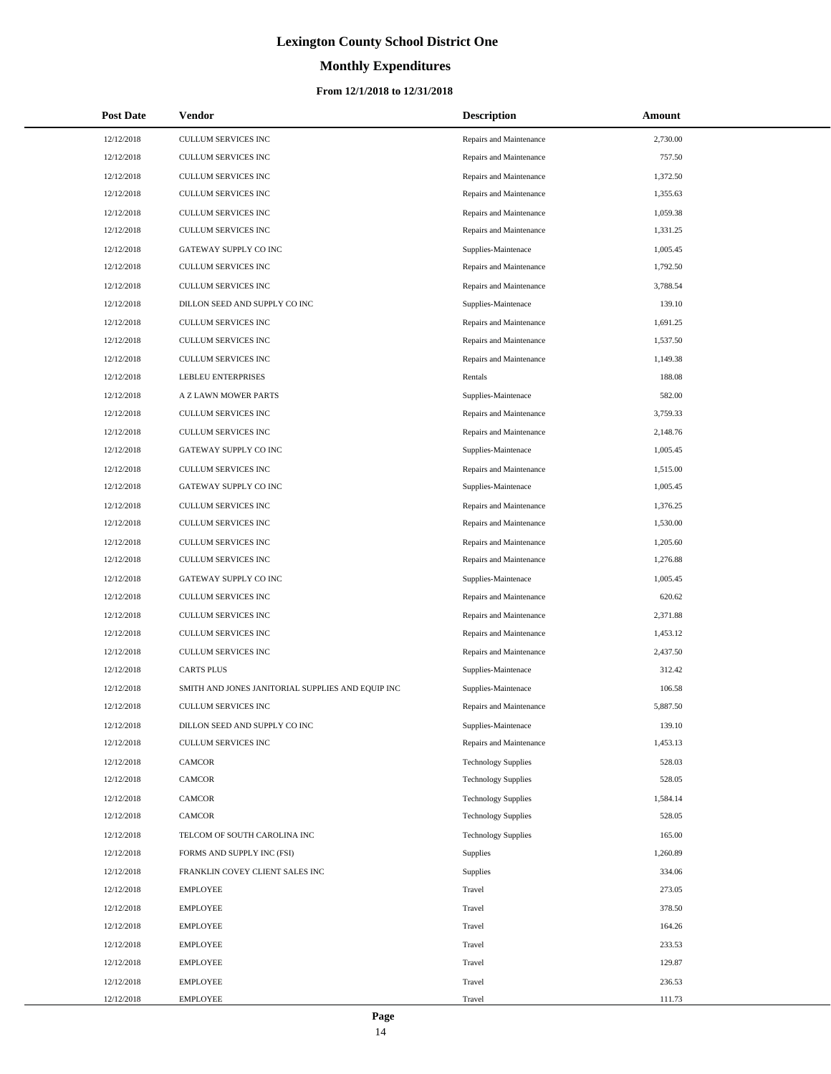# **Monthly Expenditures**

### **From 12/1/2018 to 12/31/2018**

| <b>Post Date</b> | Vendor                                            | <b>Description</b>         | Amount   |
|------------------|---------------------------------------------------|----------------------------|----------|
| 12/12/2018       | CULLUM SERVICES INC                               | Repairs and Maintenance    | 2,730.00 |
| 12/12/2018       | CULLUM SERVICES INC                               | Repairs and Maintenance    | 757.50   |
| 12/12/2018       | CULLUM SERVICES INC                               | Repairs and Maintenance    | 1,372.50 |
| 12/12/2018       | CULLUM SERVICES INC                               | Repairs and Maintenance    | 1,355.63 |
| 12/12/2018       | CULLUM SERVICES INC                               | Repairs and Maintenance    | 1,059.38 |
| 12/12/2018       | CULLUM SERVICES INC                               | Repairs and Maintenance    | 1,331.25 |
| 12/12/2018       | GATEWAY SUPPLY CO INC                             | Supplies-Maintenace        | 1,005.45 |
| 12/12/2018       | CULLUM SERVICES INC                               | Repairs and Maintenance    | 1,792.50 |
| 12/12/2018       | <b>CULLUM SERVICES INC</b>                        | Repairs and Maintenance    | 3,788.54 |
| 12/12/2018       | DILLON SEED AND SUPPLY CO INC                     | Supplies-Maintenace        | 139.10   |
| 12/12/2018       | CULLUM SERVICES INC                               | Repairs and Maintenance    | 1,691.25 |
| 12/12/2018       | CULLUM SERVICES INC                               | Repairs and Maintenance    | 1,537.50 |
| 12/12/2018       | CULLUM SERVICES INC                               | Repairs and Maintenance    | 1,149.38 |
| 12/12/2018       | LEBLEU ENTERPRISES                                | Rentals                    | 188.08   |
| 12/12/2018       | A Z LAWN MOWER PARTS                              | Supplies-Maintenace        | 582.00   |
| 12/12/2018       | CULLUM SERVICES INC                               | Repairs and Maintenance    | 3,759.33 |
| 12/12/2018       | CULLUM SERVICES INC                               | Repairs and Maintenance    | 2,148.76 |
| 12/12/2018       | GATEWAY SUPPLY CO INC                             | Supplies-Maintenace        | 1,005.45 |
| 12/12/2018       | CULLUM SERVICES INC                               | Repairs and Maintenance    | 1,515.00 |
| 12/12/2018       | GATEWAY SUPPLY CO INC                             | Supplies-Maintenace        | 1,005.45 |
| 12/12/2018       | CULLUM SERVICES INC                               | Repairs and Maintenance    | 1,376.25 |
| 12/12/2018       | CULLUM SERVICES INC                               | Repairs and Maintenance    | 1,530.00 |
| 12/12/2018       | CULLUM SERVICES INC                               | Repairs and Maintenance    | 1,205.60 |
| 12/12/2018       | CULLUM SERVICES INC                               | Repairs and Maintenance    | 1,276.88 |
| 12/12/2018       | GATEWAY SUPPLY CO INC                             | Supplies-Maintenace        | 1,005.45 |
| 12/12/2018       | CULLUM SERVICES INC                               | Repairs and Maintenance    | 620.62   |
| 12/12/2018       | CULLUM SERVICES INC                               | Repairs and Maintenance    | 2,371.88 |
| 12/12/2018       | CULLUM SERVICES INC                               | Repairs and Maintenance    | 1,453.12 |
| 12/12/2018       | CULLUM SERVICES INC                               | Repairs and Maintenance    | 2,437.50 |
| 12/12/2018       | <b>CARTS PLUS</b>                                 | Supplies-Maintenace        | 312.42   |
| 12/12/2018       | SMITH AND JONES JANITORIAL SUPPLIES AND EQUIP INC | Supplies-Maintenace        | 106.58   |
| 12/12/2018       | <b>CULLUM SERVICES INC</b>                        | Repairs and Maintenance    | 5,887.50 |
| 12/12/2018       | DILLON SEED AND SUPPLY CO INC                     | Supplies-Maintenace        | 139.10   |
| 12/12/2018       | CULLUM SERVICES INC                               | Repairs and Maintenance    | 1,453.13 |
| 12/12/2018       | CAMCOR                                            | <b>Technology Supplies</b> | 528.03   |
| 12/12/2018       | CAMCOR                                            | <b>Technology Supplies</b> | 528.05   |
| 12/12/2018       | <b>CAMCOR</b>                                     | <b>Technology Supplies</b> | 1,584.14 |
| 12/12/2018       | CAMCOR                                            | <b>Technology Supplies</b> | 528.05   |
| 12/12/2018       | TELCOM OF SOUTH CAROLINA INC                      | <b>Technology Supplies</b> | 165.00   |
| 12/12/2018       | FORMS AND SUPPLY INC (FSI)                        | <b>Supplies</b>            | 1,260.89 |
| 12/12/2018       | FRANKLIN COVEY CLIENT SALES INC                   | Supplies                   | 334.06   |
| 12/12/2018       | <b>EMPLOYEE</b>                                   | Travel                     | 273.05   |
| 12/12/2018       | <b>EMPLOYEE</b>                                   | Travel                     | 378.50   |
| 12/12/2018       | <b>EMPLOYEE</b>                                   | Travel                     | 164.26   |
| 12/12/2018       | <b>EMPLOYEE</b>                                   | Travel                     | 233.53   |
| 12/12/2018       | <b>EMPLOYEE</b>                                   | Travel                     | 129.87   |
| 12/12/2018       | <b>EMPLOYEE</b>                                   | Travel                     | 236.53   |
| 12/12/2018       | <b>EMPLOYEE</b>                                   | Travel                     | 111.73   |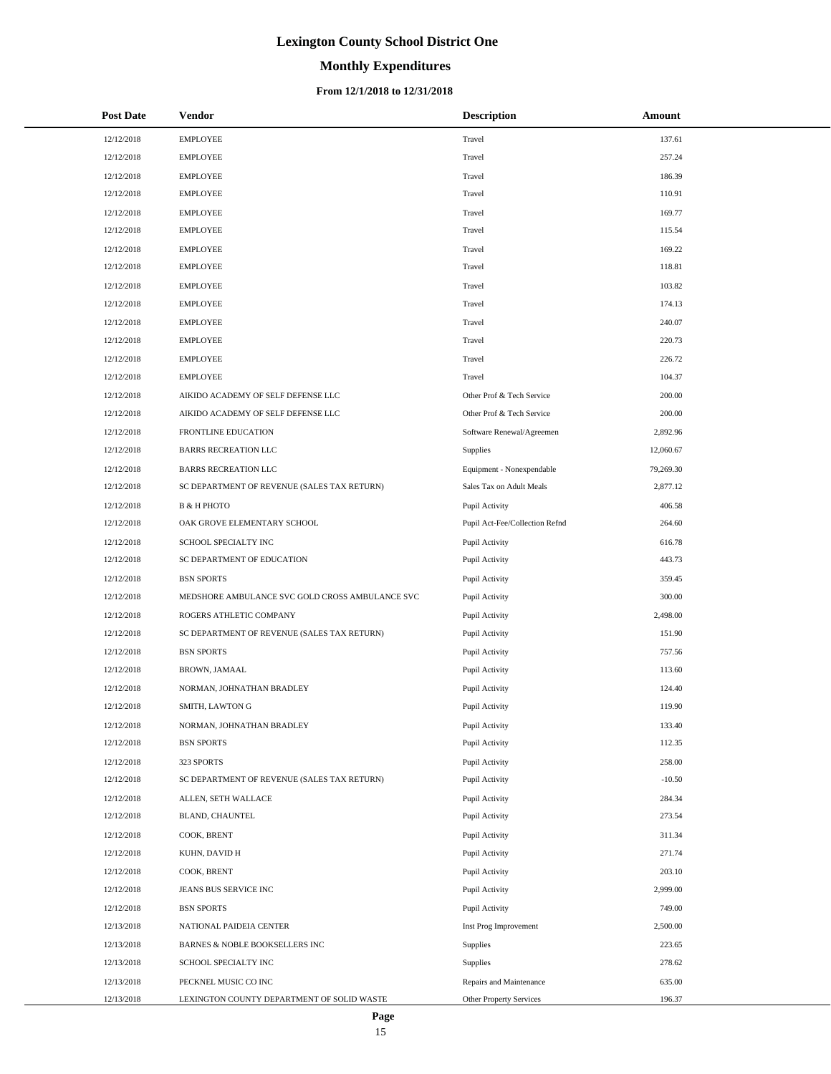# **Monthly Expenditures**

### **From 12/1/2018 to 12/31/2018**

| <b>Post Date</b> | <b>Vendor</b>                                   | <b>Description</b>             | Amount    |
|------------------|-------------------------------------------------|--------------------------------|-----------|
| 12/12/2018       | <b>EMPLOYEE</b>                                 | Travel                         | 137.61    |
| 12/12/2018       | <b>EMPLOYEE</b>                                 | Travel                         | 257.24    |
| 12/12/2018       | <b>EMPLOYEE</b>                                 | Travel                         | 186.39    |
| 12/12/2018       | <b>EMPLOYEE</b>                                 | Travel                         | 110.91    |
| 12/12/2018       | <b>EMPLOYEE</b>                                 | Travel                         | 169.77    |
| 12/12/2018       | <b>EMPLOYEE</b>                                 | Travel                         | 115.54    |
| 12/12/2018       | <b>EMPLOYEE</b>                                 | Travel                         | 169.22    |
| 12/12/2018       | <b>EMPLOYEE</b>                                 | Travel                         | 118.81    |
| 12/12/2018       | <b>EMPLOYEE</b>                                 | Travel                         | 103.82    |
| 12/12/2018       | <b>EMPLOYEE</b>                                 | Travel                         | 174.13    |
| 12/12/2018       | <b>EMPLOYEE</b>                                 | Travel                         | 240.07    |
| 12/12/2018       | <b>EMPLOYEE</b>                                 | Travel                         | 220.73    |
| 12/12/2018       | <b>EMPLOYEE</b>                                 | Travel                         | 226.72    |
| 12/12/2018       | <b>EMPLOYEE</b>                                 | Travel                         | 104.37    |
| 12/12/2018       | AIKIDO ACADEMY OF SELF DEFENSE LLC              | Other Prof & Tech Service      | 200.00    |
| 12/12/2018       | AIKIDO ACADEMY OF SELF DEFENSE LLC              | Other Prof & Tech Service      | 200.00    |
| 12/12/2018       | FRONTLINE EDUCATION                             | Software Renewal/Agreemen      | 2,892.96  |
| 12/12/2018       | <b>BARRS RECREATION LLC</b>                     | Supplies                       | 12,060.67 |
| 12/12/2018       | <b>BARRS RECREATION LLC</b>                     | Equipment - Nonexpendable      | 79,269.30 |
| 12/12/2018       | SC DEPARTMENT OF REVENUE (SALES TAX RETURN)     | Sales Tax on Adult Meals       | 2,877.12  |
| 12/12/2018       | <b>B &amp; H PHOTO</b>                          | Pupil Activity                 | 406.58    |
| 12/12/2018       | OAK GROVE ELEMENTARY SCHOOL                     | Pupil Act-Fee/Collection Refnd | 264.60    |
| 12/12/2018       | SCHOOL SPECIALTY INC                            | Pupil Activity                 | 616.78    |
| 12/12/2018       | SC DEPARTMENT OF EDUCATION                      | Pupil Activity                 | 443.73    |
| 12/12/2018       | <b>BSN SPORTS</b>                               | Pupil Activity                 | 359.45    |
| 12/12/2018       | MEDSHORE AMBULANCE SVC GOLD CROSS AMBULANCE SVC | Pupil Activity                 | 300.00    |
| 12/12/2018       | ROGERS ATHLETIC COMPANY                         | Pupil Activity                 | 2,498.00  |
| 12/12/2018       | SC DEPARTMENT OF REVENUE (SALES TAX RETURN)     | Pupil Activity                 | 151.90    |
| 12/12/2018       | <b>BSN SPORTS</b>                               | Pupil Activity                 | 757.56    |
| 12/12/2018       | BROWN, JAMAAL                                   | Pupil Activity                 | 113.60    |
| 12/12/2018       | NORMAN, JOHNATHAN BRADLEY                       | Pupil Activity                 | 124.40    |
| 12/12/2018       | SMITH, LAWTON G                                 | Pupil Activity                 | 119.90    |
| 12/12/2018       | NORMAN, JOHNATHAN BRADLEY                       | Pupil Activity                 | 133.40    |
| 12/12/2018       | <b>BSN SPORTS</b>                               | Pupil Activity                 | 112.35    |
| 12/12/2018       | 323 SPORTS                                      | Pupil Activity                 | 258.00    |
| 12/12/2018       | SC DEPARTMENT OF REVENUE (SALES TAX RETURN)     | Pupil Activity                 | $-10.50$  |
| 12/12/2018       | ALLEN, SETH WALLACE                             | Pupil Activity                 | 284.34    |
| 12/12/2018       | BLAND, CHAUNTEL                                 | Pupil Activity                 | 273.54    |
| 12/12/2018       | COOK, BRENT                                     | Pupil Activity                 | 311.34    |
| 12/12/2018       | KUHN, DAVID H                                   | Pupil Activity                 | 271.74    |
| 12/12/2018       | COOK, BRENT                                     | Pupil Activity                 | 203.10    |
| 12/12/2018       | JEANS BUS SERVICE INC                           | Pupil Activity                 | 2,999.00  |
| 12/12/2018       | <b>BSN SPORTS</b>                               | Pupil Activity                 | 749.00    |
| 12/13/2018       | NATIONAL PAIDEIA CENTER                         | Inst Prog Improvement          | 2,500.00  |
| 12/13/2018       | BARNES & NOBLE BOOKSELLERS INC                  | Supplies                       | 223.65    |
| 12/13/2018       | SCHOOL SPECIALTY INC                            | Supplies                       | 278.62    |
| 12/13/2018       | PECKNEL MUSIC CO INC                            | Repairs and Maintenance        | 635.00    |
| 12/13/2018       | LEXINGTON COUNTY DEPARTMENT OF SOLID WASTE      | Other Property Services        | 196.37    |

 $\overline{\phantom{a}}$  $\overline{\phantom{a}}$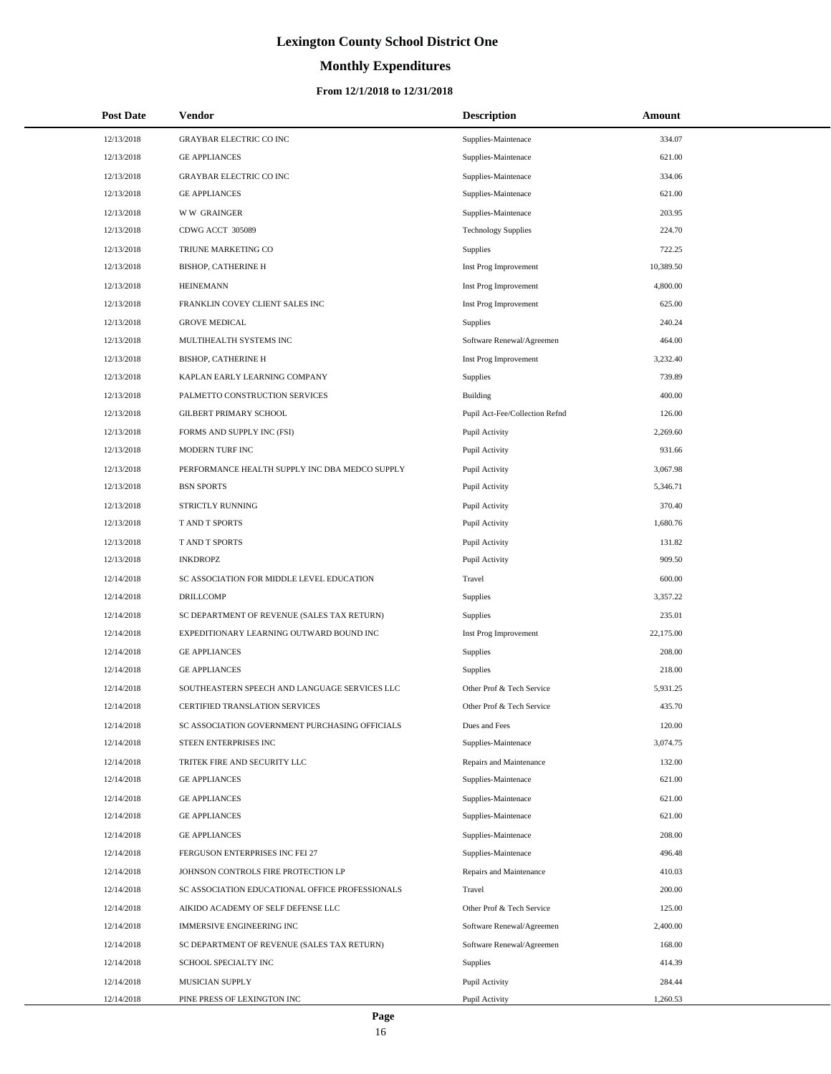# **Monthly Expenditures**

| <b>Post Date</b> | Vendor                                          | <b>Description</b>             | Amount    |
|------------------|-------------------------------------------------|--------------------------------|-----------|
| 12/13/2018       | <b>GRAYBAR ELECTRIC CO INC</b>                  | Supplies-Maintenace            | 334.07    |
| 12/13/2018       | <b>GE APPLIANCES</b>                            | Supplies-Maintenace            | 621.00    |
| 12/13/2018       | <b>GRAYBAR ELECTRIC CO INC</b>                  | Supplies-Maintenace            | 334.06    |
| 12/13/2018       | <b>GE APPLIANCES</b>                            | Supplies-Maintenace            | 621.00    |
| 12/13/2018       | <b>WW GRAINGER</b>                              | Supplies-Maintenace            | 203.95    |
| 12/13/2018       | CDWG ACCT 305089                                | <b>Technology Supplies</b>     | 224.70    |
| 12/13/2018       | TRIUNE MARKETING CO                             | Supplies                       | 722.25    |
| 12/13/2018       | <b>BISHOP, CATHERINE H</b>                      | Inst Prog Improvement          | 10,389.50 |
| 12/13/2018       | <b>HEINEMANN</b>                                | Inst Prog Improvement          | 4,800.00  |
| 12/13/2018       | FRANKLIN COVEY CLIENT SALES INC                 | Inst Prog Improvement          | 625.00    |
| 12/13/2018       | <b>GROVE MEDICAL</b>                            | Supplies                       | 240.24    |
| 12/13/2018       | MULTIHEALTH SYSTEMS INC                         | Software Renewal/Agreemen      | 464.00    |
| 12/13/2018       | <b>BISHOP, CATHERINE H</b>                      | Inst Prog Improvement          | 3,232.40  |
| 12/13/2018       | KAPLAN EARLY LEARNING COMPANY                   | Supplies                       | 739.89    |
| 12/13/2018       | PALMETTO CONSTRUCTION SERVICES                  | <b>Building</b>                | 400.00    |
| 12/13/2018       | GILBERT PRIMARY SCHOOL                          | Pupil Act-Fee/Collection Refnd | 126.00    |
| 12/13/2018       | FORMS AND SUPPLY INC (FSI)                      | Pupil Activity                 | 2,269.60  |
| 12/13/2018       | MODERN TURF INC                                 | Pupil Activity                 | 931.66    |
| 12/13/2018       | PERFORMANCE HEALTH SUPPLY INC DBA MEDCO SUPPLY  | Pupil Activity                 | 3,067.98  |
| 12/13/2018       | <b>BSN SPORTS</b>                               | Pupil Activity                 | 5,346.71  |
| 12/13/2018       | STRICTLY RUNNING                                | Pupil Activity                 | 370.40    |
| 12/13/2018       | T AND T SPORTS                                  | Pupil Activity                 | 1,680.76  |
| 12/13/2018       | <b>TAND T SPORTS</b>                            | Pupil Activity                 | 131.82    |
| 12/13/2018       | <b>INKDROPZ</b>                                 | Pupil Activity                 | 909.50    |
| 12/14/2018       | SC ASSOCIATION FOR MIDDLE LEVEL EDUCATION       | Travel                         | 600.00    |
| 12/14/2018       | <b>DRILLCOMP</b>                                | Supplies                       | 3,357.22  |
| 12/14/2018       | SC DEPARTMENT OF REVENUE (SALES TAX RETURN)     | Supplies                       | 235.01    |
| 12/14/2018       | EXPEDITIONARY LEARNING OUTWARD BOUND INC        | Inst Prog Improvement          | 22,175.00 |
| 12/14/2018       | <b>GE APPLIANCES</b>                            | Supplies                       | 208.00    |
| 12/14/2018       | <b>GE APPLIANCES</b>                            | Supplies                       | 218.00    |
| 12/14/2018       | SOUTHEASTERN SPEECH AND LANGUAGE SERVICES LLC   | Other Prof & Tech Service      | 5,931.25  |
| 12/14/2018       | CERTIFIED TRANSLATION SERVICES                  | Other Prof & Tech Service      | 435.70    |
| 12/14/2018       | SC ASSOCIATION GOVERNMENT PURCHASING OFFICIALS  | Dues and Fees                  | 120.00    |
| 12/14/2018       | STEEN ENTERPRISES INC                           | Supplies-Maintenace            | 3,074.75  |
| 12/14/2018       | TRITEK FIRE AND SECURITY LLC                    | Repairs and Maintenance        | 132.00    |
| 12/14/2018       | <b>GE APPLIANCES</b>                            | Supplies-Maintenace            | 621.00    |
| 12/14/2018       | <b>GE APPLIANCES</b>                            | Supplies-Maintenace            | 621.00    |
| 12/14/2018       | <b>GE APPLIANCES</b>                            | Supplies-Maintenace            | 621.00    |
| 12/14/2018       | <b>GE APPLIANCES</b>                            | Supplies-Maintenace            | 208.00    |
| 12/14/2018       | FERGUSON ENTERPRISES INC FEI 27                 | Supplies-Maintenace            | 496.48    |
| 12/14/2018       | JOHNSON CONTROLS FIRE PROTECTION LP             | Repairs and Maintenance        | 410.03    |
| 12/14/2018       | SC ASSOCIATION EDUCATIONAL OFFICE PROFESSIONALS | Travel                         | 200.00    |
| 12/14/2018       | AIKIDO ACADEMY OF SELF DEFENSE LLC              | Other Prof & Tech Service      | 125.00    |
| 12/14/2018       | <b>IMMERSIVE ENGINEERING INC</b>                | Software Renewal/Agreemen      | 2,400.00  |
| 12/14/2018       | SC DEPARTMENT OF REVENUE (SALES TAX RETURN)     | Software Renewal/Agreemen      | 168.00    |
| 12/14/2018       | SCHOOL SPECIALTY INC                            | <b>Supplies</b>                | 414.39    |
| 12/14/2018       | MUSICIAN SUPPLY                                 | Pupil Activity                 | 284.44    |
| 12/14/2018       | PINE PRESS OF LEXINGTON INC                     | Pupil Activity                 | 1,260.53  |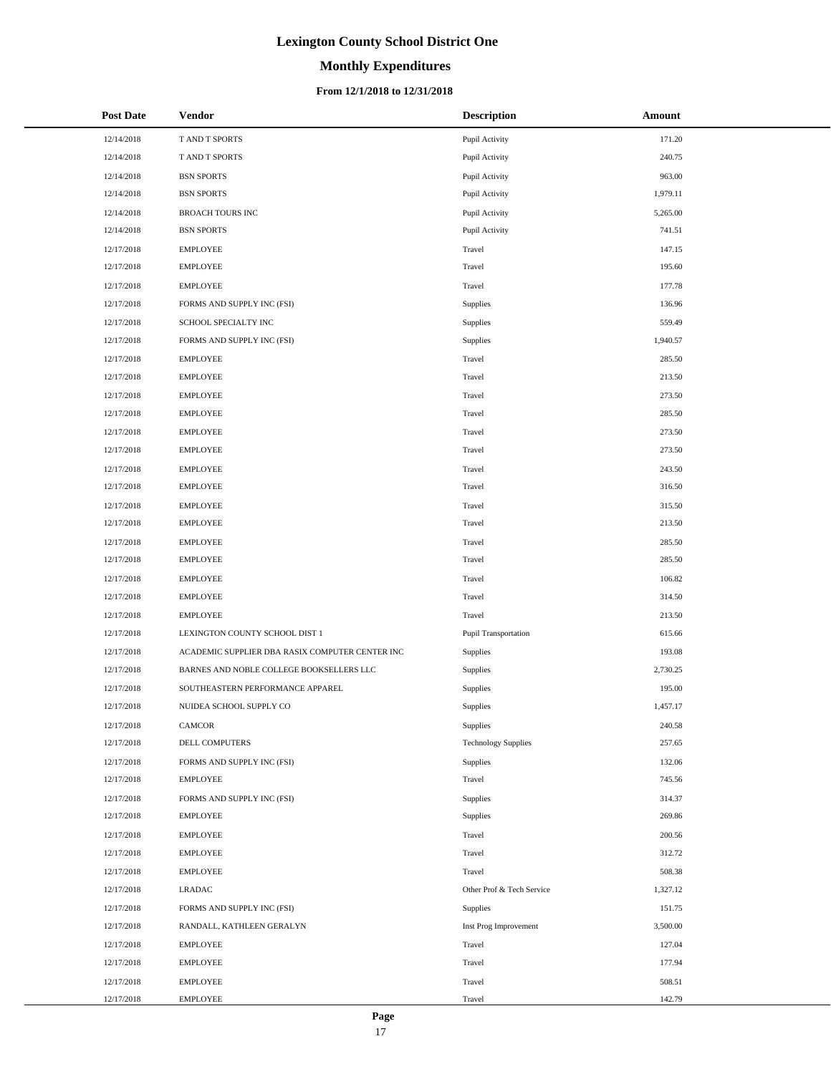# **Monthly Expenditures**

### **From 12/1/2018 to 12/31/2018**

| <b>Post Date</b> | <b>Vendor</b>                                   | <b>Description</b>         | Amount   |
|------------------|-------------------------------------------------|----------------------------|----------|
| 12/14/2018       | T AND T SPORTS                                  | Pupil Activity             | 171.20   |
| 12/14/2018       | T AND T SPORTS                                  | Pupil Activity             | 240.75   |
| 12/14/2018       | <b>BSN SPORTS</b>                               | Pupil Activity             | 963.00   |
| 12/14/2018       | <b>BSN SPORTS</b>                               | Pupil Activity             | 1,979.11 |
| 12/14/2018       | <b>BROACH TOURS INC</b>                         | Pupil Activity             | 5,265.00 |
| 12/14/2018       | <b>BSN SPORTS</b>                               | Pupil Activity             | 741.51   |
| 12/17/2018       | <b>EMPLOYEE</b>                                 | Travel                     | 147.15   |
| 12/17/2018       | <b>EMPLOYEE</b>                                 | Travel                     | 195.60   |
| 12/17/2018       | <b>EMPLOYEE</b>                                 | Travel                     | 177.78   |
| 12/17/2018       | FORMS AND SUPPLY INC (FSI)                      | Supplies                   | 136.96   |
| 12/17/2018       | SCHOOL SPECIALTY INC                            | Supplies                   | 559.49   |
| 12/17/2018       | FORMS AND SUPPLY INC (FSI)                      | Supplies                   | 1,940.57 |
| 12/17/2018       | <b>EMPLOYEE</b>                                 | Travel                     | 285.50   |
| 12/17/2018       | <b>EMPLOYEE</b>                                 | Travel                     | 213.50   |
| 12/17/2018       | <b>EMPLOYEE</b>                                 | Travel                     | 273.50   |
| 12/17/2018       | <b>EMPLOYEE</b>                                 | Travel                     | 285.50   |
| 12/17/2018       | <b>EMPLOYEE</b>                                 | Travel                     | 273.50   |
| 12/17/2018       | <b>EMPLOYEE</b>                                 | Travel                     | 273.50   |
| 12/17/2018       | <b>EMPLOYEE</b>                                 | Travel                     | 243.50   |
| 12/17/2018       | <b>EMPLOYEE</b>                                 | Travel                     | 316.50   |
| 12/17/2018       | <b>EMPLOYEE</b>                                 | Travel                     | 315.50   |
| 12/17/2018       | <b>EMPLOYEE</b>                                 | Travel                     | 213.50   |
| 12/17/2018       | <b>EMPLOYEE</b>                                 | Travel                     | 285.50   |
| 12/17/2018       | <b>EMPLOYEE</b>                                 | Travel                     | 285.50   |
| 12/17/2018       | <b>EMPLOYEE</b>                                 | Travel                     | 106.82   |
| 12/17/2018       | <b>EMPLOYEE</b>                                 | Travel                     | 314.50   |
| 12/17/2018       | <b>EMPLOYEE</b>                                 | Travel                     | 213.50   |
| 12/17/2018       | LEXINGTON COUNTY SCHOOL DIST 1                  | Pupil Transportation       | 615.66   |
| 12/17/2018       | ACADEMIC SUPPLIER DBA RASIX COMPUTER CENTER INC | Supplies                   | 193.08   |
| 12/17/2018       | BARNES AND NOBLE COLLEGE BOOKSELLERS LLC        | Supplies                   | 2,730.25 |
| 12/17/2018       | SOUTHEASTERN PERFORMANCE APPAREL                | Supplies                   | 195.00   |
| 12/17/2018       | NUIDEA SCHOOL SUPPLY CO                         | Supplies                   | 1,457.17 |
| 12/17/2018       | CAMCOR                                          | Supplies                   | 240.58   |
| 12/17/2018       | DELL COMPUTERS                                  | <b>Technology Supplies</b> | 257.65   |
| 12/17/2018       | FORMS AND SUPPLY INC (FSI)                      | Supplies                   | 132.06   |
| 12/17/2018       | <b>EMPLOYEE</b>                                 | Travel                     | 745.56   |
| 12/17/2018       | FORMS AND SUPPLY INC (FSI)                      | Supplies                   | 314.37   |
| 12/17/2018       | <b>EMPLOYEE</b>                                 | Supplies                   | 269.86   |
| 12/17/2018       | <b>EMPLOYEE</b>                                 | Travel                     | 200.56   |
| 12/17/2018       | <b>EMPLOYEE</b>                                 | Travel                     | 312.72   |
| 12/17/2018       | <b>EMPLOYEE</b>                                 | Travel                     | 508.38   |
| 12/17/2018       | <b>LRADAC</b>                                   | Other Prof & Tech Service  | 1,327.12 |
| 12/17/2018       | FORMS AND SUPPLY INC (FSI)                      | Supplies                   | 151.75   |
| 12/17/2018       | RANDALL, KATHLEEN GERALYN                       | Inst Prog Improvement      | 3,500.00 |
| 12/17/2018       | <b>EMPLOYEE</b>                                 | Travel                     | 127.04   |
| 12/17/2018       | <b>EMPLOYEE</b>                                 | Travel                     | 177.94   |
| 12/17/2018       | <b>EMPLOYEE</b>                                 | Travel                     | 508.51   |
| 12/17/2018       | <b>EMPLOYEE</b>                                 | Travel                     | 142.79   |

 $\overline{a}$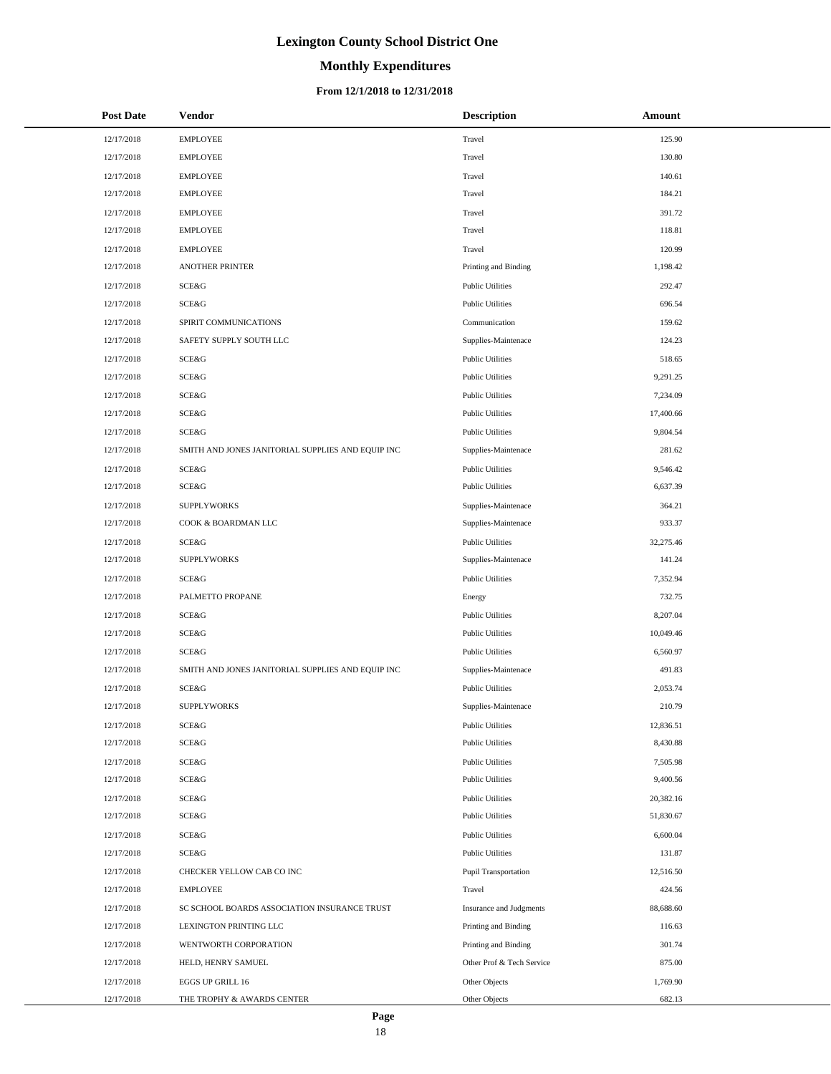# **Monthly Expenditures**

### **From 12/1/2018 to 12/31/2018**

| <b>Post Date</b> | Vendor                                            | <b>Description</b>        | Amount    |
|------------------|---------------------------------------------------|---------------------------|-----------|
| 12/17/2018       | <b>EMPLOYEE</b>                                   | Travel                    | 125.90    |
| 12/17/2018       | <b>EMPLOYEE</b>                                   | Travel                    | 130.80    |
| 12/17/2018       | <b>EMPLOYEE</b>                                   | Travel                    | 140.61    |
| 12/17/2018       | <b>EMPLOYEE</b>                                   | Travel                    | 184.21    |
| 12/17/2018       | <b>EMPLOYEE</b>                                   | Travel                    | 391.72    |
| 12/17/2018       | <b>EMPLOYEE</b>                                   | Travel                    | 118.81    |
| 12/17/2018       | <b>EMPLOYEE</b>                                   | Travel                    | 120.99    |
| 12/17/2018       | <b>ANOTHER PRINTER</b>                            | Printing and Binding      | 1,198.42  |
| 12/17/2018       | SCE&G                                             | <b>Public Utilities</b>   | 292.47    |
| 12/17/2018       | SCE&G                                             | <b>Public Utilities</b>   | 696.54    |
| 12/17/2018       | SPIRIT COMMUNICATIONS                             | Communication             | 159.62    |
| 12/17/2018       | SAFETY SUPPLY SOUTH LLC                           | Supplies-Maintenace       | 124.23    |
| 12/17/2018       | SCE&G                                             | <b>Public Utilities</b>   | 518.65    |
| 12/17/2018       | SCE&G                                             | <b>Public Utilities</b>   | 9,291.25  |
| 12/17/2018       | SCE&G                                             | <b>Public Utilities</b>   | 7,234.09  |
| 12/17/2018       | SCE&G                                             | <b>Public Utilities</b>   | 17,400.66 |
| 12/17/2018       | SCE&G                                             | <b>Public Utilities</b>   | 9,804.54  |
| 12/17/2018       | SMITH AND JONES JANITORIAL SUPPLIES AND EQUIP INC | Supplies-Maintenace       | 281.62    |
| 12/17/2018       | SCE&G                                             | <b>Public Utilities</b>   | 9,546.42  |
| 12/17/2018       | SCE&G                                             | <b>Public Utilities</b>   | 6,637.39  |
| 12/17/2018       | <b>SUPPLYWORKS</b>                                | Supplies-Maintenace       | 364.21    |
| 12/17/2018       | COOK & BOARDMAN LLC                               | Supplies-Maintenace       | 933.37    |
| 12/17/2018       | SCE&G                                             | <b>Public Utilities</b>   | 32,275.46 |
| 12/17/2018       | <b>SUPPLYWORKS</b>                                | Supplies-Maintenace       | 141.24    |
| 12/17/2018       | SCE&G                                             | <b>Public Utilities</b>   | 7,352.94  |
| 12/17/2018       | PALMETTO PROPANE                                  | Energy                    | 732.75    |
| 12/17/2018       | SCE&G                                             | <b>Public Utilities</b>   | 8,207.04  |
| 12/17/2018       | SCE&G                                             | <b>Public Utilities</b>   | 10,049.46 |
| 12/17/2018       | SCE&G                                             | <b>Public Utilities</b>   | 6,560.97  |
| 12/17/2018       | SMITH AND JONES JANITORIAL SUPPLIES AND EQUIP INC | Supplies-Maintenace       | 491.83    |
| 12/17/2018       | SCE&G                                             | <b>Public Utilities</b>   | 2,053.74  |
| 12/17/2018       | <b>SUPPLYWORKS</b>                                | Supplies-Maintenace       | 210.79    |
| 12/17/2018       | SCE&G                                             | <b>Public Utilities</b>   | 12,836.51 |
| 12/17/2018       | SCE&G                                             | <b>Public Utilities</b>   | 8,430.88  |
| 12/17/2018       | SCE&G                                             | <b>Public Utilities</b>   | 7,505.98  |
| 12/17/2018       | SCE&G                                             | <b>Public Utilities</b>   | 9,400.56  |
| 12/17/2018       | SCE&G                                             | <b>Public Utilities</b>   | 20,382.16 |
| 12/17/2018       | <b>SCE&amp;G</b>                                  | <b>Public Utilities</b>   | 51,830.67 |
| 12/17/2018       | SCE&G                                             | <b>Public Utilities</b>   | 6,600.04  |
| 12/17/2018       | SCE&G                                             | <b>Public Utilities</b>   | 131.87    |
| 12/17/2018       | CHECKER YELLOW CAB CO INC                         | Pupil Transportation      | 12,516.50 |
| 12/17/2018       | <b>EMPLOYEE</b>                                   | Travel                    | 424.56    |
| 12/17/2018       | SC SCHOOL BOARDS ASSOCIATION INSURANCE TRUST      | Insurance and Judgments   | 88,688.60 |
| 12/17/2018       | LEXINGTON PRINTING LLC                            | Printing and Binding      | 116.63    |
| 12/17/2018       | WENTWORTH CORPORATION                             | Printing and Binding      | 301.74    |
| 12/17/2018       | HELD, HENRY SAMUEL                                | Other Prof & Tech Service | 875.00    |
| 12/17/2018       | EGGS UP GRILL 16                                  | Other Objects             | 1,769.90  |
| 12/17/2018       | THE TROPHY & AWARDS CENTER                        | Other Objects             | 682.13    |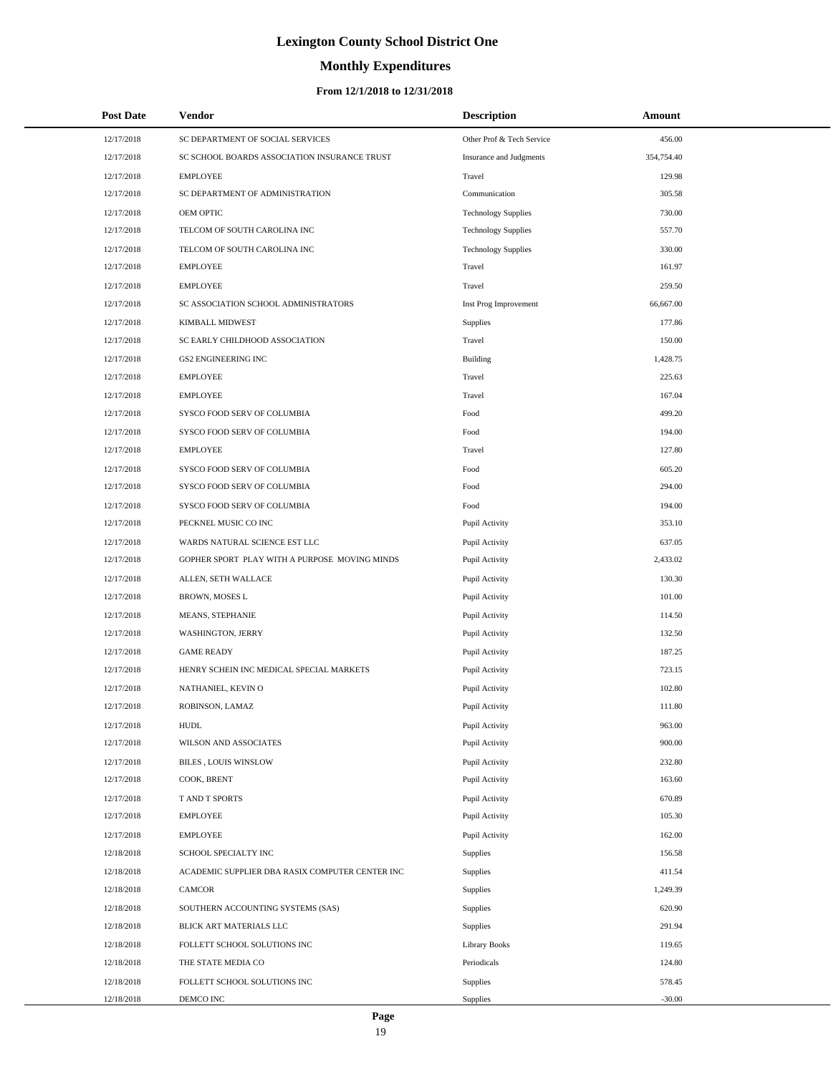# **Monthly Expenditures**

### **From 12/1/2018 to 12/31/2018**

| <b>Post Date</b> | Vendor                                          | <b>Description</b>         | Amount     |
|------------------|-------------------------------------------------|----------------------------|------------|
| 12/17/2018       | SC DEPARTMENT OF SOCIAL SERVICES                | Other Prof & Tech Service  | 456.00     |
| 12/17/2018       | SC SCHOOL BOARDS ASSOCIATION INSURANCE TRUST    | Insurance and Judgments    | 354,754.40 |
| 12/17/2018       | <b>EMPLOYEE</b>                                 | Travel                     | 129.98     |
| 12/17/2018       | SC DEPARTMENT OF ADMINISTRATION                 | Communication              | 305.58     |
| 12/17/2018       | OEM OPTIC                                       | <b>Technology Supplies</b> | 730.00     |
| 12/17/2018       | TELCOM OF SOUTH CAROLINA INC                    | <b>Technology Supplies</b> | 557.70     |
| 12/17/2018       | TELCOM OF SOUTH CAROLINA INC                    | <b>Technology Supplies</b> | 330.00     |
| 12/17/2018       | <b>EMPLOYEE</b>                                 | Travel                     | 161.97     |
| 12/17/2018       | <b>EMPLOYEE</b>                                 | Travel                     | 259.50     |
| 12/17/2018       | SC ASSOCIATION SCHOOL ADMINISTRATORS            | Inst Prog Improvement      | 66,667.00  |
| 12/17/2018       | <b>KIMBALL MIDWEST</b>                          | Supplies                   | 177.86     |
| 12/17/2018       | SC EARLY CHILDHOOD ASSOCIATION                  | Travel                     | 150.00     |
| 12/17/2018       | <b>GS2 ENGINEERING INC</b>                      | <b>Building</b>            | 1,428.75   |
| 12/17/2018       | <b>EMPLOYEE</b>                                 | Travel                     | 225.63     |
| 12/17/2018       | <b>EMPLOYEE</b>                                 | Travel                     | 167.04     |
| 12/17/2018       | SYSCO FOOD SERV OF COLUMBIA                     | Food                       | 499.20     |
| 12/17/2018       | SYSCO FOOD SERV OF COLUMBIA                     | Food                       | 194.00     |
| 12/17/2018       | <b>EMPLOYEE</b>                                 | Travel                     | 127.80     |
| 12/17/2018       | SYSCO FOOD SERV OF COLUMBIA                     | Food                       | 605.20     |
| 12/17/2018       | SYSCO FOOD SERV OF COLUMBIA                     | Food                       | 294.00     |
| 12/17/2018       | SYSCO FOOD SERV OF COLUMBIA                     | Food                       | 194.00     |
| 12/17/2018       | PECKNEL MUSIC CO INC                            | Pupil Activity             | 353.10     |
| 12/17/2018       | WARDS NATURAL SCIENCE EST LLC                   | Pupil Activity             | 637.05     |
| 12/17/2018       | GOPHER SPORT PLAY WITH A PURPOSE MOVING MINDS   | Pupil Activity             | 2,433.02   |
| 12/17/2018       | ALLEN, SETH WALLACE                             | Pupil Activity             | 130.30     |
| 12/17/2018       | BROWN, MOSES L                                  | Pupil Activity             | 101.00     |
| 12/17/2018       | MEANS, STEPHANIE                                | Pupil Activity             | 114.50     |
| 12/17/2018       | <b>WASHINGTON, JERRY</b>                        | Pupil Activity             | 132.50     |
| 12/17/2018       | <b>GAME READY</b>                               | Pupil Activity             | 187.25     |
| 12/17/2018       | HENRY SCHEIN INC MEDICAL SPECIAL MARKETS        | Pupil Activity             | 723.15     |
| 12/17/2018       | NATHANIEL, KEVIN O                              | Pupil Activity             | 102.80     |
| 12/17/2018       | ROBINSON, LAMAZ                                 | Pupil Activity             | 111.80     |
| 12/17/2018       | <b>HUDL</b>                                     | Pupil Activity             | 963.00     |
| 12/17/2018       | WILSON AND ASSOCIATES                           | Pupil Activity             | 900.00     |
| 12/17/2018       | <b>BILES, LOUIS WINSLOW</b>                     | Pupil Activity             | 232.80     |
| 12/17/2018       | COOK, BRENT                                     | Pupil Activity             | 163.60     |
| 12/17/2018       | T AND T SPORTS                                  | Pupil Activity             | 670.89     |
| 12/17/2018       | <b>EMPLOYEE</b>                                 | Pupil Activity             | 105.30     |
| 12/17/2018       | <b>EMPLOYEE</b>                                 | Pupil Activity             | 162.00     |
| 12/18/2018       | SCHOOL SPECIALTY INC                            | <b>Supplies</b>            | 156.58     |
| 12/18/2018       | ACADEMIC SUPPLIER DBA RASIX COMPUTER CENTER INC | Supplies                   | 411.54     |
| 12/18/2018       | CAMCOR                                          | Supplies                   | 1,249.39   |
| 12/18/2018       | SOUTHERN ACCOUNTING SYSTEMS (SAS)               | Supplies                   | 620.90     |
| 12/18/2018       | BLICK ART MATERIALS LLC                         | Supplies                   | 291.94     |
| 12/18/2018       | FOLLETT SCHOOL SOLUTIONS INC                    | <b>Library Books</b>       | 119.65     |
| 12/18/2018       | THE STATE MEDIA CO                              | Periodicals                | 124.80     |
| 12/18/2018       | FOLLETT SCHOOL SOLUTIONS INC                    | Supplies                   | 578.45     |
| 12/18/2018       | DEMCO INC                                       | Supplies                   | $-30.00$   |

L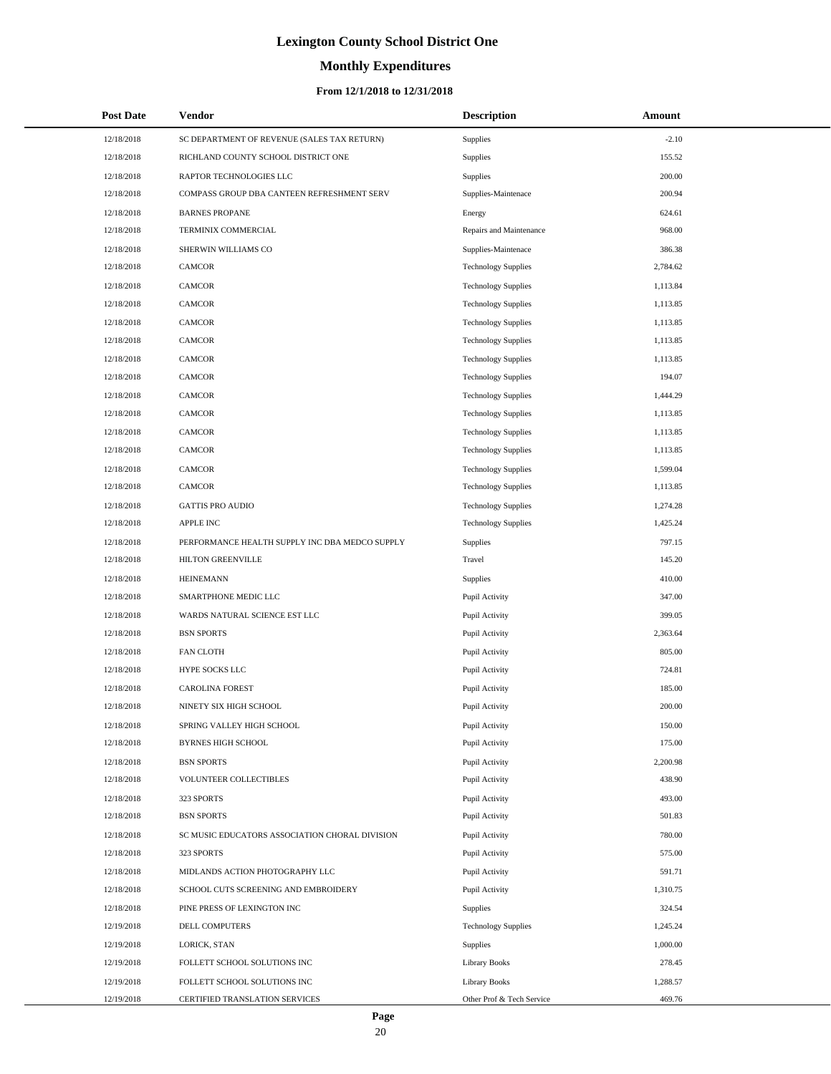# **Monthly Expenditures**

### **From 12/1/2018 to 12/31/2018**

| <b>Post Date</b> | Vendor                                         | <b>Description</b>         | Amount   |
|------------------|------------------------------------------------|----------------------------|----------|
| 12/18/2018       | SC DEPARTMENT OF REVENUE (SALES TAX RETURN)    | Supplies                   | $-2.10$  |
| 12/18/2018       | RICHLAND COUNTY SCHOOL DISTRICT ONE            | Supplies                   | 155.52   |
| 12/18/2018       | RAPTOR TECHNOLOGIES LLC                        | Supplies                   | 200.00   |
| 12/18/2018       | COMPASS GROUP DBA CANTEEN REFRESHMENT SERV     | Supplies-Maintenace        | 200.94   |
| 12/18/2018       | <b>BARNES PROPANE</b>                          | Energy                     | 624.61   |
| 12/18/2018       | TERMINIX COMMERCIAL                            | Repairs and Maintenance    | 968.00   |
| 12/18/2018       | SHERWIN WILLIAMS CO                            | Supplies-Maintenace        | 386.38   |
| 12/18/2018       | <b>CAMCOR</b>                                  | <b>Technology Supplies</b> | 2,784.62 |
| 12/18/2018       | <b>CAMCOR</b>                                  | <b>Technology Supplies</b> | 1,113.84 |
| 12/18/2018       | <b>CAMCOR</b>                                  | <b>Technology Supplies</b> | 1,113.85 |
| 12/18/2018       | CAMCOR                                         | <b>Technology Supplies</b> | 1,113.85 |
| 12/18/2018       | <b>CAMCOR</b>                                  | <b>Technology Supplies</b> | 1,113.85 |
| 12/18/2018       | CAMCOR                                         | <b>Technology Supplies</b> | 1,113.85 |
| 12/18/2018       | <b>CAMCOR</b>                                  | <b>Technology Supplies</b> | 194.07   |
| 12/18/2018       | CAMCOR                                         | <b>Technology Supplies</b> | 1,444.29 |
| 12/18/2018       | <b>CAMCOR</b>                                  | <b>Technology Supplies</b> | 1,113.85 |
| 12/18/2018       | CAMCOR                                         | <b>Technology Supplies</b> | 1,113.85 |
| 12/18/2018       | <b>CAMCOR</b>                                  | <b>Technology Supplies</b> | 1,113.85 |
| 12/18/2018       | CAMCOR                                         | <b>Technology Supplies</b> | 1,599.04 |
| 12/18/2018       | <b>CAMCOR</b>                                  | <b>Technology Supplies</b> | 1,113.85 |
| 12/18/2018       | <b>GATTIS PRO AUDIO</b>                        | <b>Technology Supplies</b> | 1,274.28 |
| 12/18/2018       | <b>APPLE INC</b>                               | <b>Technology Supplies</b> | 1,425.24 |
| 12/18/2018       | PERFORMANCE HEALTH SUPPLY INC DBA MEDCO SUPPLY | Supplies                   | 797.15   |
| 12/18/2018       | HILTON GREENVILLE                              | Travel                     | 145.20   |
| 12/18/2018       | <b>HEINEMANN</b>                               | Supplies                   | 410.00   |
| 12/18/2018       | SMARTPHONE MEDIC LLC                           | Pupil Activity             | 347.00   |
| 12/18/2018       | WARDS NATURAL SCIENCE EST LLC                  | Pupil Activity             | 399.05   |
| 12/18/2018       | <b>BSN SPORTS</b>                              | Pupil Activity             | 2,363.64 |
| 12/18/2018       | <b>FAN CLOTH</b>                               | Pupil Activity             | 805.00   |
| 12/18/2018       | <b>HYPE SOCKS LLC</b>                          | Pupil Activity             | 724.81   |
| 12/18/2018       | <b>CAROLINA FOREST</b>                         | Pupil Activity             | 185.00   |
| 12/18/2018       | NINETY SIX HIGH SCHOOL                         | Pupil Activity             | 200.00   |
| 12/18/2018       | SPRING VALLEY HIGH SCHOOL                      | Pupil Activity             | 150.00   |
| 12/18/2018       | <b>BYRNES HIGH SCHOOL</b>                      | Pupil Activity             | 175.00   |
| 12/18/2018       | <b>BSN SPORTS</b>                              | Pupil Activity             | 2,200.98 |
| 12/18/2018       | VOLUNTEER COLLECTIBLES                         | Pupil Activity             | 438.90   |
| 12/18/2018       | 323 SPORTS                                     | Pupil Activity             | 493.00   |
| 12/18/2018       | <b>BSN SPORTS</b>                              | Pupil Activity             | 501.83   |
| 12/18/2018       | SC MUSIC EDUCATORS ASSOCIATION CHORAL DIVISION | Pupil Activity             | 780.00   |
| 12/18/2018       | 323 SPORTS                                     | Pupil Activity             | 575.00   |
| 12/18/2018       | MIDLANDS ACTION PHOTOGRAPHY LLC                | Pupil Activity             | 591.71   |
| 12/18/2018       | SCHOOL CUTS SCREENING AND EMBROIDERY           | Pupil Activity             | 1,310.75 |
| 12/18/2018       | PINE PRESS OF LEXINGTON INC                    | Supplies                   | 324.54   |
| 12/19/2018       | DELL COMPUTERS                                 | <b>Technology Supplies</b> | 1,245.24 |
| 12/19/2018       | LORICK, STAN                                   | Supplies                   | 1,000.00 |
| 12/19/2018       | FOLLETT SCHOOL SOLUTIONS INC                   | Library Books              | 278.45   |
| 12/19/2018       | FOLLETT SCHOOL SOLUTIONS INC                   | Library Books              | 1,288.57 |
| 12/19/2018       | CERTIFIED TRANSLATION SERVICES                 | Other Prof & Tech Service  | 469.76   |

 $\overline{a}$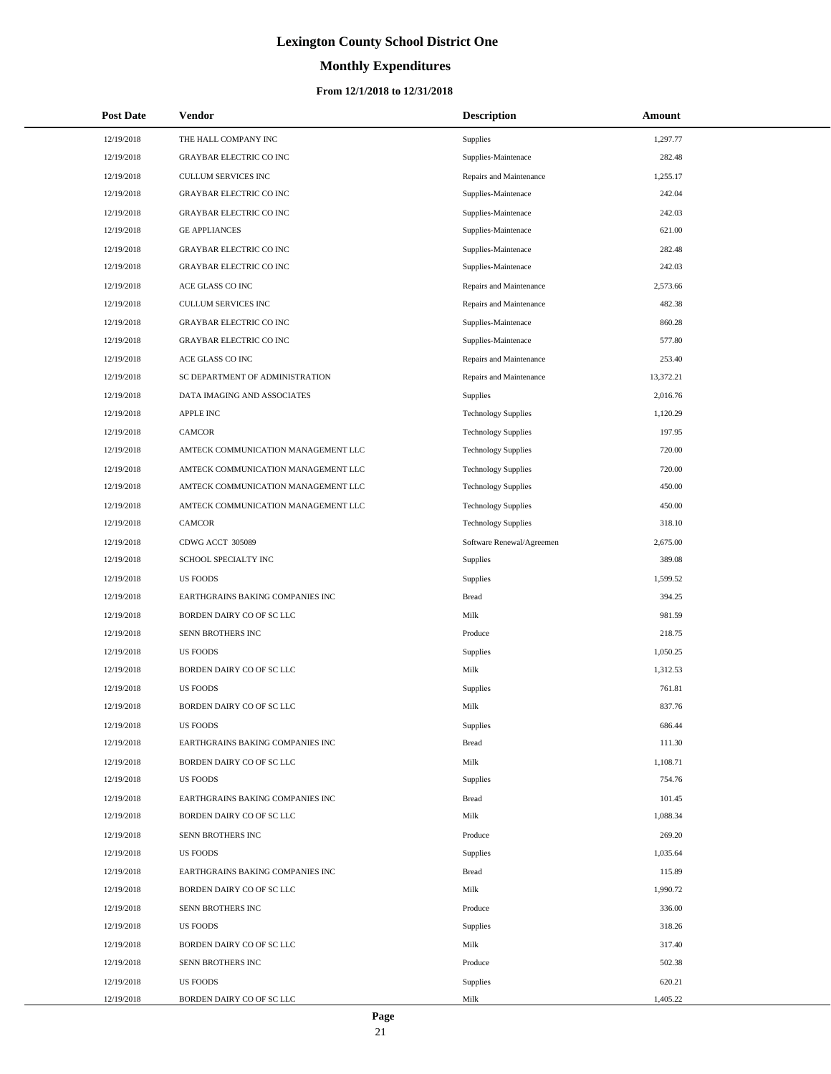# **Monthly Expenditures**

### **From 12/1/2018 to 12/31/2018**

| <b>Post Date</b> | <b>Vendor</b>                       | <b>Description</b>         | Amount    |
|------------------|-------------------------------------|----------------------------|-----------|
| 12/19/2018       | THE HALL COMPANY INC                | Supplies                   | 1,297.77  |
| 12/19/2018       | <b>GRAYBAR ELECTRIC CO INC</b>      | Supplies-Maintenace        | 282.48    |
| 12/19/2018       | CULLUM SERVICES INC                 | Repairs and Maintenance    | 1,255.17  |
| 12/19/2018       | <b>GRAYBAR ELECTRIC CO INC</b>      | Supplies-Maintenace        | 242.04    |
| 12/19/2018       | <b>GRAYBAR ELECTRIC CO INC</b>      | Supplies-Maintenace        | 242.03    |
| 12/19/2018       | <b>GE APPLIANCES</b>                | Supplies-Maintenace        | 621.00    |
| 12/19/2018       | <b>GRAYBAR ELECTRIC CO INC</b>      | Supplies-Maintenace        | 282.48    |
| 12/19/2018       | <b>GRAYBAR ELECTRIC CO INC</b>      | Supplies-Maintenace        | 242.03    |
| 12/19/2018       | ACE GLASS CO INC                    | Repairs and Maintenance    | 2,573.66  |
| 12/19/2018       | CULLUM SERVICES INC                 | Repairs and Maintenance    | 482.38    |
| 12/19/2018       | <b>GRAYBAR ELECTRIC CO INC</b>      | Supplies-Maintenace        | 860.28    |
| 12/19/2018       | <b>GRAYBAR ELECTRIC CO INC</b>      | Supplies-Maintenace        | 577.80    |
| 12/19/2018       | ACE GLASS CO INC                    | Repairs and Maintenance    | 253.40    |
| 12/19/2018       | SC DEPARTMENT OF ADMINISTRATION     | Repairs and Maintenance    | 13,372.21 |
| 12/19/2018       | DATA IMAGING AND ASSOCIATES         | <b>Supplies</b>            | 2,016.76  |
| 12/19/2018       | APPLE INC                           | <b>Technology Supplies</b> | 1,120.29  |
| 12/19/2018       | <b>CAMCOR</b>                       | <b>Technology Supplies</b> | 197.95    |
| 12/19/2018       | AMTECK COMMUNICATION MANAGEMENT LLC | <b>Technology Supplies</b> | 720.00    |
| 12/19/2018       | AMTECK COMMUNICATION MANAGEMENT LLC | <b>Technology Supplies</b> | 720.00    |
| 12/19/2018       | AMTECK COMMUNICATION MANAGEMENT LLC | <b>Technology Supplies</b> | 450.00    |
| 12/19/2018       | AMTECK COMMUNICATION MANAGEMENT LLC | <b>Technology Supplies</b> | 450.00    |
| 12/19/2018       | <b>CAMCOR</b>                       | <b>Technology Supplies</b> | 318.10    |
| 12/19/2018       | CDWG ACCT 305089                    | Software Renewal/Agreemen  | 2,675.00  |
| 12/19/2018       | SCHOOL SPECIALTY INC                | Supplies                   | 389.08    |
| 12/19/2018       | <b>US FOODS</b>                     | Supplies                   | 1,599.52  |
| 12/19/2018       | EARTHGRAINS BAKING COMPANIES INC    | <b>Bread</b>               | 394.25    |
| 12/19/2018       | BORDEN DAIRY CO OF SC LLC           | Milk                       | 981.59    |
| 12/19/2018       | SENN BROTHERS INC                   | Produce                    | 218.75    |
| 12/19/2018       | <b>US FOODS</b>                     | Supplies                   | 1,050.25  |
| 12/19/2018       | BORDEN DAIRY CO OF SC LLC           | Milk                       | 1,312.53  |
| 12/19/2018       | <b>US FOODS</b>                     | Supplies                   | 761.81    |
| 12/19/2018       | BORDEN DAIRY CO OF SC LLC           | Milk                       | 837.76    |
| 12/19/2018       | <b>US FOODS</b>                     | Supplies                   | 686.44    |
| 12/19/2018       | EARTHGRAINS BAKING COMPANIES INC    | <b>Bread</b>               | 111.30    |
| 12/19/2018       | BORDEN DAIRY CO OF SC LLC           | Milk                       | 1,108.71  |
| 12/19/2018       | <b>US FOODS</b>                     | Supplies                   | 754.76    |
| 12/19/2018       | EARTHGRAINS BAKING COMPANIES INC    | <b>Bread</b>               | 101.45    |
| 12/19/2018       | BORDEN DAIRY CO OF SC LLC           | Milk                       | 1,088.34  |
| 12/19/2018       | SENN BROTHERS INC                   | Produce                    | 269.20    |
| 12/19/2018       | <b>US FOODS</b>                     | Supplies                   | 1,035.64  |
| 12/19/2018       | EARTHGRAINS BAKING COMPANIES INC    | <b>Bread</b>               | 115.89    |
| 12/19/2018       | BORDEN DAIRY CO OF SC LLC           | Milk                       | 1,990.72  |
| 12/19/2018       | SENN BROTHERS INC                   | Produce                    | 336.00    |
| 12/19/2018       | <b>US FOODS</b>                     | Supplies                   | 318.26    |
| 12/19/2018       | BORDEN DAIRY CO OF SC LLC           | Milk                       | 317.40    |
| 12/19/2018       | SENN BROTHERS INC                   | Produce                    | 502.38    |
| 12/19/2018       | <b>US FOODS</b>                     | Supplies                   | 620.21    |
| 12/19/2018       | BORDEN DAIRY CO OF SC LLC           | Milk                       | 1,405.22  |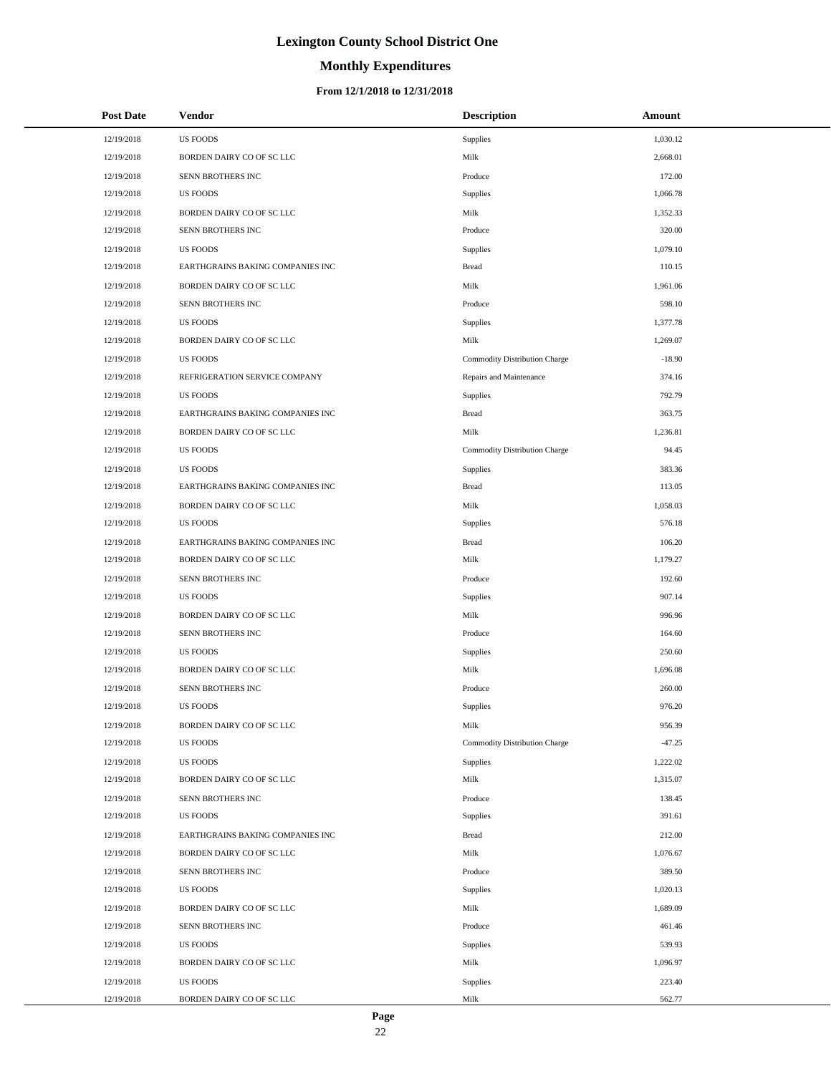# **Monthly Expenditures**

### **From 12/1/2018 to 12/31/2018**

| <b>Post Date</b> | <b>Vendor</b>                    | <b>Description</b>            | Amount   |
|------------------|----------------------------------|-------------------------------|----------|
| 12/19/2018       | <b>US FOODS</b>                  | Supplies                      | 1,030.12 |
| 12/19/2018       | BORDEN DAIRY CO OF SC LLC        | Milk                          | 2,668.01 |
| 12/19/2018       | SENN BROTHERS INC                | Produce                       | 172.00   |
| 12/19/2018       | <b>US FOODS</b>                  | Supplies                      | 1,066.78 |
| 12/19/2018       | BORDEN DAIRY CO OF SC LLC        | Milk                          | 1,352.33 |
| 12/19/2018       | SENN BROTHERS INC                | Produce                       | 320.00   |
| 12/19/2018       | <b>US FOODS</b>                  | Supplies                      | 1,079.10 |
| 12/19/2018       | EARTHGRAINS BAKING COMPANIES INC | <b>Bread</b>                  | 110.15   |
| 12/19/2018       | BORDEN DAIRY CO OF SC LLC        | Milk                          | 1,961.06 |
| 12/19/2018       | SENN BROTHERS INC                | Produce                       | 598.10   |
| 12/19/2018       | US FOODS                         | Supplies                      | 1,377.78 |
| 12/19/2018       | BORDEN DAIRY CO OF SC LLC        | Milk                          | 1,269.07 |
| 12/19/2018       | <b>US FOODS</b>                  | Commodity Distribution Charge | $-18.90$ |
| 12/19/2018       | REFRIGERATION SERVICE COMPANY    | Repairs and Maintenance       | 374.16   |
| 12/19/2018       | <b>US FOODS</b>                  | Supplies                      | 792.79   |
| 12/19/2018       | EARTHGRAINS BAKING COMPANIES INC | <b>Bread</b>                  | 363.75   |
| 12/19/2018       | BORDEN DAIRY CO OF SC LLC        | Milk                          | 1,236.81 |
| 12/19/2018       | <b>US FOODS</b>                  | Commodity Distribution Charge | 94.45    |
| 12/19/2018       | <b>US FOODS</b>                  | Supplies                      | 383.36   |
| 12/19/2018       | EARTHGRAINS BAKING COMPANIES INC | <b>Bread</b>                  | 113.05   |
| 12/19/2018       | BORDEN DAIRY CO OF SC LLC        | Milk                          | 1,058.03 |
| 12/19/2018       | <b>US FOODS</b>                  | Supplies                      | 576.18   |
| 12/19/2018       | EARTHGRAINS BAKING COMPANIES INC | <b>Bread</b>                  | 106.20   |
| 12/19/2018       | BORDEN DAIRY CO OF SC LLC        | Milk                          | 1,179.27 |
| 12/19/2018       | SENN BROTHERS INC                | Produce                       | 192.60   |
| 12/19/2018       | <b>US FOODS</b>                  | Supplies                      | 907.14   |
| 12/19/2018       | BORDEN DAIRY CO OF SC LLC        | Milk                          | 996.96   |
| 12/19/2018       | SENN BROTHERS INC                | Produce                       | 164.60   |
| 12/19/2018       | <b>US FOODS</b>                  | Supplies                      | 250.60   |
| 12/19/2018       | BORDEN DAIRY CO OF SC LLC        | Milk                          | 1,696.08 |
| 12/19/2018       | <b>SENN BROTHERS INC</b>         | Produce                       | 260.00   |
| 12/19/2018       | <b>US FOODS</b>                  | Supplies                      | 976.20   |
| 12/19/2018       | BORDEN DAIRY CO OF SC LLC        | Milk                          | 956.39   |
| 12/19/2018       | US FOODS                         | Commodity Distribution Charge | $-47.25$ |
| 12/19/2018       | <b>US FOODS</b>                  | Supplies                      | 1,222.02 |
| 12/19/2018       | BORDEN DAIRY CO OF SC LLC        | Milk                          | 1,315.07 |
| 12/19/2018       | SENN BROTHERS INC                | Produce                       | 138.45   |
| 12/19/2018       | <b>US FOODS</b>                  | Supplies                      | 391.61   |
| 12/19/2018       | EARTHGRAINS BAKING COMPANIES INC | <b>Bread</b>                  | 212.00   |
| 12/19/2018       | BORDEN DAIRY CO OF SC LLC        | Milk                          | 1,076.67 |
| 12/19/2018       | SENN BROTHERS INC                | Produce                       | 389.50   |
| 12/19/2018       | <b>US FOODS</b>                  | Supplies                      | 1,020.13 |
| 12/19/2018       | BORDEN DAIRY CO OF SC LLC        | Milk                          | 1,689.09 |
| 12/19/2018       | SENN BROTHERS INC                | Produce                       | 461.46   |
| 12/19/2018       | US FOODS                         | Supplies                      | 539.93   |
| 12/19/2018       | BORDEN DAIRY CO OF SC LLC        | Milk                          | 1,096.97 |
| 12/19/2018       | US FOODS                         | Supplies                      | 223.40   |
| 12/19/2018       | BORDEN DAIRY CO OF SC LLC        | Milk                          | 562.77   |

L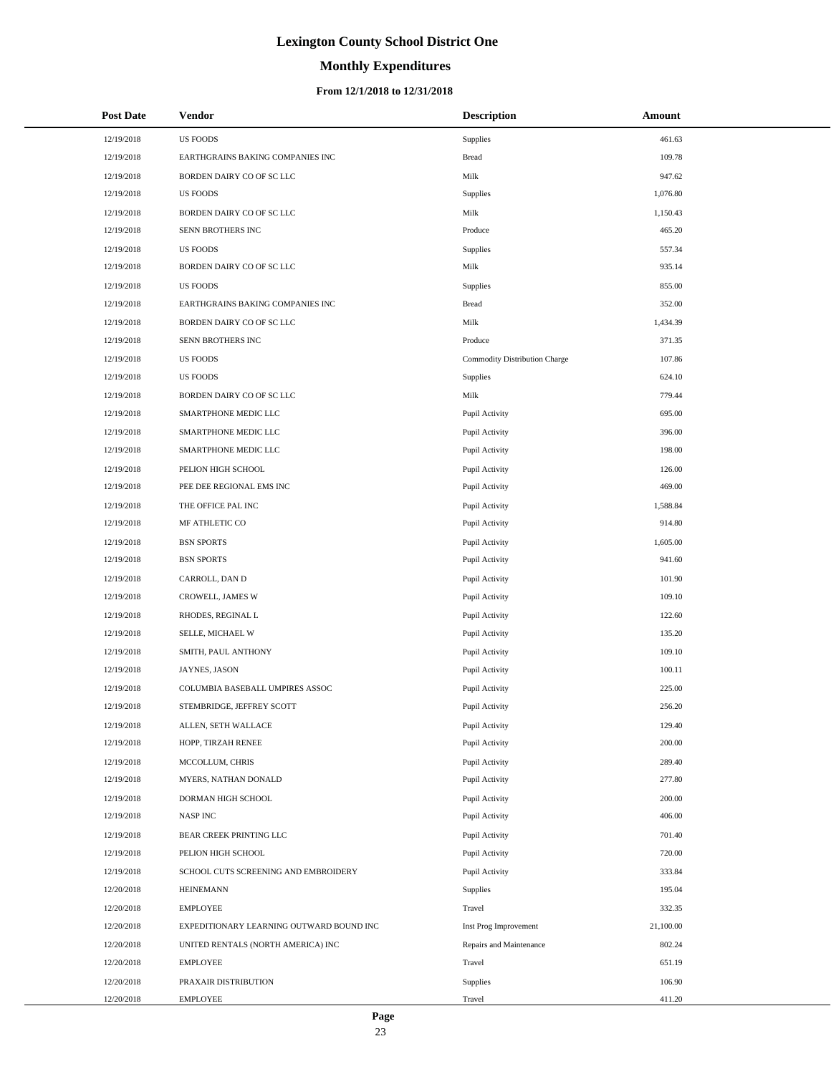# **Monthly Expenditures**

| <b>Post Date</b> | Vendor                                   | <b>Description</b>            | Amount    |
|------------------|------------------------------------------|-------------------------------|-----------|
| 12/19/2018       | <b>US FOODS</b>                          | Supplies                      | 461.63    |
| 12/19/2018       | EARTHGRAINS BAKING COMPANIES INC         | <b>Bread</b>                  | 109.78    |
| 12/19/2018       | BORDEN DAIRY CO OF SC LLC                | Milk                          | 947.62    |
| 12/19/2018       | <b>US FOODS</b>                          | Supplies                      | 1,076.80  |
| 12/19/2018       | BORDEN DAIRY CO OF SC LLC                | Milk                          | 1,150.43  |
| 12/19/2018       | SENN BROTHERS INC                        | Produce                       | 465.20    |
| 12/19/2018       | <b>US FOODS</b>                          | Supplies                      | 557.34    |
| 12/19/2018       | BORDEN DAIRY CO OF SC LLC                | Milk                          | 935.14    |
| 12/19/2018       | <b>US FOODS</b>                          | Supplies                      | 855.00    |
| 12/19/2018       | EARTHGRAINS BAKING COMPANIES INC         | <b>Bread</b>                  | 352.00    |
| 12/19/2018       | BORDEN DAIRY CO OF SC LLC                | Milk                          | 1,434.39  |
| 12/19/2018       | SENN BROTHERS INC                        | Produce                       | 371.35    |
| 12/19/2018       | <b>US FOODS</b>                          | Commodity Distribution Charge | 107.86    |
| 12/19/2018       | <b>US FOODS</b>                          | Supplies                      | 624.10    |
| 12/19/2018       | BORDEN DAIRY CO OF SC LLC                | Milk                          | 779.44    |
| 12/19/2018       | SMARTPHONE MEDIC LLC                     | Pupil Activity                | 695.00    |
| 12/19/2018       | SMARTPHONE MEDIC LLC                     | Pupil Activity                | 396.00    |
| 12/19/2018       | SMARTPHONE MEDIC LLC                     | Pupil Activity                | 198.00    |
| 12/19/2018       | PELION HIGH SCHOOL                       | Pupil Activity                | 126.00    |
| 12/19/2018       | PEE DEE REGIONAL EMS INC                 | Pupil Activity                | 469.00    |
| 12/19/2018       | THE OFFICE PAL INC                       | Pupil Activity                | 1,588.84  |
| 12/19/2018       | MF ATHLETIC CO                           | Pupil Activity                | 914.80    |
| 12/19/2018       | <b>BSN SPORTS</b>                        | Pupil Activity                | 1,605.00  |
| 12/19/2018       | <b>BSN SPORTS</b>                        | Pupil Activity                | 941.60    |
| 12/19/2018       | CARROLL, DAN D                           | Pupil Activity                | 101.90    |
| 12/19/2018       | CROWELL, JAMES W                         | Pupil Activity                | 109.10    |
| 12/19/2018       | RHODES, REGINAL L                        | Pupil Activity                | 122.60    |
| 12/19/2018       | SELLE, MICHAEL W                         | Pupil Activity                | 135.20    |
| 12/19/2018       | SMITH, PAUL ANTHONY                      | Pupil Activity                | 109.10    |
| 12/19/2018       | JAYNES, JASON                            | Pupil Activity                | 100.11    |
| 12/19/2018       | COLUMBIA BASEBALL UMPIRES ASSOC          | Pupil Activity                | 225.00    |
| 12/19/2018       | STEMBRIDGE, JEFFREY SCOTT                | Pupil Activity                | 256.20    |
| 12/19/2018       | ALLEN, SETH WALLACE                      | Pupil Activity                | 129.40    |
| 12/19/2018       | HOPP, TIRZAH RENEE                       | Pupil Activity                | 200.00    |
| 12/19/2018       | MCCOLLUM, CHRIS                          | Pupil Activity                | 289.40    |
| 12/19/2018       | MYERS, NATHAN DONALD                     | Pupil Activity                | 277.80    |
| 12/19/2018       | DORMAN HIGH SCHOOL                       | Pupil Activity                | 200.00    |
| 12/19/2018       | NASP INC                                 | Pupil Activity                | 406.00    |
| 12/19/2018       | BEAR CREEK PRINTING LLC                  | Pupil Activity                | 701.40    |
| 12/19/2018       | PELION HIGH SCHOOL                       | Pupil Activity                | 720.00    |
| 12/19/2018       | SCHOOL CUTS SCREENING AND EMBROIDERY     | Pupil Activity                | 333.84    |
| 12/20/2018       | <b>HEINEMANN</b>                         | Supplies                      | 195.04    |
| 12/20/2018       | <b>EMPLOYEE</b>                          | Travel                        | 332.35    |
| 12/20/2018       | EXPEDITIONARY LEARNING OUTWARD BOUND INC | Inst Prog Improvement         | 21,100.00 |
| 12/20/2018       | UNITED RENTALS (NORTH AMERICA) INC       | Repairs and Maintenance       | 802.24    |
| 12/20/2018       | <b>EMPLOYEE</b>                          | Travel                        | 651.19    |
| 12/20/2018       | PRAXAIR DISTRIBUTION                     | Supplies                      | 106.90    |
| 12/20/2018       | <b>EMPLOYEE</b>                          | Travel                        | 411.20    |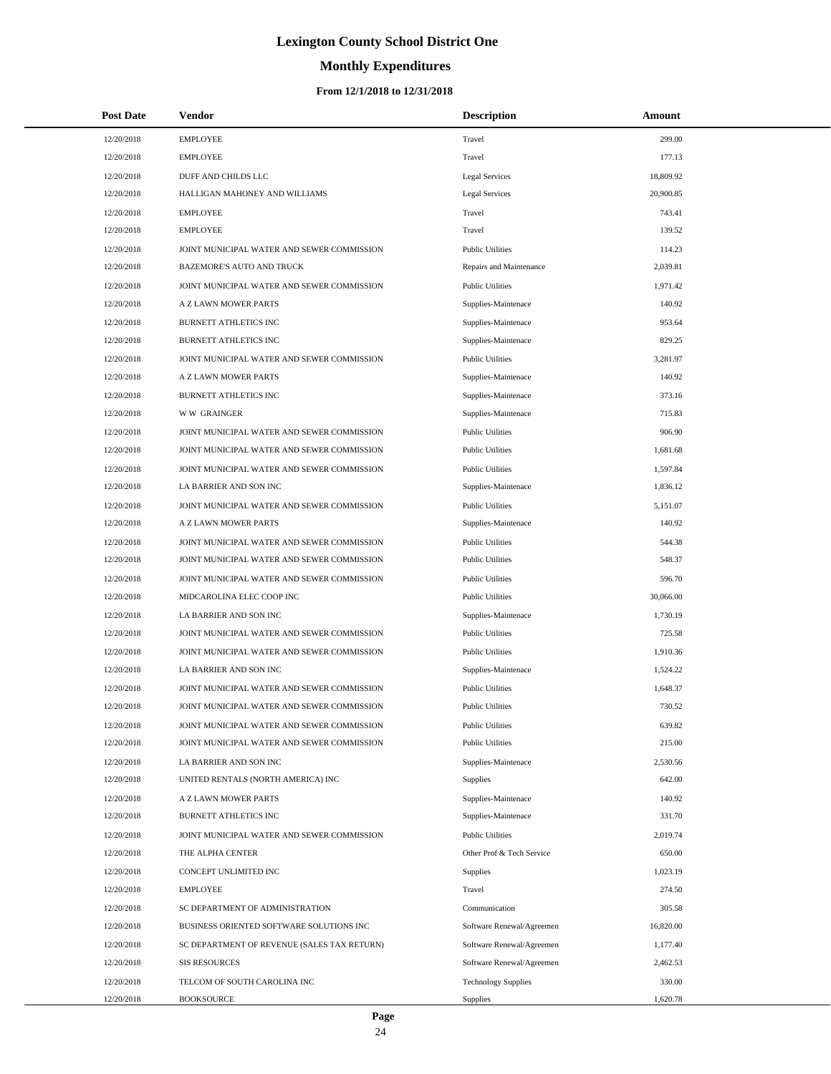# **Monthly Expenditures**

### **From 12/1/2018 to 12/31/2018**

| <b>Post Date</b> | Vendor                                      | <b>Description</b>         | Amount    |
|------------------|---------------------------------------------|----------------------------|-----------|
| 12/20/2018       | <b>EMPLOYEE</b>                             | Travel                     | 299.00    |
| 12/20/2018       | <b>EMPLOYEE</b>                             | Travel                     | 177.13    |
| 12/20/2018       | DUFF AND CHILDS LLC                         | <b>Legal Services</b>      | 18,809.92 |
| 12/20/2018       | HALLIGAN MAHONEY AND WILLIAMS               | <b>Legal Services</b>      | 20,900.85 |
| 12/20/2018       | <b>EMPLOYEE</b>                             | Travel                     | 743.41    |
| 12/20/2018       | <b>EMPLOYEE</b>                             | Travel                     | 139.52    |
| 12/20/2018       | JOINT MUNICIPAL WATER AND SEWER COMMISSION  | <b>Public Utilities</b>    | 114.23    |
| 12/20/2018       | BAZEMORE'S AUTO AND TRUCK                   | Repairs and Maintenance    | 2,039.81  |
| 12/20/2018       | JOINT MUNICIPAL WATER AND SEWER COMMISSION  | <b>Public Utilities</b>    | 1,971.42  |
| 12/20/2018       | A Z LAWN MOWER PARTS                        | Supplies-Maintenace        | 140.92    |
| 12/20/2018       | BURNETT ATHLETICS INC                       | Supplies-Maintenace        | 953.64    |
| 12/20/2018       | BURNETT ATHLETICS INC                       | Supplies-Maintenace        | 829.25    |
| 12/20/2018       | JOINT MUNICIPAL WATER AND SEWER COMMISSION  | <b>Public Utilities</b>    | 3,281.97  |
| 12/20/2018       | A Z LAWN MOWER PARTS                        | Supplies-Maintenace        | 140.92    |
| 12/20/2018       | BURNETT ATHLETICS INC                       | Supplies-Maintenace        | 373.16    |
| 12/20/2018       | <b>WW GRAINGER</b>                          | Supplies-Maintenace        | 715.83    |
| 12/20/2018       | JOINT MUNICIPAL WATER AND SEWER COMMISSION  | <b>Public Utilities</b>    | 906.90    |
| 12/20/2018       | JOINT MUNICIPAL WATER AND SEWER COMMISSION  | <b>Public Utilities</b>    | 1,681.68  |
| 12/20/2018       | JOINT MUNICIPAL WATER AND SEWER COMMISSION  | <b>Public Utilities</b>    | 1,597.84  |
| 12/20/2018       | LA BARRIER AND SON INC                      | Supplies-Maintenace        | 1,836.12  |
| 12/20/2018       | JOINT MUNICIPAL WATER AND SEWER COMMISSION  | <b>Public Utilities</b>    | 5,151.07  |
| 12/20/2018       | A Z LAWN MOWER PARTS                        | Supplies-Maintenace        | 140.92    |
| 12/20/2018       | JOINT MUNICIPAL WATER AND SEWER COMMISSION  | <b>Public Utilities</b>    | 544.38    |
| 12/20/2018       | JOINT MUNICIPAL WATER AND SEWER COMMISSION  | <b>Public Utilities</b>    | 548.37    |
| 12/20/2018       | JOINT MUNICIPAL WATER AND SEWER COMMISSION  | <b>Public Utilities</b>    | 596.70    |
| 12/20/2018       | MIDCAROLINA ELEC COOP INC                   | <b>Public Utilities</b>    | 30,066.00 |
| 12/20/2018       | LA BARRIER AND SON INC                      | Supplies-Maintenace        | 1,730.19  |
| 12/20/2018       | JOINT MUNICIPAL WATER AND SEWER COMMISSION  | <b>Public Utilities</b>    | 725.58    |
| 12/20/2018       | JOINT MUNICIPAL WATER AND SEWER COMMISSION  | <b>Public Utilities</b>    | 1,910.36  |
| 12/20/2018       | LA BARRIER AND SON INC                      | Supplies-Maintenace        | 1,524.22  |
| 12/20/2018       | JOINT MUNICIPAL WATER AND SEWER COMMISSION  | <b>Public Utilities</b>    | 1,648.37  |
| 12/20/2018       | JOINT MUNICIPAL WATER AND SEWER COMMISSION  | <b>Public Utilities</b>    | 730.52    |
| 12/20/2018       | JOINT MUNICIPAL WATER AND SEWER COMMISSION  | <b>Public Utilities</b>    | 639.82    |
| 12/20/2018       | JOINT MUNICIPAL WATER AND SEWER COMMISSION  | <b>Public Utilities</b>    | 215.00    |
| 12/20/2018       | LA BARRIER AND SON INC                      | Supplies-Maintenace        | 2,530.56  |
| 12/20/2018       | UNITED RENTALS (NORTH AMERICA) INC          | <b>Supplies</b>            | 642.00    |
| 12/20/2018       | A Z LAWN MOWER PARTS                        | Supplies-Maintenace        | 140.92    |
| 12/20/2018       | BURNETT ATHLETICS INC                       | Supplies-Maintenace        | 331.70    |
| 12/20/2018       | JOINT MUNICIPAL WATER AND SEWER COMMISSION  | <b>Public Utilities</b>    | 2,019.74  |
| 12/20/2018       | THE ALPHA CENTER                            | Other Prof & Tech Service  | 650.00    |
| 12/20/2018       | CONCEPT UNLIMITED INC                       | Supplies                   | 1,023.19  |
| 12/20/2018       | <b>EMPLOYEE</b>                             | Travel                     | 274.50    |
| 12/20/2018       | SC DEPARTMENT OF ADMINISTRATION             | Communication              | 305.58    |
| 12/20/2018       | BUSINESS ORIENTED SOFTWARE SOLUTIONS INC    | Software Renewal/Agreemen  | 16,820.00 |
| 12/20/2018       | SC DEPARTMENT OF REVENUE (SALES TAX RETURN) | Software Renewal/Agreemen  | 1,177.40  |
| 12/20/2018       | <b>SIS RESOURCES</b>                        | Software Renewal/Agreemen  | 2,462.53  |
| 12/20/2018       | TELCOM OF SOUTH CAROLINA INC                | <b>Technology Supplies</b> | 330.00    |
| 12/20/2018       | <b>BOOKSOURCE</b>                           | <b>Supplies</b>            | 1,620.78  |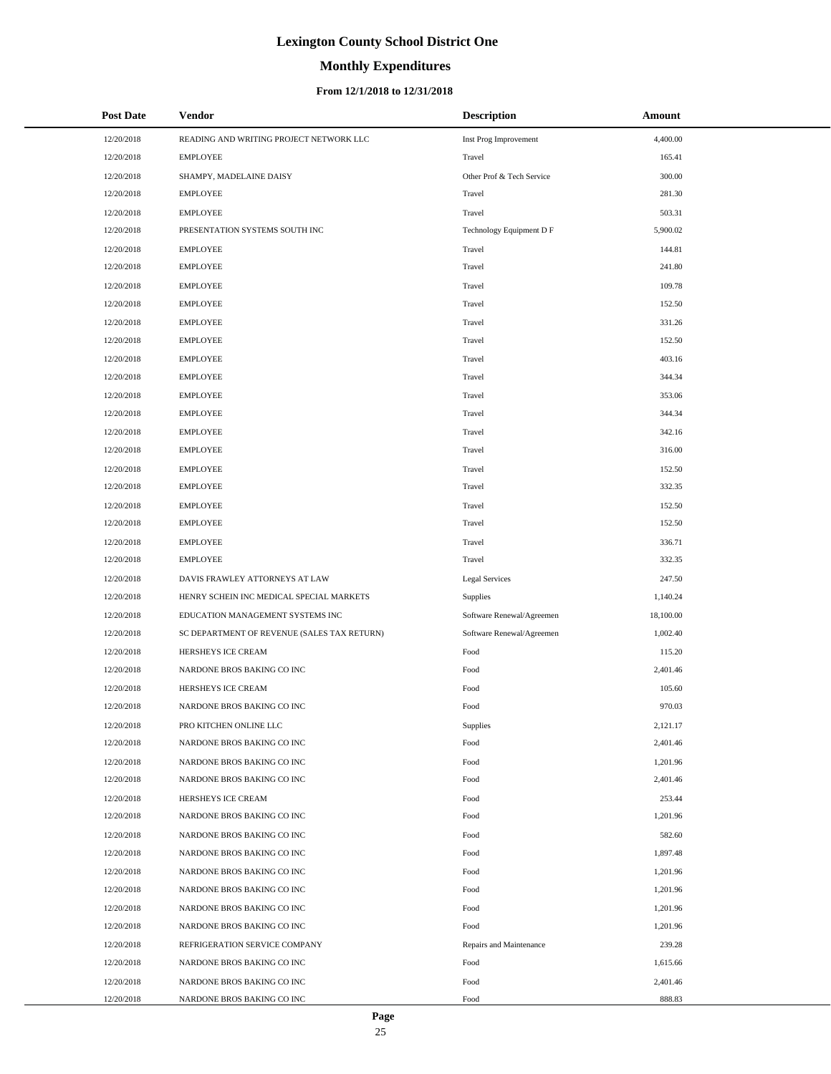# **Monthly Expenditures**

### **From 12/1/2018 to 12/31/2018**

| <b>Post Date</b> | <b>Vendor</b>                               | <b>Description</b>        | Amount    |
|------------------|---------------------------------------------|---------------------------|-----------|
| 12/20/2018       | READING AND WRITING PROJECT NETWORK LLC     | Inst Prog Improvement     | 4,400.00  |
| 12/20/2018       | <b>EMPLOYEE</b>                             | Travel                    | 165.41    |
| 12/20/2018       | SHAMPY, MADELAINE DAISY                     | Other Prof & Tech Service | 300.00    |
| 12/20/2018       | <b>EMPLOYEE</b>                             | Travel                    | 281.30    |
| 12/20/2018       | <b>EMPLOYEE</b>                             | Travel                    | 503.31    |
| 12/20/2018       | PRESENTATION SYSTEMS SOUTH INC              | Technology Equipment D F  | 5,900.02  |
| 12/20/2018       | <b>EMPLOYEE</b>                             | Travel                    | 144.81    |
| 12/20/2018       | <b>EMPLOYEE</b>                             | Travel                    | 241.80    |
| 12/20/2018       | <b>EMPLOYEE</b>                             | Travel                    | 109.78    |
| 12/20/2018       | <b>EMPLOYEE</b>                             | Travel                    | 152.50    |
| 12/20/2018       | <b>EMPLOYEE</b>                             | Travel                    | 331.26    |
| 12/20/2018       | <b>EMPLOYEE</b>                             | Travel                    | 152.50    |
| 12/20/2018       | <b>EMPLOYEE</b>                             | Travel                    | 403.16    |
| 12/20/2018       | <b>EMPLOYEE</b>                             | Travel                    | 344.34    |
| 12/20/2018       | <b>EMPLOYEE</b>                             | Travel                    | 353.06    |
| 12/20/2018       | <b>EMPLOYEE</b>                             | Travel                    | 344.34    |
| 12/20/2018       | <b>EMPLOYEE</b>                             | Travel                    | 342.16    |
| 12/20/2018       | <b>EMPLOYEE</b>                             | Travel                    | 316.00    |
| 12/20/2018       | <b>EMPLOYEE</b>                             | Travel                    | 152.50    |
| 12/20/2018       | <b>EMPLOYEE</b>                             | Travel                    | 332.35    |
| 12/20/2018       | <b>EMPLOYEE</b>                             | Travel                    | 152.50    |
| 12/20/2018       | <b>EMPLOYEE</b>                             | Travel                    | 152.50    |
| 12/20/2018       | <b>EMPLOYEE</b>                             | Travel                    | 336.71    |
| 12/20/2018       | <b>EMPLOYEE</b>                             | Travel                    | 332.35    |
| 12/20/2018       | DAVIS FRAWLEY ATTORNEYS AT LAW              | <b>Legal Services</b>     | 247.50    |
| 12/20/2018       | HENRY SCHEIN INC MEDICAL SPECIAL MARKETS    | Supplies                  | 1,140.24  |
| 12/20/2018       | EDUCATION MANAGEMENT SYSTEMS INC            | Software Renewal/Agreemen | 18,100.00 |
| 12/20/2018       | SC DEPARTMENT OF REVENUE (SALES TAX RETURN) | Software Renewal/Agreemen | 1,002.40  |
| 12/20/2018       | HERSHEYS ICE CREAM                          | Food                      | 115.20    |
| 12/20/2018       | NARDONE BROS BAKING CO INC                  | Food                      | 2,401.46  |
| 12/20/2018       | HERSHEYS ICE CREAM                          | Food                      | 105.60    |
| 12/20/2018       | NARDONE BROS BAKING CO INC                  | Food                      | 970.03    |
| 12/20/2018       | PRO KITCHEN ONLINE LLC                      | Supplies                  | 2,121.17  |
| 12/20/2018       | NARDONE BROS BAKING CO INC                  | Food                      | 2,401.46  |
| 12/20/2018       | NARDONE BROS BAKING CO INC                  | Food                      | 1,201.96  |
| 12/20/2018       | NARDONE BROS BAKING CO INC                  | Food                      | 2,401.46  |
| 12/20/2018       | HERSHEYS ICE CREAM                          | Food                      | 253.44    |
| 12/20/2018       | NARDONE BROS BAKING CO INC                  | Food                      | 1,201.96  |
| 12/20/2018       | NARDONE BROS BAKING CO INC                  | Food                      | 582.60    |
| 12/20/2018       | NARDONE BROS BAKING CO INC                  | Food                      | 1,897.48  |
| 12/20/2018       | NARDONE BROS BAKING CO INC                  | Food                      | 1,201.96  |
| 12/20/2018       | NARDONE BROS BAKING CO INC                  | Food                      | 1,201.96  |
| 12/20/2018       | NARDONE BROS BAKING CO INC                  | Food                      | 1,201.96  |
| 12/20/2018       | NARDONE BROS BAKING CO INC                  | Food                      | 1,201.96  |
| 12/20/2018       | REFRIGERATION SERVICE COMPANY               | Repairs and Maintenance   | 239.28    |
| 12/20/2018       | NARDONE BROS BAKING CO INC                  | Food                      | 1,615.66  |
| 12/20/2018       | NARDONE BROS BAKING CO INC                  | Food                      | 2,401.46  |
| 12/20/2018       | NARDONE BROS BAKING CO INC                  | Food                      | 888.83    |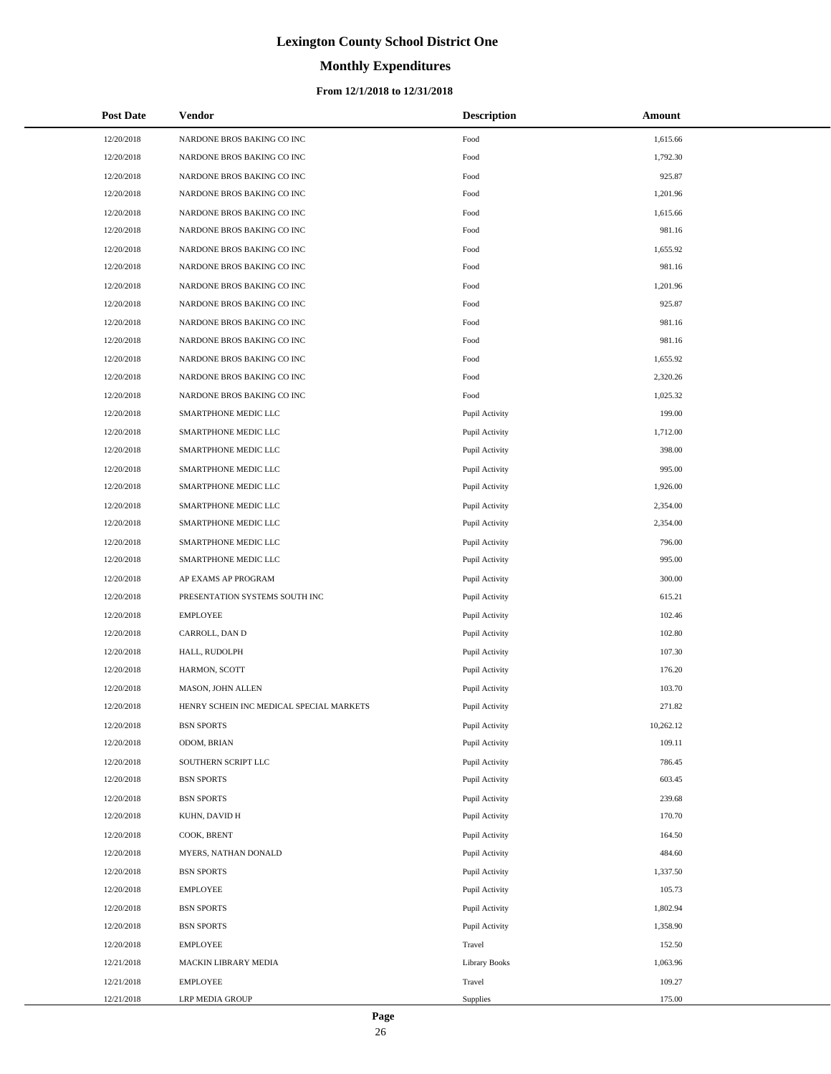# **Monthly Expenditures**

### **From 12/1/2018 to 12/31/2018**

| <b>Post Date</b> | Vendor                                   | <b>Description</b>   | Amount    |
|------------------|------------------------------------------|----------------------|-----------|
| 12/20/2018       | NARDONE BROS BAKING CO INC               | Food                 | 1,615.66  |
| 12/20/2018       | NARDONE BROS BAKING CO INC               | Food                 | 1,792.30  |
| 12/20/2018       | NARDONE BROS BAKING CO INC               | Food                 | 925.87    |
| 12/20/2018       | NARDONE BROS BAKING CO INC               | Food                 | 1,201.96  |
| 12/20/2018       | NARDONE BROS BAKING CO INC               | Food                 | 1,615.66  |
| 12/20/2018       | NARDONE BROS BAKING CO INC               | Food                 | 981.16    |
| 12/20/2018       | NARDONE BROS BAKING CO INC               | Food                 | 1,655.92  |
| 12/20/2018       | NARDONE BROS BAKING CO INC               | Food                 | 981.16    |
| 12/20/2018       | NARDONE BROS BAKING CO INC               | Food                 | 1,201.96  |
| 12/20/2018       | NARDONE BROS BAKING CO INC               | Food                 | 925.87    |
| 12/20/2018       | NARDONE BROS BAKING CO INC               | Food                 | 981.16    |
| 12/20/2018       | NARDONE BROS BAKING CO INC               | Food                 | 981.16    |
| 12/20/2018       | NARDONE BROS BAKING CO INC               | Food                 | 1,655.92  |
| 12/20/2018       | NARDONE BROS BAKING CO INC               | Food                 | 2,320.26  |
| 12/20/2018       | NARDONE BROS BAKING CO INC               | Food                 | 1,025.32  |
| 12/20/2018       | SMARTPHONE MEDIC LLC                     | Pupil Activity       | 199.00    |
| 12/20/2018       | SMARTPHONE MEDIC LLC                     | Pupil Activity       | 1,712.00  |
| 12/20/2018       | SMARTPHONE MEDIC LLC                     | Pupil Activity       | 398.00    |
| 12/20/2018       | SMARTPHONE MEDIC LLC                     | Pupil Activity       | 995.00    |
| 12/20/2018       | SMARTPHONE MEDIC LLC                     | Pupil Activity       | 1,926.00  |
| 12/20/2018       | SMARTPHONE MEDIC LLC                     | Pupil Activity       | 2,354.00  |
| 12/20/2018       | SMARTPHONE MEDIC LLC                     | Pupil Activity       | 2,354.00  |
| $12/20/2018\,$   | SMARTPHONE MEDIC LLC                     | Pupil Activity       | 796.00    |
| 12/20/2018       | SMARTPHONE MEDIC LLC                     | Pupil Activity       | 995.00    |
| 12/20/2018       | AP EXAMS AP PROGRAM                      | Pupil Activity       | 300.00    |
| 12/20/2018       | PRESENTATION SYSTEMS SOUTH INC           | Pupil Activity       | 615.21    |
| 12/20/2018       | <b>EMPLOYEE</b>                          | Pupil Activity       | 102.46    |
| 12/20/2018       | CARROLL, DAN D                           | Pupil Activity       | 102.80    |
| 12/20/2018       | HALL, RUDOLPH                            | Pupil Activity       | 107.30    |
| 12/20/2018       | HARMON, SCOTT                            | Pupil Activity       | 176.20    |
| 12/20/2018       | MASON, JOHN ALLEN                        | Pupil Activity       | 103.70    |
| 12/20/2018       | HENRY SCHEIN INC MEDICAL SPECIAL MARKETS | Pupil Activity       | 271.82    |
| 12/20/2018       | <b>BSN SPORTS</b>                        | Pupil Activity       | 10,262.12 |
| 12/20/2018       | ODOM, BRIAN                              | Pupil Activity       | 109.11    |
| 12/20/2018       | SOUTHERN SCRIPT LLC                      | Pupil Activity       | 786.45    |
| 12/20/2018       | <b>BSN SPORTS</b>                        | Pupil Activity       | 603.45    |
| 12/20/2018       | <b>BSN SPORTS</b>                        | Pupil Activity       | 239.68    |
| 12/20/2018       | KUHN, DAVID H                            | Pupil Activity       | 170.70    |
| 12/20/2018       | COOK, BRENT                              | Pupil Activity       | 164.50    |
| 12/20/2018       | MYERS, NATHAN DONALD                     | Pupil Activity       | 484.60    |
| 12/20/2018       | <b>BSN SPORTS</b>                        | Pupil Activity       | 1,337.50  |
| 12/20/2018       | EMPLOYEE                                 | Pupil Activity       | 105.73    |
| 12/20/2018       | <b>BSN SPORTS</b>                        | Pupil Activity       | 1,802.94  |
| 12/20/2018       | <b>BSN SPORTS</b>                        | Pupil Activity       | 1,358.90  |
| 12/20/2018       | EMPLOYEE                                 | Travel               | 152.50    |
| 12/21/2018       | MACKIN LIBRARY MEDIA                     | <b>Library Books</b> | 1,063.96  |
| 12/21/2018       | <b>EMPLOYEE</b>                          | Travel               | 109.27    |
| 12/21/2018       | LRP MEDIA GROUP                          | Supplies             | 175.00    |